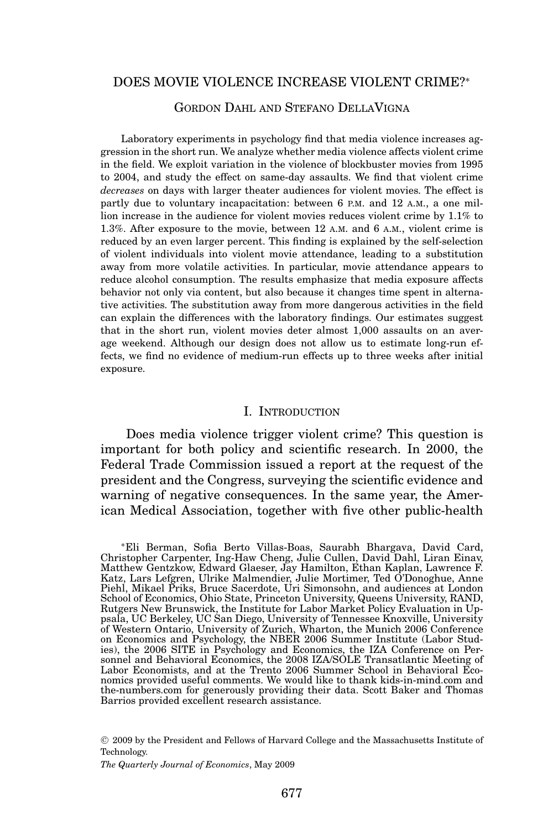### DOES MOVIE VIOLENCE INCREASE VIOLENT CRIME?<sup>∗</sup>

#### GORDON DAHL AND STEFANO DELLAVIGNA

Laboratory experiments in psychology find that media violence increases aggression in the short run. We analyze whether media violence affects violent crime in the field. We exploit variation in the violence of blockbuster movies from 1995 to 2004, and study the effect on same-day assaults. We find that violent crime *decreases* on days with larger theater audiences for violent movies. The effect is partly due to voluntary incapacitation: between 6 P.M. and 12 A.M., a one million increase in the audience for violent movies reduces violent crime by 1.1% to 1.3%. After exposure to the movie, between 12 A.M. and 6 A.M., violent crime is reduced by an even larger percent. This finding is explained by the self-selection of violent individuals into violent movie attendance, leading to a substitution away from more volatile activities. In particular, movie attendance appears to reduce alcohol consumption. The results emphasize that media exposure affects behavior not only via content, but also because it changes time spent in alternative activities. The substitution away from more dangerous activities in the field can explain the differences with the laboratory findings. Our estimates suggest that in the short run, violent movies deter almost 1,000 assaults on an average weekend. Although our design does not allow us to estimate long-run effects, we find no evidence of medium-run effects up to three weeks after initial exposure.

#### I. INTRODUCTION

Does media violence trigger violent crime? This question is important for both policy and scientific research. In 2000, the Federal Trade Commission issued a report at the request of the president and the Congress, surveying the scientific evidence and warning of negative consequences. In the same year, the American Medical Association, together with five other public-health

<sup>∗</sup>Eli Berman, Sofia Berto Villas-Boas, Saurabh Bhargava, David Card, Christopher Carpenter, Ing-Haw Cheng, Julie Cullen, David Dahl, Liran Einav, Matthew Gentzkow, Edward Glaeser, Jay Hamilton, Ethan Kaplan, Lawrence F. Katz, Lars Lefgren, Ulrike Malmendier, Julie Mortimer, Ted O'Donoghue, Anne Piehl, Mikael Priks, Bruce Sacerdote, Uri Simonsohn, and audiences at London School of Economics, Ohio State, Princeton University, Queens University, RAND, Rutgers New Brunswick, the Institute for Labor Market Policy Evaluation in Up-psala, UC Berkeley, UC San Diego, University of Tennessee Knoxville, University of Western Ontario, University of Zurich, Wharton, the Munich 2006 Conference on Economics and Psychology, the NBER 2006 Summer Institute (Labor Studies), the 2006 SITE in Psychology and Economics, the IZA Conference on Per-sonnel and Behavioral Economics, the 2008 IZA/SOLE Transatlantic Meeting of Labor Economists, and at the Trento 2006 Summer School in Behavioral Economics provided useful comments. We would like to thank kids-in-mind.com and the-numbers.com for generously providing their data. Scott Baker and Thomas Barrios provided excellent research assistance.

<sup>C</sup> 2009 by the President and Fellows of Harvard College and the Massachusetts Institute of Technology.

*The Quarterly Journal of Economics*, May 2009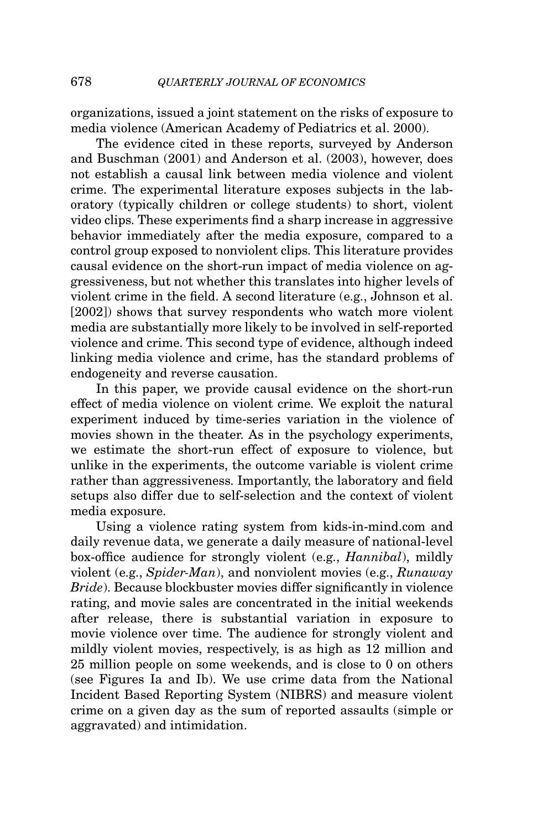organizations, issued a joint statement on the risks of exposure to media violence (American Academy of Pediatrics et al. 2000).

The evidence cited in these reports, surveyed by Anderson and Buschman (2001) and Anderson et al. (2003), however, does not establish a causal link between media violence and violent crime. The experimental literature exposes subjects in the laboratory (typically children or college students) to short, violent video clips. These experiments find a sharp increase in aggressive behavior immediately after the media exposure, compared to a control group exposed to nonviolent clips. This literature provides causal evidence on the short-run impact of media violence on aggressiveness, but not whether this translates into higher levels of violent crime in the field. A second literature (e.g., Johnson et al. [2002]) shows that survey respondents who watch more violent media are substantially more likely to be involved in self-reported violence and crime. This second type of evidence, although indeed linking media violence and crime, has the standard problems of endogeneity and reverse causation.

In this paper, we provide causal evidence on the short-run effect of media violence on violent crime. We exploit the natural experiment induced by time-series variation in the violence of movies shown in the theater. As in the psychology experiments, we estimate the short-run effect of exposure to violence, but unlike in the experiments, the outcome variable is violent crime rather than aggressiveness. Importantly, the laboratory and field setups also differ due to self-selection and the context of violent media exposure.

Using a violence rating system from kids-in-mind.com and daily revenue data, we generate a daily measure of national-level box-office audience for strongly violent (e.g., *Hannibal*), mildly violent (e.g., *Spider-Man*), and nonviolent movies (e.g., *Runaway Bride*). Because blockbuster movies differ significantly in violence rating, and movie sales are concentrated in the initial weekends after release, there is substantial variation in exposure to movie violence over time. The audience for strongly violent and mildly violent movies, respectively, is as high as 12 million and 25 million people on some weekends, and is close to 0 on others (see Figures Ia and Ib). We use crime data from the National Incident Based Reporting System (NIBRS) and measure violent crime on a given day as the sum of reported assaults (simple or aggravated) and intimidation.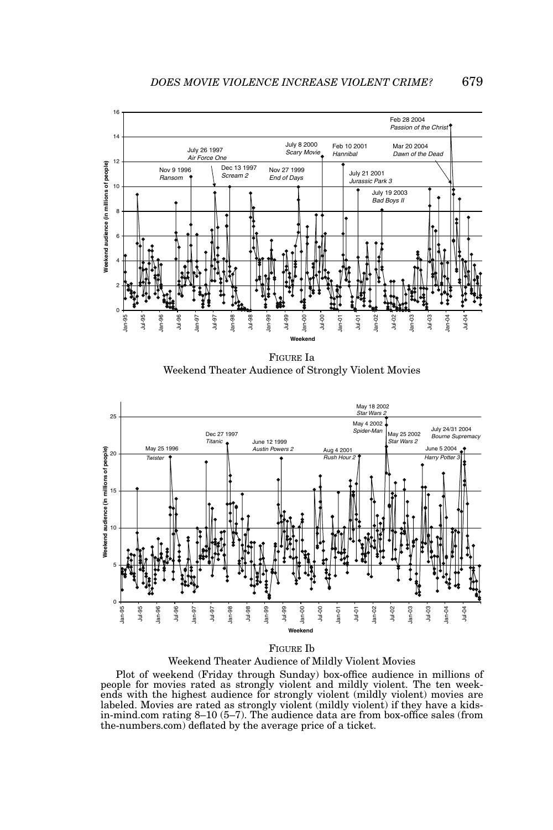

FIGURE Ia Weekend Theater Audience of Strongly Violent Movies



FIGURE Ib

Weekend Theater Audience of Mildly Violent Movies

Plot of weekend (Friday through Sunday) box-office audience in millions of people for movies rated as strongly violent and mildly violent. The ten weekends with the highest audience for strongly violent (mildly violent) movies are labeled. Movies are rated as strongly violent (mildly violent) if they have a kids-in-mind.com rating 8–10 (5–7). The audience data are from box-office sales (from the-numbers.com) deflated by the average price of a ticket.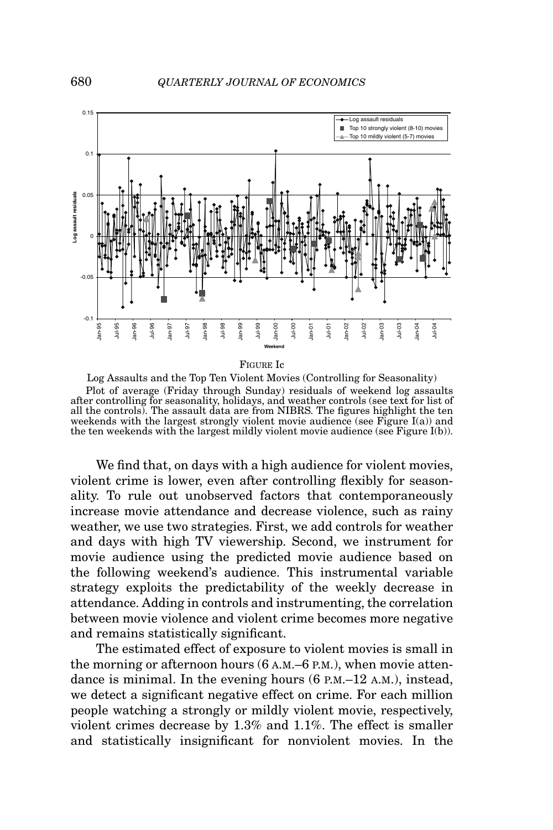

FIGURE Ic

Log Assaults and the Top Ten Violent Movies (Controlling for Seasonality) Plot of average (Friday through Sunday) residuals of weekend log assaults after controlling for seasonality, holidays, and weather controls (see text for list of all the controls). The assault data are from NIBRS. The figures highlight the ten weekends with the largest strongly violent movie audience (see Figure I(a)) and the ten weekends with the largest mildly violent movie audience (see Figure I(b)).

We find that, on days with a high audience for violent movies, violent crime is lower, even after controlling flexibly for seasonality. To rule out unobserved factors that contemporaneously increase movie attendance and decrease violence, such as rainy weather, we use two strategies. First, we add controls for weather and days with high TV viewership. Second, we instrument for movie audience using the predicted movie audience based on the following weekend's audience. This instrumental variable strategy exploits the predictability of the weekly decrease in attendance. Adding in controls and instrumenting, the correlation between movie violence and violent crime becomes more negative and remains statistically significant.

The estimated effect of exposure to violent movies is small in the morning or afternoon hours (6 A.M.–6 P.M.), when movie attendance is minimal. In the evening hours (6 P.M.–12 A.M.), instead, we detect a significant negative effect on crime. For each million people watching a strongly or mildly violent movie, respectively, violent crimes decrease by 1.3% and 1.1%. The effect is smaller and statistically insignificant for nonviolent movies. In the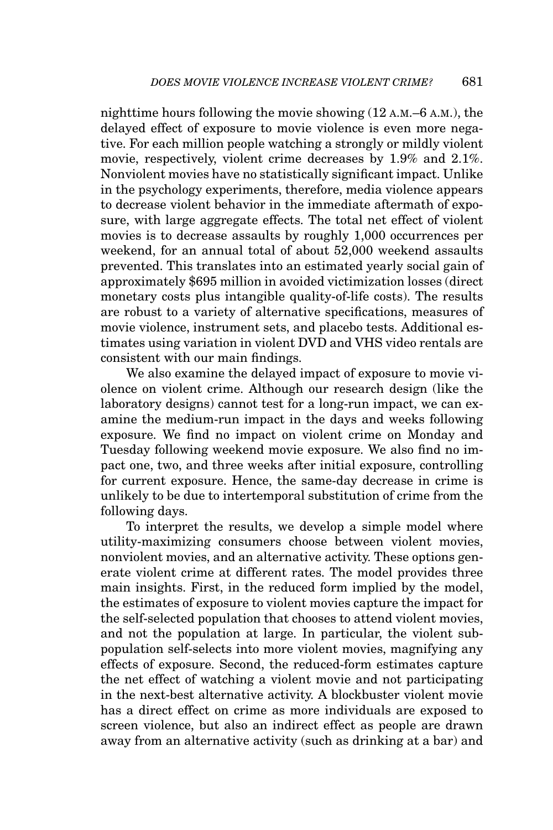nighttime hours following the movie showing (12 A.M.–6 A.M.), the delayed effect of exposure to movie violence is even more negative. For each million people watching a strongly or mildly violent movie, respectively, violent crime decreases by 1.9% and 2.1%. Nonviolent movies have no statistically significant impact. Unlike in the psychology experiments, therefore, media violence appears to decrease violent behavior in the immediate aftermath of exposure, with large aggregate effects. The total net effect of violent movies is to decrease assaults by roughly 1,000 occurrences per weekend, for an annual total of about 52,000 weekend assaults prevented. This translates into an estimated yearly social gain of approximately \$695 million in avoided victimization losses (direct monetary costs plus intangible quality-of-life costs). The results are robust to a variety of alternative specifications, measures of movie violence, instrument sets, and placebo tests. Additional estimates using variation in violent DVD and VHS video rentals are consistent with our main findings.

We also examine the delayed impact of exposure to movie violence on violent crime. Although our research design (like the laboratory designs) cannot test for a long-run impact, we can examine the medium-run impact in the days and weeks following exposure. We find no impact on violent crime on Monday and Tuesday following weekend movie exposure. We also find no impact one, two, and three weeks after initial exposure, controlling for current exposure. Hence, the same-day decrease in crime is unlikely to be due to intertemporal substitution of crime from the following days.

To interpret the results, we develop a simple model where utility-maximizing consumers choose between violent movies, nonviolent movies, and an alternative activity. These options generate violent crime at different rates. The model provides three main insights. First, in the reduced form implied by the model, the estimates of exposure to violent movies capture the impact for the self-selected population that chooses to attend violent movies, and not the population at large. In particular, the violent subpopulation self-selects into more violent movies, magnifying any effects of exposure. Second, the reduced-form estimates capture the net effect of watching a violent movie and not participating in the next-best alternative activity. A blockbuster violent movie has a direct effect on crime as more individuals are exposed to screen violence, but also an indirect effect as people are drawn away from an alternative activity (such as drinking at a bar) and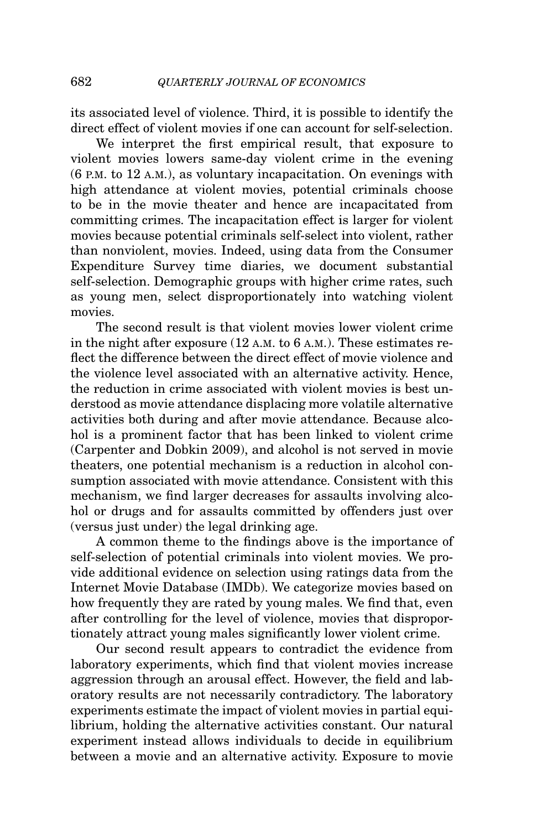its associated level of violence. Third, it is possible to identify the direct effect of violent movies if one can account for self-selection.

We interpret the first empirical result, that exposure to violent movies lowers same-day violent crime in the evening (6 P.M. to 12 A.M.), as voluntary incapacitation. On evenings with high attendance at violent movies, potential criminals choose to be in the movie theater and hence are incapacitated from committing crimes. The incapacitation effect is larger for violent movies because potential criminals self-select into violent, rather than nonviolent, movies. Indeed, using data from the Consumer Expenditure Survey time diaries, we document substantial self-selection. Demographic groups with higher crime rates, such as young men, select disproportionately into watching violent movies.

The second result is that violent movies lower violent crime in the night after exposure (12 A.M. to 6 A.M.). These estimates reflect the difference between the direct effect of movie violence and the violence level associated with an alternative activity. Hence, the reduction in crime associated with violent movies is best understood as movie attendance displacing more volatile alternative activities both during and after movie attendance. Because alcohol is a prominent factor that has been linked to violent crime (Carpenter and Dobkin 2009), and alcohol is not served in movie theaters, one potential mechanism is a reduction in alcohol consumption associated with movie attendance. Consistent with this mechanism, we find larger decreases for assaults involving alcohol or drugs and for assaults committed by offenders just over (versus just under) the legal drinking age.

A common theme to the findings above is the importance of self-selection of potential criminals into violent movies. We provide additional evidence on selection using ratings data from the Internet Movie Database (IMDb). We categorize movies based on how frequently they are rated by young males. We find that, even after controlling for the level of violence, movies that disproportionately attract young males significantly lower violent crime.

Our second result appears to contradict the evidence from laboratory experiments, which find that violent movies increase aggression through an arousal effect. However, the field and laboratory results are not necessarily contradictory. The laboratory experiments estimate the impact of violent movies in partial equilibrium, holding the alternative activities constant. Our natural experiment instead allows individuals to decide in equilibrium between a movie and an alternative activity. Exposure to movie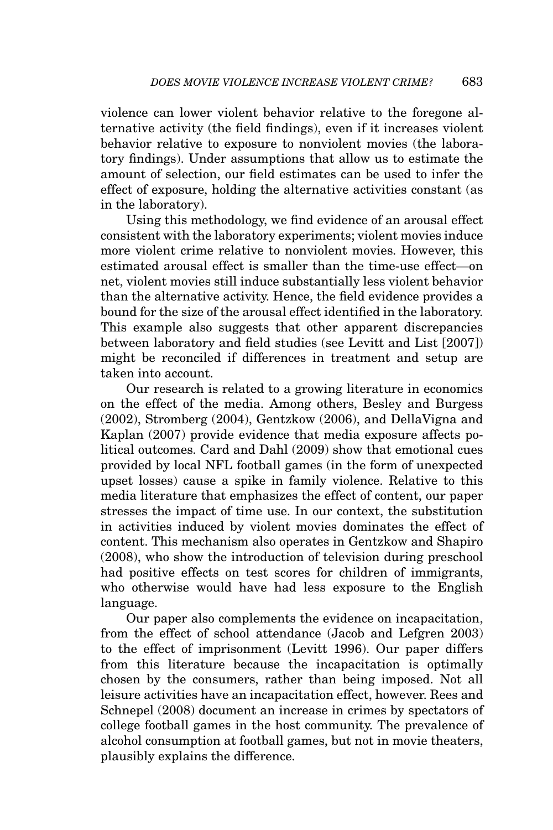violence can lower violent behavior relative to the foregone alternative activity (the field findings), even if it increases violent behavior relative to exposure to nonviolent movies (the laboratory findings). Under assumptions that allow us to estimate the amount of selection, our field estimates can be used to infer the effect of exposure, holding the alternative activities constant (as in the laboratory).

Using this methodology, we find evidence of an arousal effect consistent with the laboratory experiments; violent movies induce more violent crime relative to nonviolent movies. However, this estimated arousal effect is smaller than the time-use effect—on net, violent movies still induce substantially less violent behavior than the alternative activity. Hence, the field evidence provides a bound for the size of the arousal effect identified in the laboratory. This example also suggests that other apparent discrepancies between laboratory and field studies (see Levitt and List [2007]) might be reconciled if differences in treatment and setup are taken into account.

Our research is related to a growing literature in economics on the effect of the media. Among others, Besley and Burgess (2002), Stromberg (2004), Gentzkow (2006), and DellaVigna and Kaplan (2007) provide evidence that media exposure affects political outcomes. Card and Dahl (2009) show that emotional cues provided by local NFL football games (in the form of unexpected upset losses) cause a spike in family violence. Relative to this media literature that emphasizes the effect of content, our paper stresses the impact of time use. In our context, the substitution in activities induced by violent movies dominates the effect of content. This mechanism also operates in Gentzkow and Shapiro (2008), who show the introduction of television during preschool had positive effects on test scores for children of immigrants, who otherwise would have had less exposure to the English language.

Our paper also complements the evidence on incapacitation, from the effect of school attendance (Jacob and Lefgren 2003) to the effect of imprisonment (Levitt 1996). Our paper differs from this literature because the incapacitation is optimally chosen by the consumers, rather than being imposed. Not all leisure activities have an incapacitation effect, however. Rees and Schnepel (2008) document an increase in crimes by spectators of college football games in the host community. The prevalence of alcohol consumption at football games, but not in movie theaters, plausibly explains the difference.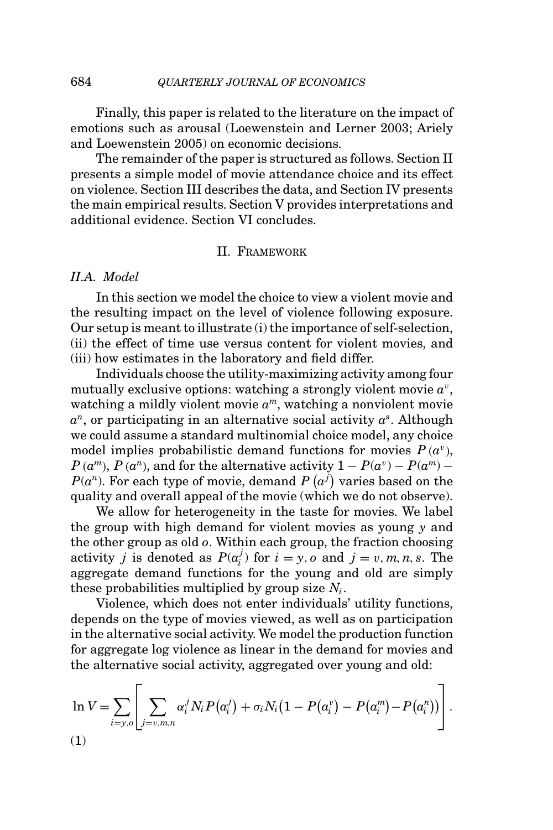Finally, this paper is related to the literature on the impact of emotions such as arousal (Loewenstein and Lerner 2003; Ariely and Loewenstein 2005) on economic decisions.

The remainder of the paper is structured as follows. Section II presents a simple model of movie attendance choice and its effect on violence. Section III describes the data, and Section IV presents the main empirical results. Section V provides interpretations and additional evidence. Section VI concludes.

### II. FRAMEWORK

### *II.A. Model*

In this section we model the choice to view a violent movie and the resulting impact on the level of violence following exposure. Our setup is meant to illustrate (i) the importance of self-selection, (ii) the effect of time use versus content for violent movies, and (iii) how estimates in the laboratory and field differ.

Individuals choose the utility-maximizing activity among four mutually exclusive options: watching a strongly violent movie *a*<sup>v</sup>, watching a mildly violent movie *am*, watching a nonviolent movie  $a^n$ , or participating in an alternative social activity  $a^s$ . Although we could assume a standard multinomial choice model, any choice model implies probabilistic demand functions for movies  $P(a^v)$ ,  $P(a^m)$ ,  $P(a^n)$ , and for the alternative activity  $1 - P(a^v) - P(a^m) - P(a^v)$  $P(a^n)$ . For each type of movie, demand  $P\left(a^j\right)$  varies based on the quality and overall appeal of the movie (which we do not observe).

We allow for heterogeneity in the taste for movies. We label the group with high demand for violent movies as young *y* and the other group as old *o*. Within each group, the fraction choosing activity *j* is denoted as  $P(a_i^j)$  for  $i = y$ , *o* and  $j = v, m, n, s$ . The aggregate demand functions for the young and old are simply these probabilities multiplied by group size *Ni*.

Violence, which does not enter individuals' utility functions, depends on the type of movies viewed, as well as on participation in the alternative social activity. We model the production function for aggregate log violence as linear in the demand for movies and the alternative social activity, aggregated over young and old:

$$
\ln V = \sum_{i=y,o} \left[ \sum_{j=v,m,n} \alpha_i^j N_i P(a_i^j) + \sigma_i N_i (1 - P(a_i^v) - P(a_i^m) - P(a_i^n)) \right].
$$
  
(1)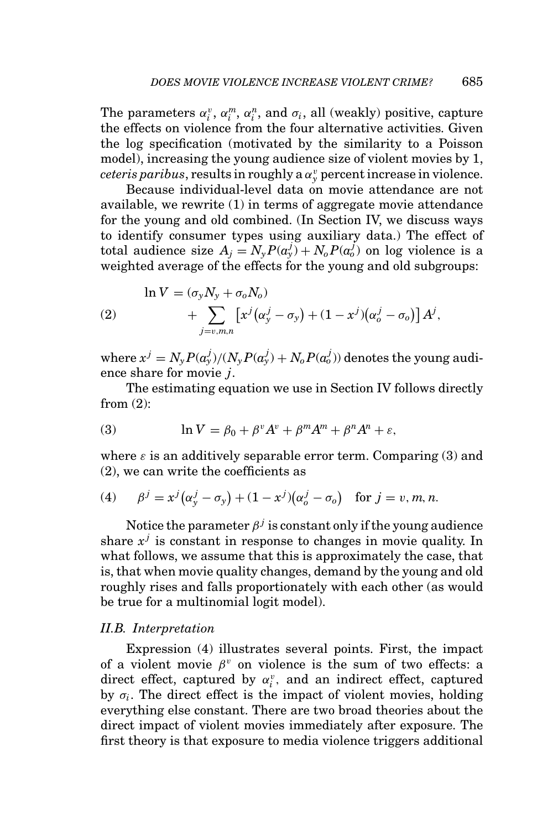The parameters  $\alpha_i^v$ ,  $\alpha_i^m$ ,  $\alpha_i^n$ , and  $\sigma_i$ , all (weakly) positive, capture the effects on violence from the four alternative activities. Given the log specification (motivated by the similarity to a Poisson model), increasing the young audience size of violent movies by 1,  $ceteris \ paribus$ , results in roughly a  $\alpha_y^v$  percent increase in violence.

Because individual-level data on movie attendance are not available, we rewrite (1) in terms of aggregate movie attendance for the young and old combined. (In Section IV, we discuss ways to identify consumer types using auxiliary data.) The effect of total audience size  $A_j = N_{\mathcal{Y}} P(a_{\mathcal{Y}}^j) + N_{\mathcal{O}} P(a_{\mathcal{O}}^j)$  on log violence is a weighted average of the effects for the young and old subgroups:

(2) 
$$
\ln V = (\sigma_y N_y + \sigma_o N_o) + \sum_{j=v,m,n} \left[ x^j (\alpha_y^j - \sigma_y) + (1 - x^j) (\alpha_o^j - \sigma_o) \right] A^j,
$$

where  $x^j = N_y P(a^j_y)/(N_y P(a^j_y) + N_o P(a^j_o))$  denotes the young audience share for movie *j*.

The estimating equation we use in Section IV follows directly from  $(2)$ :

(3) 
$$
\ln V = \beta_0 + \beta^v A^v + \beta^m A^m + \beta^n A^n + \varepsilon,
$$

where  $\varepsilon$  is an additively separable error term. Comparing (3) and (2), we can write the coefficients as

(4) 
$$
\beta^{j} = x^{j}(\alpha_{y}^{j} - \sigma_{y}) + (1 - x^{j})(\alpha_{0}^{j} - \sigma_{0})
$$
 for  $j = v, m, n$ .

Notice the parameter  $\beta^j$  is constant only if the young audience share  $x^j$  is constant in response to changes in movie quality. In what follows, we assume that this is approximately the case, that is, that when movie quality changes, demand by the young and old roughly rises and falls proportionately with each other (as would be true for a multinomial logit model).

### *II.B. Interpretation*

Expression (4) illustrates several points. First, the impact of a violent movie  $\beta^v$  on violence is the sum of two effects: a direct effect, captured by  $\alpha_i^v$ , and an indirect effect, captured by  $\sigma_i$ . The direct effect is the impact of violent movies, holding everything else constant. There are two broad theories about the direct impact of violent movies immediately after exposure. The first theory is that exposure to media violence triggers additional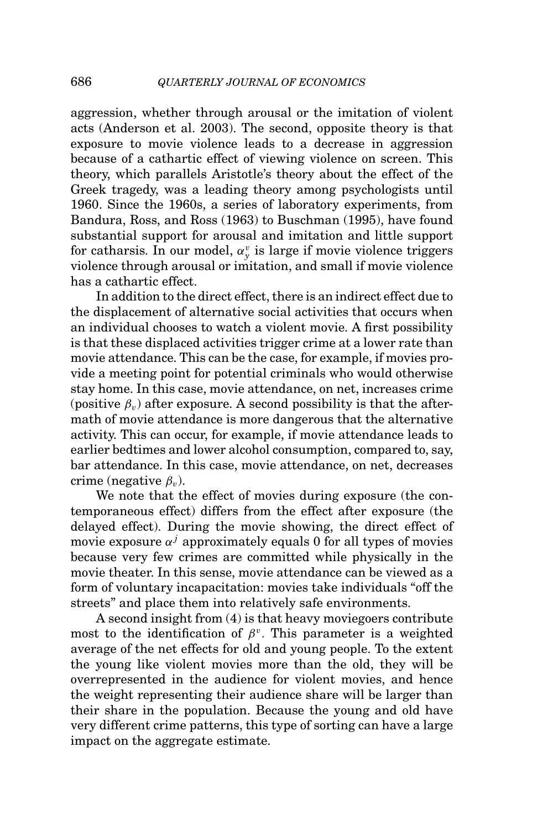aggression, whether through arousal or the imitation of violent acts (Anderson et al. 2003). The second, opposite theory is that exposure to movie violence leads to a decrease in aggression because of a cathartic effect of viewing violence on screen. This theory, which parallels Aristotle's theory about the effect of the Greek tragedy, was a leading theory among psychologists until 1960. Since the 1960s, a series of laboratory experiments, from Bandura, Ross, and Ross (1963) to Buschman (1995), have found substantial support for arousal and imitation and little support for catharsis. In our model,  $\alpha_y^v$  is large if movie violence triggers violence through arousal or imitation, and small if movie violence has a cathartic effect.

In addition to the direct effect, there is an indirect effect due to the displacement of alternative social activities that occurs when an individual chooses to watch a violent movie. A first possibility is that these displaced activities trigger crime at a lower rate than movie attendance. This can be the case, for example, if movies provide a meeting point for potential criminals who would otherwise stay home. In this case, movie attendance, on net, increases crime (positive  $\beta_v$ ) after exposure. A second possibility is that the aftermath of movie attendance is more dangerous that the alternative activity. This can occur, for example, if movie attendance leads to earlier bedtimes and lower alcohol consumption, compared to, say, bar attendance. In this case, movie attendance, on net, decreases crime (negative  $\beta_v$ ).

We note that the effect of movies during exposure (the contemporaneous effect) differs from the effect after exposure (the delayed effect). During the movie showing, the direct effect of movie exposure  $\alpha^{j}$  approximately equals 0 for all types of movies because very few crimes are committed while physically in the movie theater. In this sense, movie attendance can be viewed as a form of voluntary incapacitation: movies take individuals "off the streets" and place them into relatively safe environments.

A second insight from (4) is that heavy moviegoers contribute most to the identification of  $\beta^v$ . This parameter is a weighted average of the net effects for old and young people. To the extent the young like violent movies more than the old, they will be overrepresented in the audience for violent movies, and hence the weight representing their audience share will be larger than their share in the population. Because the young and old have very different crime patterns, this type of sorting can have a large impact on the aggregate estimate.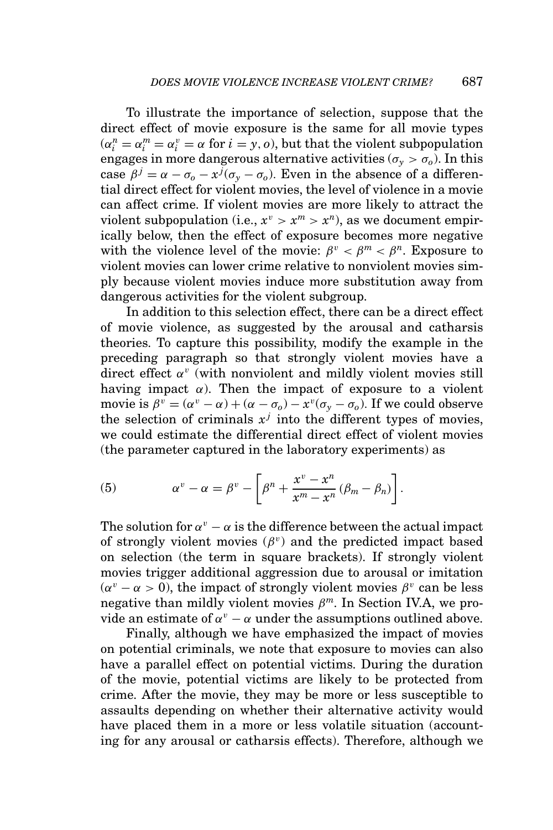To illustrate the importance of selection, suppose that the direct effect of movie exposure is the same for all movie types  $(\alpha_i^n = \alpha_i^m = \alpha_i^v = \alpha \text{ for } i = y, o)$ , but that the violent subpopulation engages in more dangerous alternative activities ( $\sigma_{\nu} > \sigma_{0}$ ). In this case  $\beta^j = \alpha - \sigma_o - x^j(\sigma_y - \sigma_o)$ . Even in the absence of a differential direct effect for violent movies, the level of violence in a movie can affect crime. If violent movies are more likely to attract the violent subpopulation (i.e.,  $x^v > x^m > x^n$ ), as we document empirically below, then the effect of exposure becomes more negative with the violence level of the movie:  $\beta^{v} < \beta^{m} < \beta^{n}$ . Exposure to violent movies can lower crime relative to nonviolent movies simply because violent movies induce more substitution away from dangerous activities for the violent subgroup.

In addition to this selection effect, there can be a direct effect of movie violence, as suggested by the arousal and catharsis theories. To capture this possibility, modify the example in the preceding paragraph so that strongly violent movies have a direct effect  $\alpha^v$  (with nonviolent and mildly violent movies still having impact  $\alpha$ ). Then the impact of exposure to a violent movie is  $\beta^v = (\alpha^v - \alpha) + (\alpha - \sigma_0) - x^v(\sigma_v - \sigma_0)$ . If we could observe the selection of criminals  $x^j$  into the different types of movies, we could estimate the differential direct effect of violent movies (the parameter captured in the laboratory experiments) as

(5) 
$$
\alpha^v - \alpha = \beta^v - \left[\beta^n + \frac{x^v - x^n}{x^m - x^n}(\beta_m - \beta_n)\right].
$$

The solution for  $\alpha^v - \alpha$  is the difference between the actual impact of strongly violent movies  $(\beta^v)$  and the predicted impact based on selection (the term in square brackets). If strongly violent movies trigger additional aggression due to arousal or imitation  $(\alpha^{\nu} - \alpha > 0)$ , the impact of strongly violent movies  $\beta^{\nu}$  can be less negative than mildly violent movies β*<sup>m</sup>*. In Section IV.A, we provide an estimate of  $\alpha^v - \alpha$  under the assumptions outlined above.

Finally, although we have emphasized the impact of movies on potential criminals, we note that exposure to movies can also have a parallel effect on potential victims. During the duration of the movie, potential victims are likely to be protected from crime. After the movie, they may be more or less susceptible to assaults depending on whether their alternative activity would have placed them in a more or less volatile situation (accounting for any arousal or catharsis effects). Therefore, although we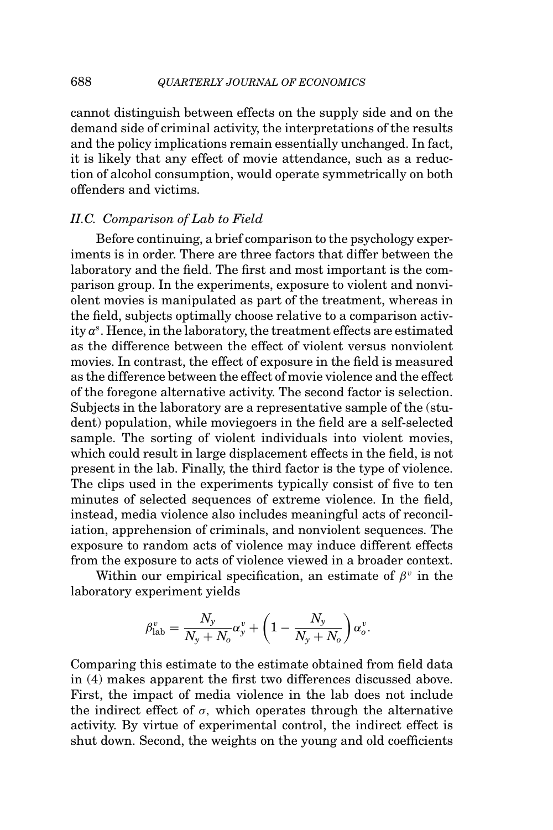cannot distinguish between effects on the supply side and on the demand side of criminal activity, the interpretations of the results and the policy implications remain essentially unchanged. In fact, it is likely that any effect of movie attendance, such as a reduction of alcohol consumption, would operate symmetrically on both offenders and victims.

### *II.C. Comparison of Lab to Field*

Before continuing, a brief comparison to the psychology experiments is in order. There are three factors that differ between the laboratory and the field. The first and most important is the comparison group. In the experiments, exposure to violent and nonviolent movies is manipulated as part of the treatment, whereas in the field, subjects optimally choose relative to a comparison activity  $a^s$ . Hence, in the laboratory, the treatment effects are estimated as the difference between the effect of violent versus nonviolent movies. In contrast, the effect of exposure in the field is measured as the difference between the effect of movie violence and the effect of the foregone alternative activity. The second factor is selection. Subjects in the laboratory are a representative sample of the (student) population, while moviegoers in the field are a self-selected sample. The sorting of violent individuals into violent movies, which could result in large displacement effects in the field, is not present in the lab. Finally, the third factor is the type of violence. The clips used in the experiments typically consist of five to ten minutes of selected sequences of extreme violence. In the field, instead, media violence also includes meaningful acts of reconciliation, apprehension of criminals, and nonviolent sequences. The exposure to random acts of violence may induce different effects from the exposure to acts of violence viewed in a broader context.

Within our empirical specification, an estimate of  $\beta^v$  in the laboratory experiment yields

$$
\beta_{\text{lab}}^v = \frac{N_y}{N_y + N_o} \alpha_y^v + \left(1 - \frac{N_y}{N_y + N_o}\right) \alpha_v^v.
$$

Comparing this estimate to the estimate obtained from field data in (4) makes apparent the first two differences discussed above. First, the impact of media violence in the lab does not include the indirect effect of  $\sigma$ , which operates through the alternative activity. By virtue of experimental control, the indirect effect is shut down. Second, the weights on the young and old coefficients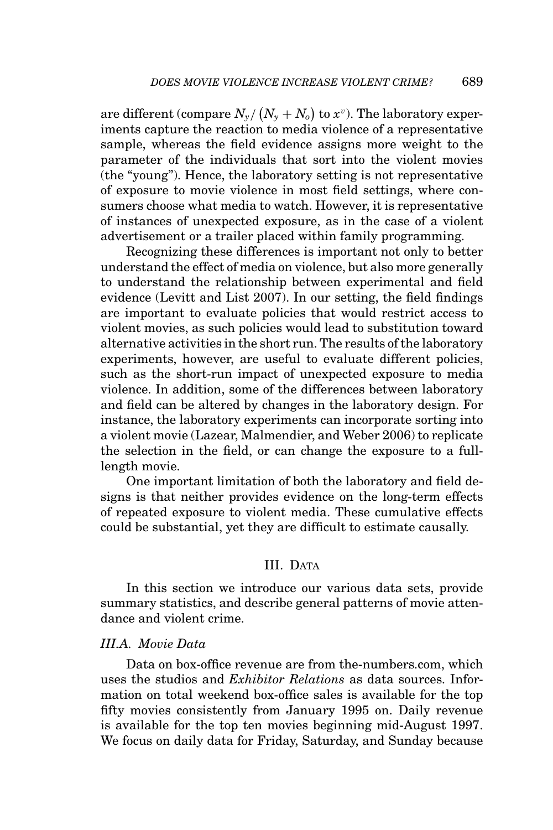are different (compare  $N_{y}/(N_{y}+N_{o})$  to  $x^{v}$ ). The laboratory experiments capture the reaction to media violence of a representative sample, whereas the field evidence assigns more weight to the parameter of the individuals that sort into the violent movies (the "young"). Hence, the laboratory setting is not representative of exposure to movie violence in most field settings, where consumers choose what media to watch. However, it is representative of instances of unexpected exposure, as in the case of a violent advertisement or a trailer placed within family programming.

Recognizing these differences is important not only to better understand the effect of media on violence, but also more generally to understand the relationship between experimental and field evidence (Levitt and List 2007). In our setting, the field findings are important to evaluate policies that would restrict access to violent movies, as such policies would lead to substitution toward alternative activities in the short run. The results of the laboratory experiments, however, are useful to evaluate different policies, such as the short-run impact of unexpected exposure to media violence. In addition, some of the differences between laboratory and field can be altered by changes in the laboratory design. For instance, the laboratory experiments can incorporate sorting into a violent movie (Lazear, Malmendier, and Weber 2006) to replicate the selection in the field, or can change the exposure to a fulllength movie.

One important limitation of both the laboratory and field designs is that neither provides evidence on the long-term effects of repeated exposure to violent media. These cumulative effects could be substantial, yet they are difficult to estimate causally.

### III. DATA

In this section we introduce our various data sets, provide summary statistics, and describe general patterns of movie attendance and violent crime.

### *III.A. Movie Data*

Data on box-office revenue are from the-numbers.com, which uses the studios and *Exhibitor Relations* as data sources. Information on total weekend box-office sales is available for the top fifty movies consistently from January 1995 on. Daily revenue is available for the top ten movies beginning mid-August 1997. We focus on daily data for Friday, Saturday, and Sunday because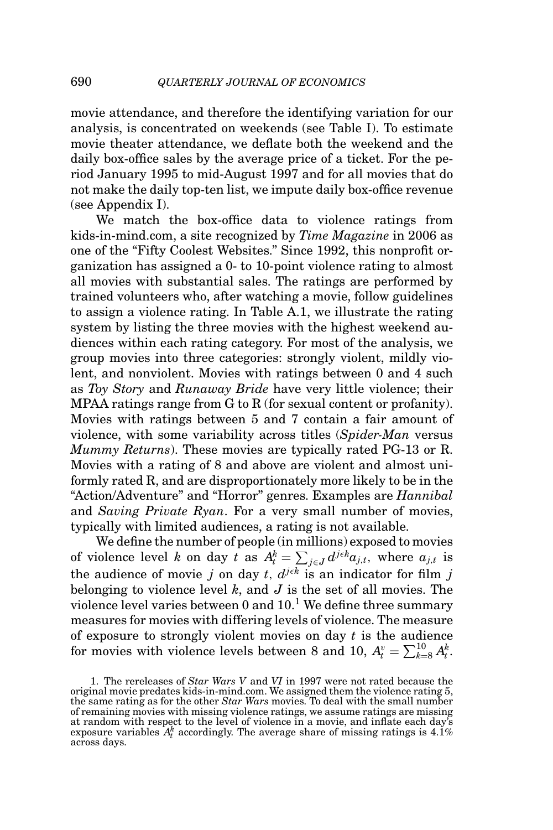movie attendance, and therefore the identifying variation for our analysis, is concentrated on weekends (see Table I). To estimate movie theater attendance, we deflate both the weekend and the daily box-office sales by the average price of a ticket. For the period January 1995 to mid-August 1997 and for all movies that do not make the daily top-ten list, we impute daily box-office revenue (see Appendix I).

We match the box-office data to violence ratings from kids-in-mind.com, a site recognized by *Time Magazine* in 2006 as one of the "Fifty Coolest Websites." Since 1992, this nonprofit organization has assigned a 0- to 10-point violence rating to almost all movies with substantial sales. The ratings are performed by trained volunteers who, after watching a movie, follow guidelines to assign a violence rating. In Table A.1, we illustrate the rating system by listing the three movies with the highest weekend audiences within each rating category. For most of the analysis, we group movies into three categories: strongly violent, mildly violent, and nonviolent. Movies with ratings between 0 and 4 such as *Toy Story* and *Runaway Bride* have very little violence; their MPAA ratings range from G to R (for sexual content or profanity). Movies with ratings between 5 and 7 contain a fair amount of violence, with some variability across titles (*Spider-Man* versus *Mummy Returns*). These movies are typically rated PG-13 or R. Movies with a rating of 8 and above are violent and almost uniformly rated R, and are disproportionately more likely to be in the "Action/Adventure" and "Horror" genres. Examples are *Hannibal* and *Saving Private Ryan*. For a very small number of movies, typically with limited audiences, a rating is not available.

We define the number of people (in millions) exposed to movies of violence level *k* on day *t* as  $A_t^k = \sum_{j \in J} d^{j \in k} a_{j,t}$ , where  $a_{j,t}$  is the audience of movie  $j$  on day  $t$ ,  $d^{j\epsilon k}$  is an indicator for film  $j$ belonging to violence level *k*, and *J* is the set of all movies. The violence level varies between 0 and  $10<sup>1</sup>$  We define three summary measures for movies with differing levels of violence. The measure of exposure to strongly violent movies on day *t* is the audience for movies with violence levels between 8 and 10,  $A_t^v = \sum_{k=8}^{10} A_t^k$ .

<sup>1.</sup> The rereleases of *Star Wars V* and *VI* in 1997 were not rated because the original movie predates kids-in-mind.com. We assigned them the violence rating 5, the same rating as for the other *Star Wars* movies. To deal with the small number of remaining movies with missing violence ratings, we assume ratings are missing at random with respect to the level of violence in a movie, and inflate each day's exposure variables  $A_t^k$  accordingly. The average share of missing ratings is  $4.\overline{1}\%$ across days.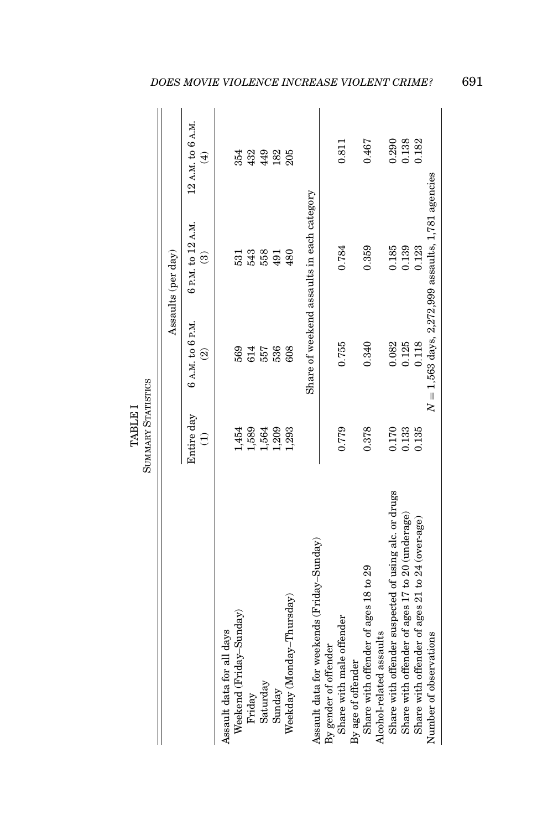|                                                      |                               |                                              | Assaults (per day)                                       |                                               |
|------------------------------------------------------|-------------------------------|----------------------------------------------|----------------------------------------------------------|-----------------------------------------------|
|                                                      | Entire day<br>$\widehat{\Xi}$ | 6 A.M. to 6 P.M.<br>$\widehat{\mathfrak{D}}$ | 6 P.M. to 12 A.M.<br>$\widehat{\mathbf{e}}$              | 12 A.M. to 6 A.M.<br>$\widehat{E}$            |
| Assault data for all days                            |                               |                                              |                                                          |                                               |
| Weekend $(Friday-Sunday)$                            | 1,454                         | 569                                          | 531                                                      | 354                                           |
| Friday                                               | 1,589                         | 614                                          | 543                                                      | 432<br>449                                    |
| Saturday                                             | 1,564                         | 557                                          | 558                                                      |                                               |
| Sunday                                               | 1,209                         | 536                                          | 491                                                      | 182<br>205                                    |
| Weekday (Monday–Thursday)                            | 1,293                         | 608                                          | 480                                                      |                                               |
| Assault data for weekends (Friday-Sunday)            |                               |                                              | Share of weekend assaults in each category               |                                               |
| By gender of offender                                |                               |                                              |                                                          |                                               |
| Share with male offender                             | 0.779                         | 0.755                                        | 0.784                                                    | 0.811                                         |
| By age of offender                                   |                               |                                              |                                                          |                                               |
| Share with offender of ages 18 to 29                 | 0.378                         | 0.340                                        | 0.359                                                    | 0.467                                         |
| Alcohol-related assaults                             |                               |                                              |                                                          |                                               |
| Share with offender suspected of using alc. or drugs | 0.170                         | 0.082                                        | 0.185                                                    |                                               |
| Share with offender of ages 17 to 20 (underage)      | 0.133                         | 0.125                                        | 0.139                                                    | $\begin{array}{c} 0.290 \\ 0.138 \end{array}$ |
| Share with offender of ages 21 to 24 (over-age)      | 0.135                         | 0.118                                        | 0.123                                                    | 0.182                                         |
| Number of observations                               |                               |                                              | $N = 1,563$ days, $2,272,999$ assaults, $1,781$ agencies |                                               |

*DOES MOVIE VIOLENCE INCREASE VIOLENT CRIME?* 691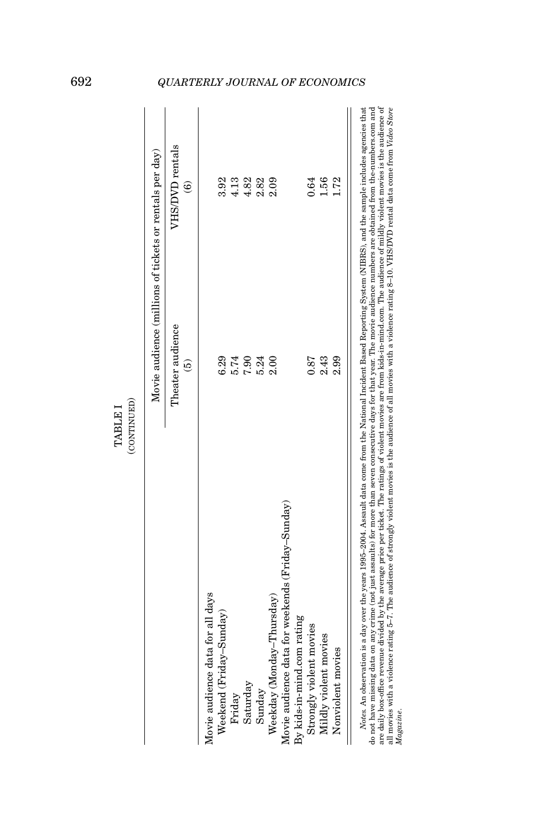|                                                                                                                                                                                                                                                                                                                                                                                                                                                                                                                                                                                                                                                                                                                                                             | (CONTINUED)                                             |                        |
|-------------------------------------------------------------------------------------------------------------------------------------------------------------------------------------------------------------------------------------------------------------------------------------------------------------------------------------------------------------------------------------------------------------------------------------------------------------------------------------------------------------------------------------------------------------------------------------------------------------------------------------------------------------------------------------------------------------------------------------------------------------|---------------------------------------------------------|------------------------|
|                                                                                                                                                                                                                                                                                                                                                                                                                                                                                                                                                                                                                                                                                                                                                             | Movie audience (millions of tickets or rentals per day) |                        |
|                                                                                                                                                                                                                                                                                                                                                                                                                                                                                                                                                                                                                                                                                                                                                             | Theater audience                                        | <b>VHS/DVD</b> rentals |
|                                                                                                                                                                                                                                                                                                                                                                                                                                                                                                                                                                                                                                                                                                                                                             | $\widehat{5}$                                           | $\widehat{\mathbf{e}}$ |
| Movie audience data for all days                                                                                                                                                                                                                                                                                                                                                                                                                                                                                                                                                                                                                                                                                                                            |                                                         |                        |
| Weekend (Friday-Sunday)                                                                                                                                                                                                                                                                                                                                                                                                                                                                                                                                                                                                                                                                                                                                     | 6.29                                                    | 3.92                   |
| Friday                                                                                                                                                                                                                                                                                                                                                                                                                                                                                                                                                                                                                                                                                                                                                      | 5.74                                                    | 4.13                   |
| Saturday                                                                                                                                                                                                                                                                                                                                                                                                                                                                                                                                                                                                                                                                                                                                                    | 06.7                                                    | 4.82                   |
| Sunday                                                                                                                                                                                                                                                                                                                                                                                                                                                                                                                                                                                                                                                                                                                                                      | 5.24                                                    | 2.82                   |
| Weekday (Monday-Thursday)                                                                                                                                                                                                                                                                                                                                                                                                                                                                                                                                                                                                                                                                                                                                   | 2.00                                                    | 2.09                   |
| Movie audience data for weekends (Friday–Sunday)                                                                                                                                                                                                                                                                                                                                                                                                                                                                                                                                                                                                                                                                                                            |                                                         |                        |
| By kids-in-mind.com rating                                                                                                                                                                                                                                                                                                                                                                                                                                                                                                                                                                                                                                                                                                                                  |                                                         |                        |
| Strongly violent movies                                                                                                                                                                                                                                                                                                                                                                                                                                                                                                                                                                                                                                                                                                                                     | 0.87                                                    | 0.64                   |
| Mildly violent movies                                                                                                                                                                                                                                                                                                                                                                                                                                                                                                                                                                                                                                                                                                                                       | 2.43                                                    | 1.56                   |
| Nonviolent movies                                                                                                                                                                                                                                                                                                                                                                                                                                                                                                                                                                                                                                                                                                                                           | 2.99                                                    | 1.72                   |
| are daily box-office revenue divided by the average price per ticket. The ratings of violent movies are from kids-in-mind.com. The audience of mildly violent movies is the audience of<br>Notes. An observation is a day over the years 1995–2004. Assault data come from the National Incident Based Reporting System (NIBRS), and the sample includes agencies that<br>do not have missing data on any crime (not just assaults) for more than seven consecutive days for that year. The movie audience numbers are obtained from the-numbers com and<br>all movies with a violence rating 5–7. The audience of strongly violent movies is the audience of all movies with a violence rating 8–10. VHS/DVD rental data come from Video Store<br>Magazine |                                                         |                        |

| Ľ      |  |
|--------|--|
|        |  |
| ρ<br>с |  |
| ۴      |  |
|        |  |

692 *QUARTERLY JOURNAL OF ECONOMICS*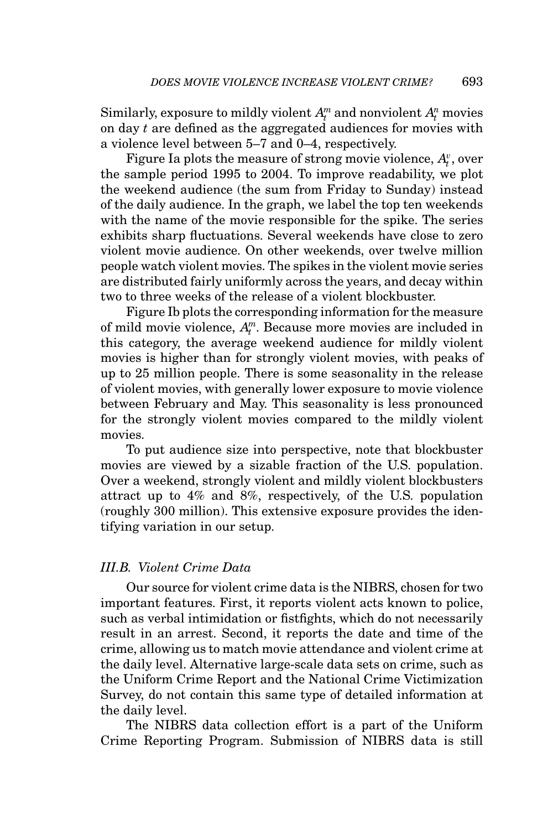Similarly, exposure to mildly violent  $A_t^m$  and nonviolent  $A_t^n$  movies on day *t* are defined as the aggregated audiences for movies with a violence level between 5–7 and 0–4, respectively.

Figure Ia plots the measure of strong movie violence,  $A_t^v$ , over the sample period 1995 to 2004. To improve readability, we plot the weekend audience (the sum from Friday to Sunday) instead of the daily audience. In the graph, we label the top ten weekends with the name of the movie responsible for the spike. The series exhibits sharp fluctuations. Several weekends have close to zero violent movie audience. On other weekends, over twelve million people watch violent movies. The spikes in the violent movie series are distributed fairly uniformly across the years, and decay within two to three weeks of the release of a violent blockbuster.

Figure Ib plots the corresponding information for the measure of mild movie violence,  $A_t^m$ . Because more movies are included in this category, the average weekend audience for mildly violent movies is higher than for strongly violent movies, with peaks of up to 25 million people. There is some seasonality in the release of violent movies, with generally lower exposure to movie violence between February and May. This seasonality is less pronounced for the strongly violent movies compared to the mildly violent movies.

To put audience size into perspective, note that blockbuster movies are viewed by a sizable fraction of the U.S. population. Over a weekend, strongly violent and mildly violent blockbusters attract up to 4% and 8%, respectively, of the U.S. population (roughly 300 million). This extensive exposure provides the identifying variation in our setup.

### *III.B. Violent Crime Data*

Our source for violent crime data is the NIBRS, chosen for two important features. First, it reports violent acts known to police, such as verbal intimidation or fistfights, which do not necessarily result in an arrest. Second, it reports the date and time of the crime, allowing us to match movie attendance and violent crime at the daily level. Alternative large-scale data sets on crime, such as the Uniform Crime Report and the National Crime Victimization Survey, do not contain this same type of detailed information at the daily level.

The NIBRS data collection effort is a part of the Uniform Crime Reporting Program. Submission of NIBRS data is still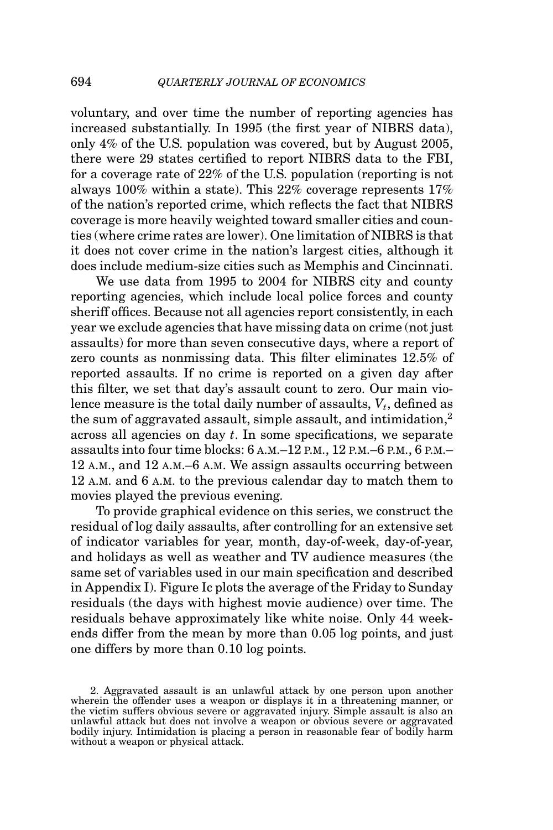voluntary, and over time the number of reporting agencies has increased substantially. In 1995 (the first year of NIBRS data), only 4% of the U.S. population was covered, but by August 2005, there were 29 states certified to report NIBRS data to the FBI, for a coverage rate of 22% of the U.S. population (reporting is not always 100% within a state). This 22% coverage represents 17% of the nation's reported crime, which reflects the fact that NIBRS coverage is more heavily weighted toward smaller cities and counties (where crime rates are lower). One limitation of NIBRS is that it does not cover crime in the nation's largest cities, although it does include medium-size cities such as Memphis and Cincinnati.

We use data from 1995 to 2004 for NIBRS city and county reporting agencies, which include local police forces and county sheriff offices. Because not all agencies report consistently, in each year we exclude agencies that have missing data on crime (not just assaults) for more than seven consecutive days, where a report of zero counts as nonmissing data. This filter eliminates 12.5% of reported assaults. If no crime is reported on a given day after this filter, we set that day's assault count to zero. Our main violence measure is the total daily number of assaults,  $V_t$ , defined as the sum of aggravated assault, simple assault, and intimidation, $<sup>2</sup>$ </sup> across all agencies on day *t*. In some specifications, we separate assaults into four time blocks: 6 A.M.–12 P.M., 12 P.M.–6 P.M., 6 P.M.– 12 A.M., and 12 A.M.–6 A.M. We assign assaults occurring between 12 A.M. and 6 A.M. to the previous calendar day to match them to movies played the previous evening.

To provide graphical evidence on this series, we construct the residual of log daily assaults, after controlling for an extensive set of indicator variables for year, month, day-of-week, day-of-year, and holidays as well as weather and TV audience measures (the same set of variables used in our main specification and described in Appendix I). Figure Ic plots the average of the Friday to Sunday residuals (the days with highest movie audience) over time. The residuals behave approximately like white noise. Only 44 weekends differ from the mean by more than 0.05 log points, and just one differs by more than 0.10 log points.

<sup>2.</sup> Aggravated assault is an unlawful attack by one person upon another wherein the offender uses a weapon or displays it in a threatening manner, or the victim suffers obvious severe or aggravated injury. Simple assault is also an unlawful attack but does not involve a weapon or obvious severe or aggravated bodily injury. Intimidation is placing a person in reasonable fear of bodily harm without a weapon or physical attack.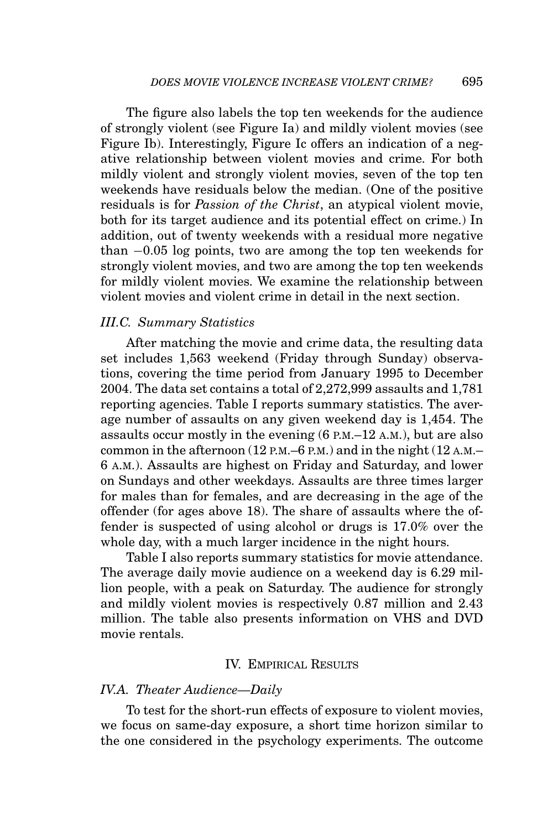The figure also labels the top ten weekends for the audience of strongly violent (see Figure Ia) and mildly violent movies (see Figure Ib). Interestingly, Figure Ic offers an indication of a negative relationship between violent movies and crime. For both mildly violent and strongly violent movies, seven of the top ten weekends have residuals below the median. (One of the positive residuals is for *Passion of the Christ*, an atypical violent movie, both for its target audience and its potential effect on crime.) In addition, out of twenty weekends with a residual more negative than −0.05 log points, two are among the top ten weekends for strongly violent movies, and two are among the top ten weekends for mildly violent movies. We examine the relationship between violent movies and violent crime in detail in the next section.

### *III.C. Summary Statistics*

After matching the movie and crime data, the resulting data set includes 1,563 weekend (Friday through Sunday) observations, covering the time period from January 1995 to December 2004. The data set contains a total of 2,272,999 assaults and 1,781 reporting agencies. Table I reports summary statistics. The average number of assaults on any given weekend day is 1,454. The assaults occur mostly in the evening (6 P.M.–12 A.M.), but are also common in the afternoon (12 P.M.–6 P.M.) and in the night (12 A.M.– 6 A.M.). Assaults are highest on Friday and Saturday, and lower on Sundays and other weekdays. Assaults are three times larger for males than for females, and are decreasing in the age of the offender (for ages above 18). The share of assaults where the offender is suspected of using alcohol or drugs is 17.0% over the whole day, with a much larger incidence in the night hours.

Table I also reports summary statistics for movie attendance. The average daily movie audience on a weekend day is 6.29 million people, with a peak on Saturday. The audience for strongly and mildly violent movies is respectively 0.87 million and 2.43 million. The table also presents information on VHS and DVD movie rentals.

### IV. EMPIRICAL RESULTS

#### *IV.A. Theater Audience—Daily*

To test for the short-run effects of exposure to violent movies, we focus on same-day exposure, a short time horizon similar to the one considered in the psychology experiments. The outcome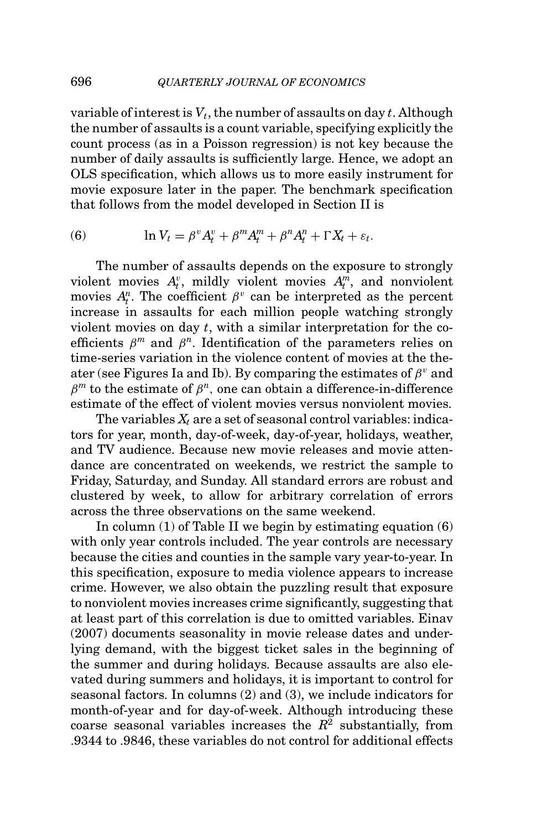variable of interest is  $V_t$ , the number of assaults on day  $t$ . Although the number of assaults is a count variable, specifying explicitly the count process (as in a Poisson regression) is not key because the number of daily assaults is sufficiently large. Hence, we adopt an OLS specification, which allows us to more easily instrument for movie exposure later in the paper. The benchmark specification that follows from the model developed in Section II is

(6) 
$$
\ln V_t = \beta^v A_t^v + \beta^m A_t^m + \beta^n A_t^n + \Gamma X_t + \varepsilon_t.
$$

The number of assaults depends on the exposure to strongly violent movies  $A_t^v$ , mildly violent movies  $A_t^m$ , and nonviolent movies  $A_t^n$ . The coefficient  $\beta^v$  can be interpreted as the percent increase in assaults for each million people watching strongly violent movies on day *t*, with a similar interpretation for the coefficients  $\beta^m$  and  $\beta^n$ . Identification of the parameters relies on time-series variation in the violence content of movies at the theater (see Figures Ia and Ib). By comparing the estimates of  $\beta^v$  and  $β<sup>m</sup>$  to the estimate of  $β<sup>n</sup>$ , one can obtain a difference-in-difference estimate of the effect of violent movies versus nonviolent movies.

The variables  $X_t$  are a set of seasonal control variables: indicators for year, month, day-of-week, day-of-year, holidays, weather, and TV audience. Because new movie releases and movie attendance are concentrated on weekends, we restrict the sample to Friday, Saturday, and Sunday. All standard errors are robust and clustered by week, to allow for arbitrary correlation of errors across the three observations on the same weekend.

In column  $(1)$  of Table II we begin by estimating equation  $(6)$ with only year controls included. The year controls are necessary because the cities and counties in the sample vary year-to-year. In this specification, exposure to media violence appears to increase crime. However, we also obtain the puzzling result that exposure to nonviolent movies increases crime significantly, suggesting that at least part of this correlation is due to omitted variables. Einav (2007) documents seasonality in movie release dates and underlying demand, with the biggest ticket sales in the beginning of the summer and during holidays. Because assaults are also elevated during summers and holidays, it is important to control for seasonal factors. In columns (2) and (3), we include indicators for month-of-year and for day-of-week. Although introducing these coarse seasonal variables increases the *R*<sup>2</sup> substantially, from .9344 to .9846, these variables do not control for additional effects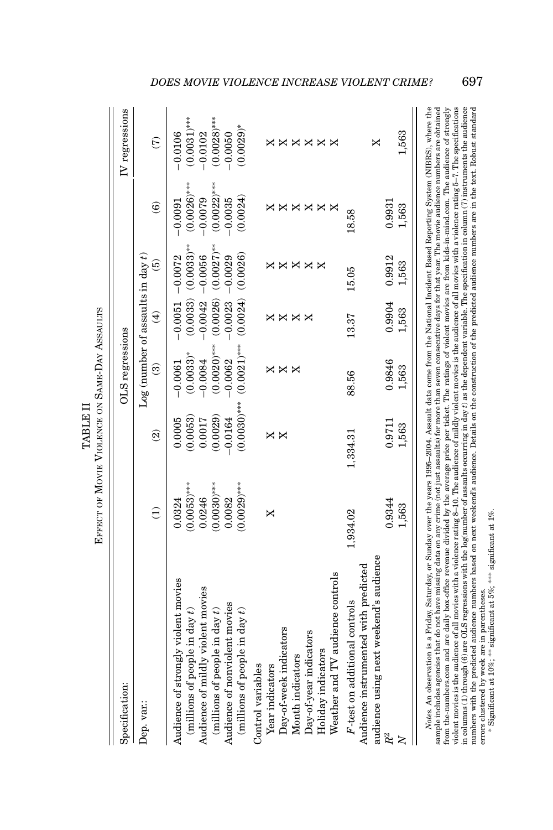|                                                                                                                                                      |                                         | OLS regressions                                                  |                                             |                          |                                          | IV regressions                              |
|------------------------------------------------------------------------------------------------------------------------------------------------------|-----------------------------------------|------------------------------------------------------------------|---------------------------------------------|--------------------------|------------------------------------------|---------------------------------------------|
| $\widehat{\ominus}$<br>Dep. var.:                                                                                                                    | $\widehat{\mathfrak{A}}$                | $Log$ (number of assaults in day $t$ )<br>$\widehat{\mathbf{e}}$ | $\widehat{\mathcal{F}}$                     | $\widehat{e}$            | $\widehat{\mathbf{e}}$                   | $\widehat{C}$                               |
| $(0.0053)***$<br>0.0246<br>0.0324<br>Audience of strongly violent movies<br>Audience of mildly violent movies<br>$(millions$ of people in day $t$ )  | (0.0053)<br>0.0005<br>0.0017            | $(0.0033)^*$<br>$-0.0084$<br>$-0.0061$                           | $-0.0042 - 0.0056$<br>$-0.0051 - 0.0072$    | $(0.0033)$ $(0.0033)$ ** | $(0.0026)$ ***<br>$-0.0079$<br>$-0.0091$ | $(0.0031)$ ***<br>$-0.0106$<br>$-0.0102$    |
| $(0.0029)$ ***<br>$(0.0030)$ ***<br>0.0082<br>Audience of nonviolent movies<br>$(millions$ of people in day $t$ )<br>$(millions of people in day t)$ | $(0.0030)$ ***<br>(0.0029)<br>$-0.0164$ | $(0.0021)$ ***<br>$0.0020$ )***<br>$-0.0062$                     | $(0.0024)$ $(0.0026)$<br>$-0.0023 - 0.0029$ | $(0.0026)$ $(0.0027)$ ** | $(0.0022)$ ***<br>(0.0024)<br>$-0.0035$  | $(0.0028)$ ***<br>$(0.0029)^*$<br>$-0.0050$ |
| ×<br>Control variables<br>Year indicators                                                                                                            | ×                                       | ×                                                                | ⋈                                           |                          |                                          |                                             |
| Day-of-week indicators                                                                                                                               | $\mathsf{X}$                            | Χ                                                                | X X                                         | ×                        | ×                                        | ×                                           |
| Day-of-year indicators<br>Month indicators                                                                                                           |                                         | $\mathsf{X}$                                                     | ×                                           | $\mathsf{X}$<br>Χ        | $\times$                                 |                                             |
| Weather and TV audience controls<br>Holiday indicators                                                                                               |                                         |                                                                  |                                             | X                        | $\times \times$                          | <b>XXXX</b>                                 |
| 1,934.02<br>audience using next weekend's audience<br>Audience instrumented with predicted<br>F-test on additional controls                          | 1,334.31                                | 88.56                                                            | 13.37                                       | 15.05                    | 18.58                                    | ×                                           |
| 0.9344<br>$R^2$                                                                                                                                      | 0.9711                                  | 0.9846                                                           | 0.9904                                      | 0.9912                   | 0.9931                                   |                                             |
| 1,563<br>$\geq$                                                                                                                                      | 1,563                                   | 1,563                                                            | 1,563                                       | 1,563                    | 1,563                                    | 1,563                                       |

Repert of Mour Violence on Samp Day Assames VIOLENCE ON SAME-DAY TABLE II TABLE II EFFECT OF

rom the-numbers.com and are daily pox-onde revenue divideo by the average price per ticket. I he ranns of volem movies are from kids-in-mind.com. Ine audience of strongly included and the second of the second of the secon from the-numbers.com and are daily box-office revenue divided by the average price per ticket. The ratings of violent movies are from kids-in-mind.com. The audience of strongly violent movies is the audience of all movies with a violence rating 8–10. The audience of mildly violent movies is the audience of all movies with a violence rating 5–7. The specifications in columns (1) through (6) are OLS regressions with the log(number of assaults occurring in day *t*) as the dependent variable. The specification in column (7) instruments the audience numbers with the predicted audience numbers based on next weekend's audience. Details on the construction of the predicted audience numbers are in the text. Robust standard errors clustered by week are in parentheses. <br>  $\phantom{ss}$  \* Significant at 10%, <br> \*\* significant at 5%, <br> \*\* significant at 1%. errors clustered by week are in parentheses.

\* Significant at 10%; \*\* significant at 5%; \*\*\* significant at 1%.

### *DOES MOVIE VIOLENCE INCREASE VIOLENT CRIME?* 697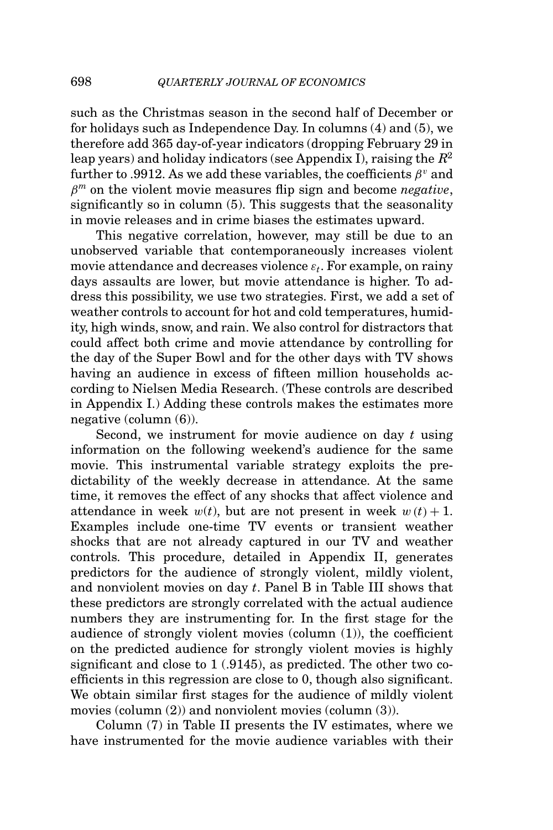such as the Christmas season in the second half of December or for holidays such as Independence Day. In columns (4) and (5), we therefore add 365 day-of-year indicators (dropping February 29 in leap years) and holiday indicators (see Appendix I), raising the *R*<sup>2</sup> further to .9912. As we add these variables, the coefficients  $\beta^v$  and β*<sup>m</sup>* on the violent movie measures flip sign and become *negative*, significantly so in column (5). This suggests that the seasonality in movie releases and in crime biases the estimates upward.

This negative correlation, however, may still be due to an unobserved variable that contemporaneously increases violent movie attendance and decreases violence ε*t*. For example, on rainy days assaults are lower, but movie attendance is higher. To address this possibility, we use two strategies. First, we add a set of weather controls to account for hot and cold temperatures, humidity, high winds, snow, and rain. We also control for distractors that could affect both crime and movie attendance by controlling for the day of the Super Bowl and for the other days with TV shows having an audience in excess of fifteen million households according to Nielsen Media Research. (These controls are described in Appendix I.) Adding these controls makes the estimates more negative (column (6)).

Second, we instrument for movie audience on day *t* using information on the following weekend's audience for the same movie. This instrumental variable strategy exploits the predictability of the weekly decrease in attendance. At the same time, it removes the effect of any shocks that affect violence and attendance in week  $w(t)$ , but are not present in week  $w(t) + 1$ . Examples include one-time TV events or transient weather shocks that are not already captured in our TV and weather controls. This procedure, detailed in Appendix II, generates predictors for the audience of strongly violent, mildly violent, and nonviolent movies on day *t*. Panel B in Table III shows that these predictors are strongly correlated with the actual audience numbers they are instrumenting for. In the first stage for the audience of strongly violent movies (column (1)), the coefficient on the predicted audience for strongly violent movies is highly significant and close to 1 (.9145), as predicted. The other two coefficients in this regression are close to 0, though also significant. We obtain similar first stages for the audience of mildly violent movies (column (2)) and nonviolent movies (column (3)).

Column (7) in Table II presents the IV estimates, where we have instrumented for the movie audience variables with their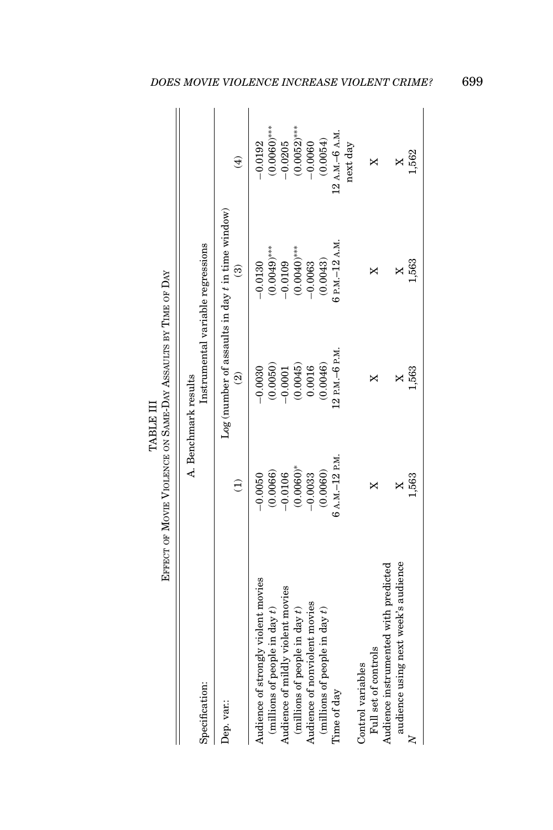|                                      | EFFECT OF MOVIE VIOLENCE ON SAME-DAY ASSAULTS BY TIME OF DAY |                          |                                                                              |                    |
|--------------------------------------|--------------------------------------------------------------|--------------------------|------------------------------------------------------------------------------|--------------------|
|                                      |                                                              | A. Benchmark results     |                                                                              |                    |
| Specification:                       |                                                              |                          | Instrumental variable regressions                                            |                    |
| Dep. var.:                           |                                                              | $\widehat{\mathfrak{D}}$ | Log (number of assaults in day $t$ in time window)<br>$\widehat{\mathbf{e}}$ | $\widehat{\Theta}$ |
| Audience of strongly violent movies  | $-0.0050$                                                    | $-0.0030$                | $-0.0130$                                                                    | $-0.0192$          |
| $(millions of people in day t)$      | 0.0066                                                       | (0.0050)                 | $(0.0049)$ ***                                                               | $0.0060$ ***       |
| Audience of mildly violent movies    | $-0.0106$                                                    | $-0.0001$                | $-0.0109$                                                                    | $-0.0205$          |
| (millions of people in day t)        | $(0.0060)*$                                                  | (0.0045)                 | $(0.0040)$ ***                                                               | $(0.0052)$ ***     |
| Audience of nonviolent movies        | $-0.0033$                                                    | 0.0016                   | $-0.0063$                                                                    | $-0.0060$          |
| (millions of people in day t)        | (0.0060)                                                     | (0.0046)                 | (0.0043)                                                                     | (0.0054)           |
| Time of day                          | 6 A.M.-12 P.M                                                | .2 P.M.-6 P.M.           | 3 P.M.-12 A.M.                                                               | 12 A.M.-6 A.M.     |
| Control variables                    |                                                              |                          |                                                                              | next day           |
| Full set of controls                 |                                                              |                          |                                                                              |                    |
| Audience instrumented with predicted |                                                              |                          |                                                                              |                    |
| audience using next week's audience  |                                                              |                          |                                                                              |                    |
|                                      | 1,563                                                        | 1,563                    | 1,563                                                                        | 1,562              |

| TABLE III | E VIOLENCE ON SAME-DAY ASSAULTS BY TIME |  |
|-----------|-----------------------------------------|--|
|           |                                         |  |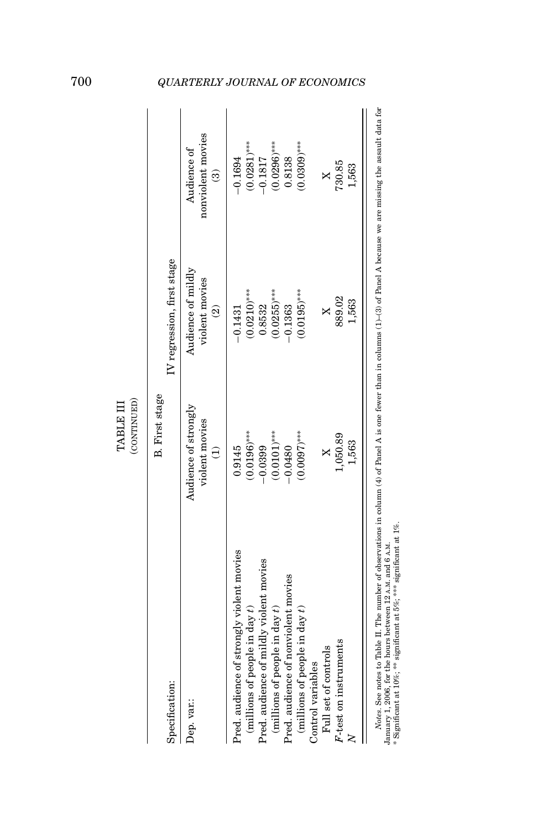|                                           | (CONTINUED)                            |                            |                        |
|-------------------------------------------|----------------------------------------|----------------------------|------------------------|
| Specification:                            | B. First stage                         | IV regression, first stage |                        |
|                                           |                                        | Audience of mildly         | Audience of            |
| Dep. var.:                                | Audience of strongly<br>violent movies | violent movies             | nonviolent movies      |
|                                           |                                        | $\widehat{\mathfrak{D}}$   | $\widehat{\mathbf{e}}$ |
| Pred. audience of strongly violent movies | 0.9145                                 | $-0.1431$                  | $-0.1694$              |
| $(millions of people in day t)$           | $(0.0196)$ ***                         | $0.0210$ <sup>***</sup>    | $(0.0281)$ ***         |
| Pred. audience of mildly violent movies   | $-0.0399$                              | 0.8532                     | $-0.1817$              |
| (millions of people in day t)             | $(0.0101)$ ***                         | $0.0255$ <sup>***</sup>    | $(0.0296)$ ***         |
| Pred. audience of nonviolent movies       | $-0.0480$                              | $-0.1363$                  | 0.8138                 |
| (millions of people in day t)             | $(0.0057)$ ***                         | $0.0195$ <sup>***</sup>    | $(0.0309)$ ***         |
| Control variables                         |                                        |                            |                        |
| Full set of controls                      | $\times$                               |                            | ×                      |
| $F$ -test on instruments                  | 1,050.89                               | 889.02                     | 730.85                 |
|                                           | 1,563                                  | 1,563                      | 1,563                  |

m a ta vu TABLE III

700 *QUARTERLY JOURNAL OF ECONOMICS*

*Notes*. See notes to Table II. The number of observations in column (4) of Panel A is one fewer than in columns (1)–(3) of Panel A because we are missing the assault data for à  $\overline{a}$ û  $\overline{a}$ Þ  $\mathbf{m}$  an Notes. See notes to Table II. The number of observations in<br>January 1, 2006, for the hours between 12 A.M. and 6 A.M.<br>\* Significant at 10%, \*\* significant at 5%, \*\*\* significant at 1%. January 1, 2006, for the hours between 12 A.M. and 6 A.M.

\* Significant at 10%; \*\* significant at 5%; \*\*\* significant at 1%.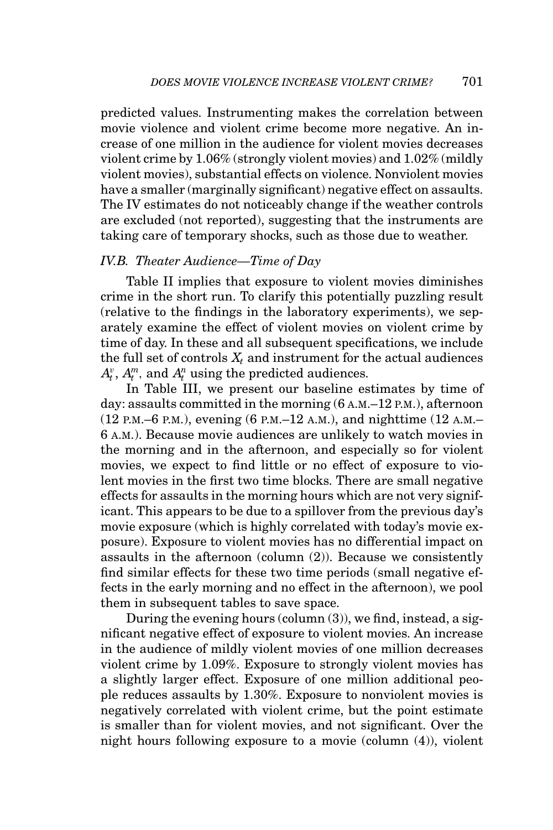predicted values. Instrumenting makes the correlation between movie violence and violent crime become more negative. An increase of one million in the audience for violent movies decreases violent crime by 1.06% (strongly violent movies) and 1.02% (mildly violent movies), substantial effects on violence. Nonviolent movies have a smaller (marginally significant) negative effect on assaults. The IV estimates do not noticeably change if the weather controls are excluded (not reported), suggesting that the instruments are taking care of temporary shocks, such as those due to weather.

### *IV.B. Theater Audience—Time of Day*

Table II implies that exposure to violent movies diminishes crime in the short run. To clarify this potentially puzzling result (relative to the findings in the laboratory experiments), we separately examine the effect of violent movies on violent crime by time of day. In these and all subsequent specifications, we include the full set of controls  $X_t$  and instrument for the actual audiences  $A_t^v$ ,  $A_t^m$ , and  $A_t^n$  using the predicted audiences.

In Table III, we present our baseline estimates by time of day: assaults committed in the morning (6 A.M.–12 P.M.), afternoon (12 P.M.–6 P.M.), evening (6 P.M.–12 A.M.), and nighttime (12 A.M.– 6 A.M.). Because movie audiences are unlikely to watch movies in the morning and in the afternoon, and especially so for violent movies, we expect to find little or no effect of exposure to violent movies in the first two time blocks. There are small negative effects for assaults in the morning hours which are not very significant. This appears to be due to a spillover from the previous day's movie exposure (which is highly correlated with today's movie exposure). Exposure to violent movies has no differential impact on assaults in the afternoon (column (2)). Because we consistently find similar effects for these two time periods (small negative effects in the early morning and no effect in the afternoon), we pool them in subsequent tables to save space.

During the evening hours (column (3)), we find, instead, a significant negative effect of exposure to violent movies. An increase in the audience of mildly violent movies of one million decreases violent crime by 1.09%. Exposure to strongly violent movies has a slightly larger effect. Exposure of one million additional people reduces assaults by 1.30%. Exposure to nonviolent movies is negatively correlated with violent crime, but the point estimate is smaller than for violent movies, and not significant. Over the night hours following exposure to a movie (column (4)), violent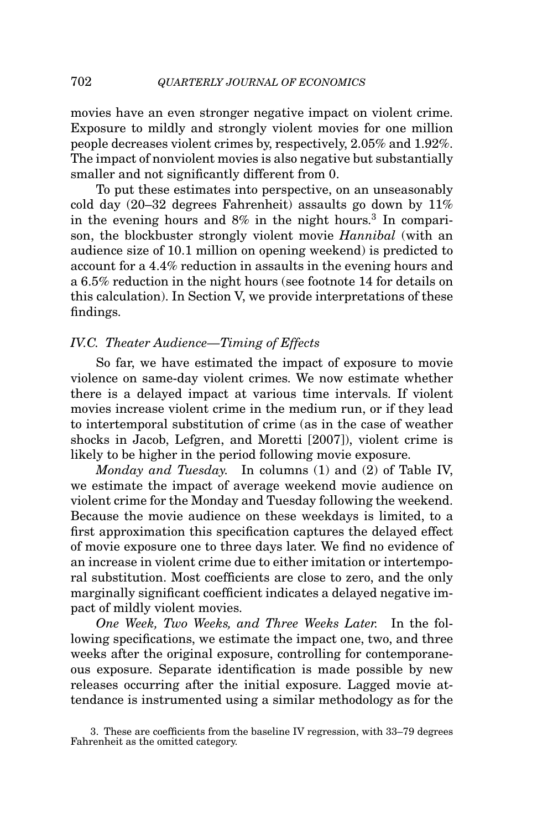movies have an even stronger negative impact on violent crime. Exposure to mildly and strongly violent movies for one million people decreases violent crimes by, respectively, 2.05% and 1.92%. The impact of nonviolent movies is also negative but substantially smaller and not significantly different from 0.

To put these estimates into perspective, on an unseasonably cold day (20–32 degrees Fahrenheit) assaults go down by 11% in the evening hours and  $8\%$  in the night hours.<sup>3</sup> In comparison, the blockbuster strongly violent movie *Hannibal* (with an audience size of 10.1 million on opening weekend) is predicted to account for a 4.4% reduction in assaults in the evening hours and a 6.5% reduction in the night hours (see footnote 14 for details on this calculation). In Section V, we provide interpretations of these findings.

### *IV.C. Theater Audience—Timing of Effects*

So far, we have estimated the impact of exposure to movie violence on same-day violent crimes. We now estimate whether there is a delayed impact at various time intervals. If violent movies increase violent crime in the medium run, or if they lead to intertemporal substitution of crime (as in the case of weather shocks in Jacob, Lefgren, and Moretti [2007]), violent crime is likely to be higher in the period following movie exposure.

*Monday and Tuesday.* In columns (1) and (2) of Table IV, we estimate the impact of average weekend movie audience on violent crime for the Monday and Tuesday following the weekend. Because the movie audience on these weekdays is limited, to a first approximation this specification captures the delayed effect of movie exposure one to three days later. We find no evidence of an increase in violent crime due to either imitation or intertemporal substitution. Most coefficients are close to zero, and the only marginally significant coefficient indicates a delayed negative impact of mildly violent movies.

*One Week, Two Weeks, and Three Weeks Later.* In the following specifications, we estimate the impact one, two, and three weeks after the original exposure, controlling for contemporaneous exposure. Separate identification is made possible by new releases occurring after the initial exposure. Lagged movie attendance is instrumented using a similar methodology as for the

<sup>3.</sup> These are coefficients from the baseline IV regression, with 33–79 degrees Fahrenheit as the omitted category.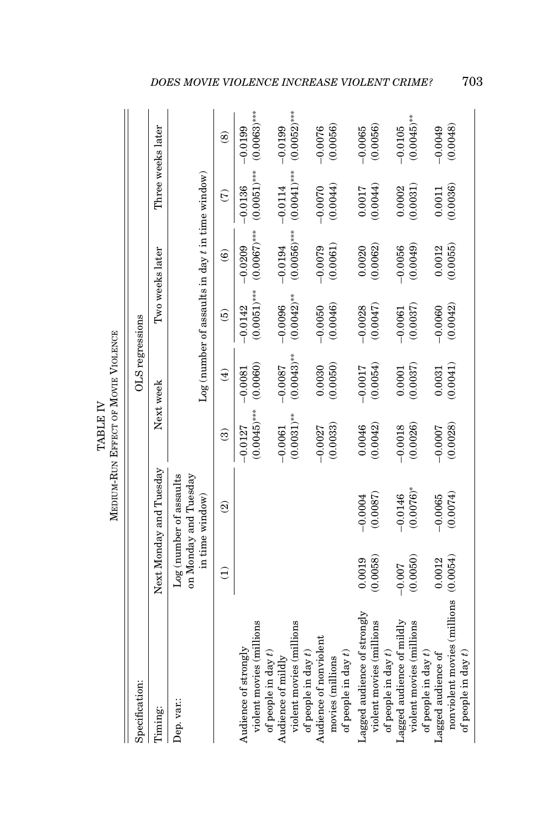|                                                                                                       |                      |                                                                     | MEDIUM-RUN EFFECT OF MOVIE VIOLENCE |                            |                            |                                                    |                                                           |                                            |
|-------------------------------------------------------------------------------------------------------|----------------------|---------------------------------------------------------------------|-------------------------------------|----------------------------|----------------------------|----------------------------------------------------|-----------------------------------------------------------|--------------------------------------------|
| Specification:                                                                                        |                      |                                                                     |                                     | OLS regressions            |                            |                                                    |                                                           |                                            |
| Timing:                                                                                               |                      | Next Monday and Tuesday                                             |                                     | Next week                  |                            | Two weeks later                                    | Three weeks later                                         |                                            |
| Dep. var.:                                                                                            |                      | Log (number of assaults<br>on Monday and Tuesday<br>in time window) |                                     |                            |                            | Log (number of assaults in day $t$ in time window) |                                                           |                                            |
|                                                                                                       | Э                    | $\widehat{\mathfrak{D}}$                                            | ම                                   | $\bigoplus$                | $\widehat{5}$              | $\widehat{\mathbf{e}}$                             | $\widehat{C}$                                             | $\widehat{\circ}$                          |
| violent movies (millions<br>Audience of strongly                                                      |                      |                                                                     | $(0.0045)$ ***<br>$-0.0127$         | (0.0060)<br>$-0.0081$      | $-0.0142$                  | $(0.0051)$ *** $(0.0067)$ ***<br>$-0.0209$         | $-0.0136$                                                 | $(0.0051)$ *** $(0.0063)$ ***<br>$-0.0199$ |
| violent movies (millions<br>of people in day $t$ )<br>Audience of mildly                              |                      |                                                                     | $(0.0031)$ **<br>$-0.0061$          | $(0.0043)$ **<br>$-0.0087$ | $(0.0042)$ **<br>$-0.0096$ | $-0.0194$                                          | $(0.0056)$ *** $(0.0041)$ *** $(0.0052)$ ***<br>$-0.0114$ | $-0.0199$                                  |
| Audience of nonviolent<br>of people in day $t$ )<br>of people in day $t$ )<br>movies (millions        |                      |                                                                     | (0.0033)<br>$-0.0027$               | (0.0050)<br>0.0030         | (0.0046)<br>$-0.0050$      | $-0.0079$<br>(0.0061)                              | (0.0044)<br>$-0.0070$                                     | (0.0056)<br>$-0.0076$                      |
| Lagged audience of strongly<br>violent movies (millions                                               | (0.0058)<br>0.0019   | (0.0087)<br>$-0.0004$                                               | (0.0042)<br>0.0046                  | (0.0054)<br>$-0.0017$      | (0.0047)<br>$-0.0028$      | (0.0062)<br>0.0020                                 | (0.0044)<br>0.0017                                        | (0.0056)<br>$-0.0065$                      |
| Lagged audience of mildly<br>violent movies (millions<br>of people in day t)                          | (0.0050)<br>$-0.007$ | (0.0076)<br>$-0.0146$                                               | (0.0026)<br>$-0.0018$               | (0.0037)<br>0.0001         | (0.0037)<br>$-0.0061$      | (0.0049)<br>$-0.0056$                              | (0.0031)<br>0.0002                                        | $(0.0045)$ **<br>$-0.0105$                 |
| nonviolent movies (millions<br>of people in day $t$ )<br>of people in day $t$ )<br>Lagged audience of | (0.0054)<br>0.0012   | (0.0074)<br>$-0.0065$                                               | (0.0028)<br>$-0.0007$               | (0.0041)<br>0.0031         | (0.0042)<br>$-0.0060$      | (0.0055)<br>0.0012                                 | (0.0036)<br>0.0011                                        | (0.0048)<br>$-0.0049$                      |
|                                                                                                       |                      |                                                                     |                                     |                            |                            |                                                    |                                                           |                                            |

TABLE IV MEDIUM-RUN EFFECT OF TABLE IV<br>MEDIUM-RUN EFFECT OF MOVIE VIOLENCE *DOES MOVIE VIOLENCE INCREASE VIOLENT CRIME?* 703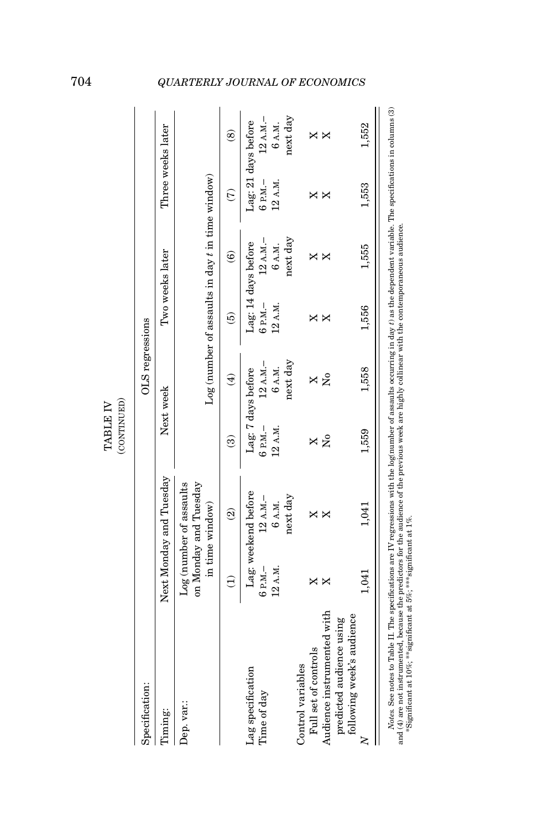| Specification:                                        |         |                                                                     |                | OLS regressions    |         |                                                   |                   |                     |
|-------------------------------------------------------|---------|---------------------------------------------------------------------|----------------|--------------------|---------|---------------------------------------------------|-------------------|---------------------|
| Timing:                                               |         | Next Monday and Tuesday                                             |                | Next week          |         | Two weeks later                                   | Three weeks later |                     |
| Dep. var.:                                            |         | on Monday and Tuesday<br>Log (number of assaults<br>in time window) |                |                    |         | $Log (number of assumes in day t in time window)$ |                   |                     |
|                                                       |         | ତ୍ର                                                                 | වි             | $\widehat{\Theta}$ | ම       | $\widehat{\mathbf{e}}$                            |                   | $\circledast$       |
| Lag specification                                     |         | Lag: weekend before                                                 |                | Lag: 7 days before |         | Lag: 14 days before                               |                   | Lag: 21 days before |
| Time of day                                           | 6 P.M.- | $12$<br>a.m.–                                                       | 6 P.M.-        | 12 A.M.-           | 6 P.M.- | 12 A.M.-                                          | $6$ P.M. $-$      | $12A.M. -$          |
|                                                       | 12 A.M. | 6 A.M.                                                              | 12 A.M.        | 6 A.M.             | 12 A.M. | 6 A.M.                                            | 12 A.M.           | 6 A.M.              |
|                                                       |         | next day                                                            |                | next day           |         | next day                                          |                   | next day            |
| Control variables                                     |         |                                                                     |                |                    |         |                                                   |                   |                     |
| Full set of controls                                  |         | ×                                                                   | X              | $\times \gtrsim$   | ×       | ×                                                 | $\times$          | ××                  |
| Audience instrumented with                            |         | X                                                                   | $\overline{R}$ |                    | X       | ×                                                 |                   |                     |
| following week's audience<br>predicted audience using |         |                                                                     |                |                    |         |                                                   |                   |                     |
|                                                       | 1,041   | 1,041                                                               | 1,559          | 1,558              | 1,556   | 1,555                                             | 1,553             | 1.552               |

 ${\bf TABLE\ IV} \label{eq:2}$   ${\bf (CONTINUED)}$ (CONTINUED) TABLE IV

and (4) are not instrumented, because the predictors for the audience of the previous week are highly collinear with the contemporaneous audience.<br>\*Significant at 10%, \*\*significant at 5%, \*\*\*significant at 1%. and (4) are not instrumented, because the predictors for the audience of the previous week are highly collinear with the contemporaneous audience. \*Significant at 10%; \*\*significant at 5%; \*\*\*significant at 1%.

# 704 *QUARTERLY JOURNAL OF ECONOMICS*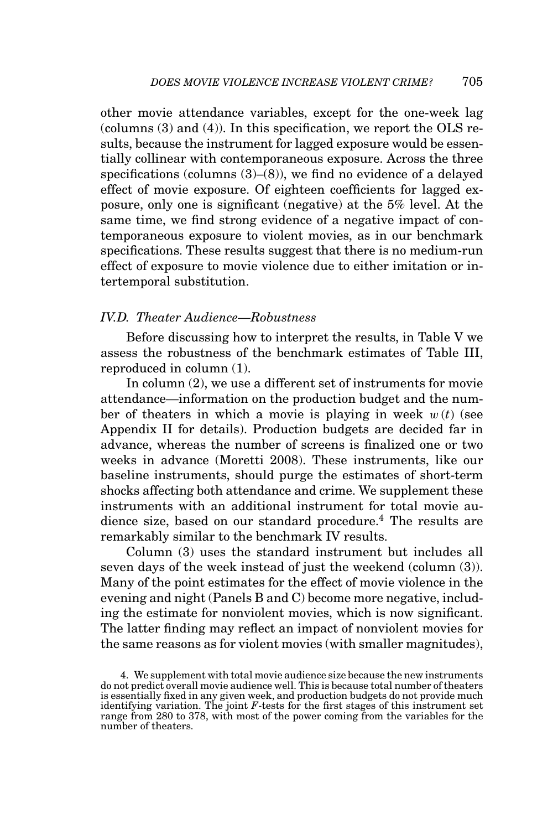other movie attendance variables, except for the one-week lag (columns (3) and (4)). In this specification, we report the OLS results, because the instrument for lagged exposure would be essentially collinear with contemporaneous exposure. Across the three specifications (columns  $(3)$ – $(8)$ ), we find no evidence of a delayed effect of movie exposure. Of eighteen coefficients for lagged exposure, only one is significant (negative) at the 5% level. At the same time, we find strong evidence of a negative impact of contemporaneous exposure to violent movies, as in our benchmark specifications. These results suggest that there is no medium-run effect of exposure to movie violence due to either imitation or intertemporal substitution.

### *IV.D. Theater Audience—Robustness*

Before discussing how to interpret the results, in Table V we assess the robustness of the benchmark estimates of Table III, reproduced in column (1).

In column (2), we use a different set of instruments for movie attendance—information on the production budget and the number of theaters in which a movie is playing in week  $w(t)$  (see Appendix II for details). Production budgets are decided far in advance, whereas the number of screens is finalized one or two weeks in advance (Moretti 2008). These instruments, like our baseline instruments, should purge the estimates of short-term shocks affecting both attendance and crime. We supplement these instruments with an additional instrument for total movie audience size, based on our standard procedure.<sup>4</sup> The results are remarkably similar to the benchmark IV results.

Column (3) uses the standard instrument but includes all seven days of the week instead of just the weekend (column (3)). Many of the point estimates for the effect of movie violence in the evening and night (Panels B and C) become more negative, including the estimate for nonviolent movies, which is now significant. The latter finding may reflect an impact of nonviolent movies for the same reasons as for violent movies (with smaller magnitudes),

<sup>4.</sup> We supplement with total movie audience size because the new instruments do not predict overall movie audience well. This is because total number of theaters is essentially fixed in any given week, and production budgets do not provide much identifying variation. The joint *F*-tests for the first stages of this instrument set range from 280 to 378, with most of the power coming from the variables for the number of theaters.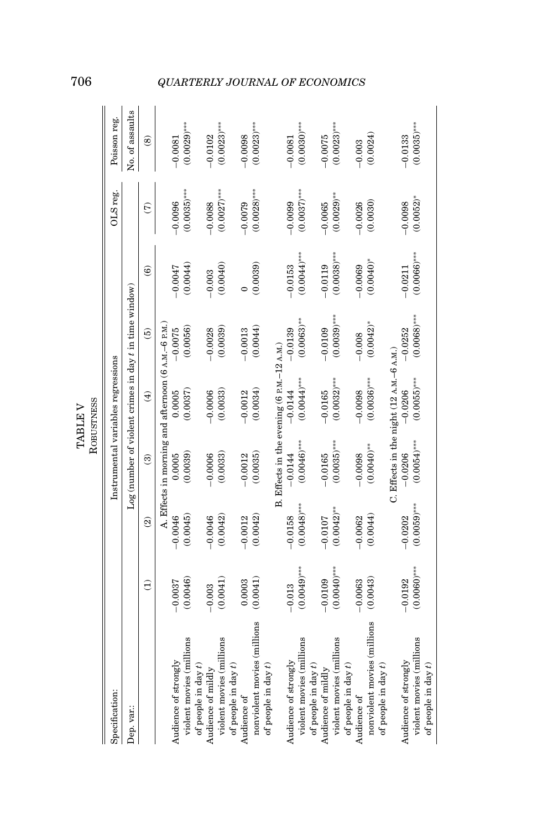|                             |                 |                          |                         | ROBUSTNESS<br><b>TABLE V</b>                               |                |                        |                      |                 |
|-----------------------------|-----------------|--------------------------|-------------------------|------------------------------------------------------------|----------------|------------------------|----------------------|-----------------|
| Specification:              |                 |                          |                         | Instrumental variables regressions                         |                |                        | OLS reg.             | Poisson reg.    |
| Dep. var.:                  |                 |                          |                         | $Log$ (number of violent crimes in day $t$ in time window) |                |                        |                      | No. of assaults |
|                             | $\widehat{\Xi}$ | $\widehat{\mathfrak{A}}$ | $\widehat{\mathcal{C}}$ | $\widehat{\mathfrak{X}}$                                   | $\widehat{5}$  | $\widehat{\mathbf{e}}$ | $\widehat{\epsilon}$ | $\circledast$   |
|                             |                 |                          |                         | A. Effects in morning and afternoon (6 A.M.-6 P.M.         |                |                        |                      |                 |
| Audience of strongly        | $-0.0037$       | $-0.0046$                | 0.0005                  | 0.0005                                                     | $-0.0075$      | $-0.0047$              | $-0.0096$            | $-0.0081$       |
| violent movies (millions    | (0.0046)        | (0.0045)                 | (0.0039)                | (0.0037)                                                   | (0.0056)       | (0.0044)               | $(0.0035)***$        | $(0.0029)$ ***  |
| of people in day $t$ )      |                 |                          |                         |                                                            |                |                        |                      |                 |
| Audience of mildly          | $-0.003$        | $-0.0046$                | $-0.0006$               | $-0.0006$                                                  | $-0.0028$      | $-0.003$               | $-0.0088$            | $-0.0102$       |
| violent movies (millions    | (0.0041)        | (0.0042)                 | (0.0033)                | (0.0033)                                                   | (0.0039)       | (0.0040)               | $(0.0027)***$        | $(0.0023)***$   |
| of people in day $t$ )      |                 |                          |                         |                                                            |                |                        |                      |                 |
| Audience of                 | 0.0003          | $-0.0012$                | $-0.0012$               | $-0.0012$                                                  | $-0.0013$      |                        | $-0.0079$            | $-0.0098$       |
| nonviolent movies (millions | (0.0041)        | (0.0042)                 | (0.0035)                | (0.0034)                                                   | (0.0044)       | (0.0039)               | $(0.0028)$ ***       | $(0.0023)$ ***  |
| of people in day $t$ )      |                 |                          |                         |                                                            |                |                        |                      |                 |
|                             |                 | $\overline{B}$           |                         | Effects in the evening (6 P.M.-12 A.M.)                    |                |                        |                      |                 |
| Audience of strongly        | $-0.013$        | $-0.0158$                | $-0.0144$               | $-0.0144$                                                  | $-0.0139$      | $-0.0153$              | $-0.0099$            | $-0.0081$       |
| violent movies (millions    | $(0.0049)$ ***  | $(0.0048)$ ***           | $(0.0046)$ ***          | $(0.0044)$ ***                                             | $(0.0063)$ **  | $(0.0044)$ ***         | $(0.0037)$ ***       | $(0.0030)$ ***  |
| of people in day $t$ )      |                 |                          |                         |                                                            |                |                        |                      |                 |
| Audience of mildly          | $-0.0109$       | $-0.0107$                | $-0.0165$               | $-0.0165$                                                  | $-0.0109$      | $-0.0119$              | $-0.0065$            | $-0.0075$       |
| violent movies (millions    | $(0.0040)$ ***  | $(0.0042)$ **            | $(0.0035)***$           | $(0.0032)$ ***                                             | $(0.0039)$ *** | $(0.0038)$ ***         | $(0.0029)$ **        | $(0.0023)***$   |
| of people in day $t$ )      |                 |                          |                         |                                                            |                |                        |                      |                 |
| Audience of                 | $-0.0063$       | $-0.0062$                | $-0.0098$               | $-0.0098$                                                  | $-0.008$       | $-0.0069$              | $-0.0026$            | $-0.003$        |
| nonviolent movies (millions | (0.0043)        | (0.0044)                 | $(0.0040)$ **           | $(0.0036)$ ***                                             | $(0.0042)^*$   | $(0.0040)$ *           | (0.0030)             | (0.0024)        |
| of people in day $t$ )      |                 |                          |                         |                                                            |                |                        |                      |                 |
|                             |                 |                          |                         | C. Effects in the night $(12 \text{ A.M.}-6 \text{ A.M.})$ |                |                        |                      |                 |
| Audience of strongly        | $-0.0192$       | $-0.0202$                | $-0.0206$               | $-0.0206$                                                  | $-0.0252$      | $-0.0211$              | $-0.0098$            | $-0.0133$       |
| violent movies (millions    | $(0.0060)$ ***  | $(0.0059)$ ***           | $(0.0054)$ ***          | $(0.0055)***$                                              | $(0.0068)$ *** | $(0.0066)$ ***         | $(0.0052)^*$         | $(0.0035)$ ***  |
| of people in day $t$ )      |                 |                          |                         |                                                            |                |                        |                      |                 |

# 706 *QUARTERLY JOURNAL OF ECONOMICS*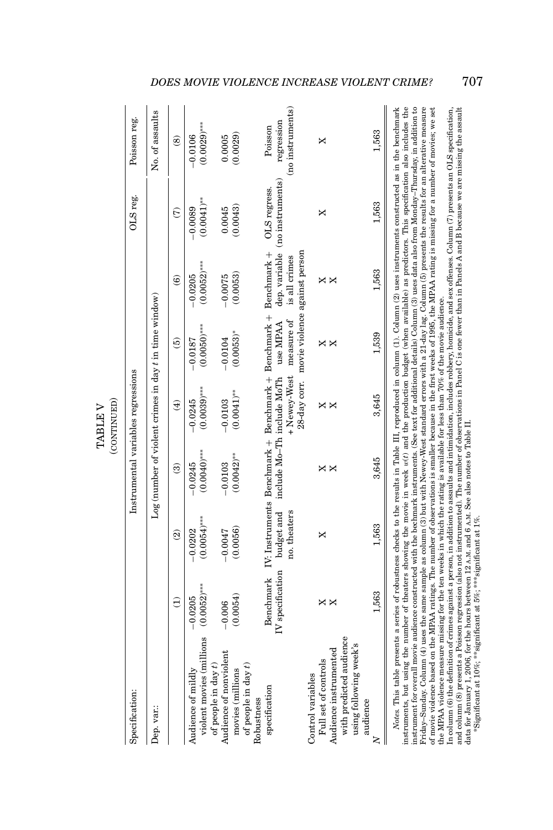|                                                                                                                                                                                                                                                                                                                                                                                                                                                                                                                                                                                                                                                                                                                                                                                                                                                                                                                                                                                                                                                                                                                                                                                                                                                                                                                                                                                                                                                                                                                                                                                                                  |                             |                                                                                                         |                             | <b>CONTINUED</b>                                           |                             |                                                  |                                                |                                           |
|------------------------------------------------------------------------------------------------------------------------------------------------------------------------------------------------------------------------------------------------------------------------------------------------------------------------------------------------------------------------------------------------------------------------------------------------------------------------------------------------------------------------------------------------------------------------------------------------------------------------------------------------------------------------------------------------------------------------------------------------------------------------------------------------------------------------------------------------------------------------------------------------------------------------------------------------------------------------------------------------------------------------------------------------------------------------------------------------------------------------------------------------------------------------------------------------------------------------------------------------------------------------------------------------------------------------------------------------------------------------------------------------------------------------------------------------------------------------------------------------------------------------------------------------------------------------------------------------------------------|-----------------------------|---------------------------------------------------------------------------------------------------------|-----------------------------|------------------------------------------------------------|-----------------------------|--------------------------------------------------|------------------------------------------------|-------------------------------------------|
| Specification:                                                                                                                                                                                                                                                                                                                                                                                                                                                                                                                                                                                                                                                                                                                                                                                                                                                                                                                                                                                                                                                                                                                                                                                                                                                                                                                                                                                                                                                                                                                                                                                                   |                             |                                                                                                         |                             | Instrumental variables regressions                         |                             |                                                  | OLS reg.                                       | Poisson reg.                              |
| Dep. var.:                                                                                                                                                                                                                                                                                                                                                                                                                                                                                                                                                                                                                                                                                                                                                                                                                                                                                                                                                                                                                                                                                                                                                                                                                                                                                                                                                                                                                                                                                                                                                                                                       |                             |                                                                                                         |                             | $Log($ number of violent crimes in day $t$ in time window) |                             |                                                  |                                                | No. of assaults                           |
|                                                                                                                                                                                                                                                                                                                                                                                                                                                                                                                                                                                                                                                                                                                                                                                                                                                                                                                                                                                                                                                                                                                                                                                                                                                                                                                                                                                                                                                                                                                                                                                                                  | $\widehat{\Xi}$             | $\widehat{2}$                                                                                           | $\widehat{\mathbf{e}}$      | $\bigoplus$                                                | $\widehat{\mathbf{b}}$      | $\widehat{\mathbf{6}}$                           | $\widehat{C}$                                  | $\circledS$                               |
| violent movies (millions<br>Audience of mildly                                                                                                                                                                                                                                                                                                                                                                                                                                                                                                                                                                                                                                                                                                                                                                                                                                                                                                                                                                                                                                                                                                                                                                                                                                                                                                                                                                                                                                                                                                                                                                   | $(0.0052)$ ***<br>$-0.0205$ | $(0.0054)$ ***<br>$-0.0202$                                                                             | $(0.0040)$ ***<br>$-0.0245$ | $(0.0039)$ ***<br>$-0.0245$                                | $(0.0050)$ ***<br>$-0.0187$ | $(0.0052)$ ***<br>$-0.0205$                      | $(0.0041)$ **<br>$-0.0089$                     | $(0.0029)$ ***<br>$-0.0106$               |
| Audience of nonviolent<br>of people in day $t$ )<br>of people in day $t$ )<br>movies (millions                                                                                                                                                                                                                                                                                                                                                                                                                                                                                                                                                                                                                                                                                                                                                                                                                                                                                                                                                                                                                                                                                                                                                                                                                                                                                                                                                                                                                                                                                                                   | (0.0054)<br>$-0.006$        | (0.0056)<br>$-0.0047$                                                                                   | $(0.0042)$ **<br>$-0.0103$  | $(0.0041)$ **<br>$-0.0103$                                 | $(0.0053)^*$<br>$-0.0104$   | (0.0053)<br>$-0.0075$                            | (0.0043)<br>0.0045                             | (0.0029)<br>0.0005                        |
| specification<br>Robustness                                                                                                                                                                                                                                                                                                                                                                                                                                                                                                                                                                                                                                                                                                                                                                                                                                                                                                                                                                                                                                                                                                                                                                                                                                                                                                                                                                                                                                                                                                                                                                                      | IV specification            | Benchmark IV: Instruments Benchmark + Benchmark + Benchmark + Benchmark +<br>budget and<br>no. theaters |                             | + Newey-West measure of<br>include Mo-Th include MoTh      | use MPAA                    | is all crimes                                    | dep. variable (no instruments)<br>OLS regress. | (no instruments)<br>regression<br>Poisson |
| with predicted audience<br>using following week's<br>Audience instrumented<br>Full set of controls<br>Control variables                                                                                                                                                                                                                                                                                                                                                                                                                                                                                                                                                                                                                                                                                                                                                                                                                                                                                                                                                                                                                                                                                                                                                                                                                                                                                                                                                                                                                                                                                          | ××                          | ×                                                                                                       | ××                          | ××                                                         | ××                          | 28-day corr. movie violence against person<br>×× | ×                                              | ×                                         |
| audience<br>2                                                                                                                                                                                                                                                                                                                                                                                                                                                                                                                                                                                                                                                                                                                                                                                                                                                                                                                                                                                                                                                                                                                                                                                                                                                                                                                                                                                                                                                                                                                                                                                                    | 1,563                       | 1,563                                                                                                   | 3,645                       | 3,645                                                      | 1,539                       | 1,563                                            | 1,563                                          | 1,563                                     |
| Notes. This table presents a series of robustness checks to the results in Table III, reproduced in column (1). Column (2) uses instruments constructed as in the benchmark<br>instruments, but using the number of theaters showing the movie in week w(t) and the production budget (when available) as predictors. This specification also includes the<br>instrument for overall movie audience constructed with the bechmark instruments. (See text for additional details) Column (3) uses data also from Monday–Thursday, in addition to<br>Friday–Sunday. Column (4) uses the same sample as column (3) but with Newey-West standard errors with a 21-day lag. Column (5) presents the results for an alterative measure<br>of movie violence based on the MPAA ratings. The number of observations is smaller because in the first weeks of 1995, the MPAA rating is missing for a number of movies; we set<br>In column (6) the definition of crimes against a person, in addition to assaults and intimidation, includes robbery, homicide, and sex offenses. Column (7) presents an OLS specification,<br>and column (8) presents a Poisson regression (also not instrumented). The number of observations in Panel C is one fewer than in Panels A and B because we are missing the assault<br>the MPAA violence measure missing for the ten weeks in which the rating is available for less than $70\%$ of the movie audience.<br>data for January 1, 2006, for the hours between 12 A.M. and 6 A.M. See also notes to Table II<br>Significant at 10%; ** significant at 5%; *** significant at 1% |                             |                                                                                                         |                             |                                                            |                             |                                                  |                                                |                                           |

(CONTINUED) **TABLE V** TABLE V

*DOES MOVIE VIOLENCE INCREASE VIOLENT CRIME?* 707

data for January 1, 2006, for the hours between 12 A.M. and 6 A.M. See also notes to Table II. \*Significant at 10%; \*\*significant at 5%; \*\*\*significant at 1%.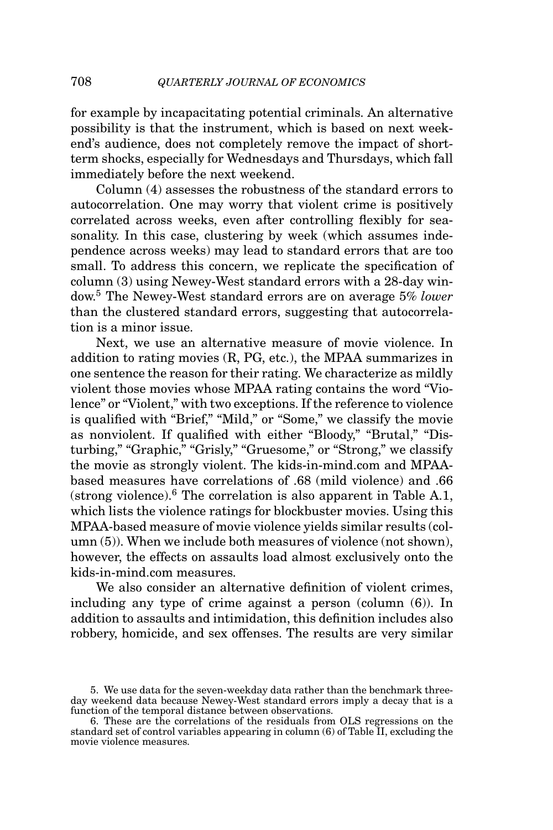for example by incapacitating potential criminals. An alternative possibility is that the instrument, which is based on next weekend's audience, does not completely remove the impact of shortterm shocks, especially for Wednesdays and Thursdays, which fall immediately before the next weekend.

Column (4) assesses the robustness of the standard errors to autocorrelation. One may worry that violent crime is positively correlated across weeks, even after controlling flexibly for seasonality. In this case, clustering by week (which assumes independence across weeks) may lead to standard errors that are too small. To address this concern, we replicate the specification of column (3) using Newey-West standard errors with a 28-day window.<sup>5</sup> The Newey-West standard errors are on average 5% *lower* than the clustered standard errors, suggesting that autocorrelation is a minor issue.

Next, we use an alternative measure of movie violence. In addition to rating movies (R, PG, etc.), the MPAA summarizes in one sentence the reason for their rating. We characterize as mildly violent those movies whose MPAA rating contains the word "Violence" or "Violent," with two exceptions. If the reference to violence is qualified with "Brief," "Mild," or "Some," we classify the movie as nonviolent. If qualified with either "Bloody," "Brutal," "Disturbing," "Graphic," "Grisly," "Gruesome," or "Strong," we classify the movie as strongly violent. The kids-in-mind.com and MPAAbased measures have correlations of .68 (mild violence) and .66 (strong violence). $6$  The correlation is also apparent in Table A.1, which lists the violence ratings for blockbuster movies. Using this MPAA-based measure of movie violence yields similar results (column (5)). When we include both measures of violence (not shown), however, the effects on assaults load almost exclusively onto the kids-in-mind.com measures.

We also consider an alternative definition of violent crimes, including any type of crime against a person (column (6)). In addition to assaults and intimidation, this definition includes also robbery, homicide, and sex offenses. The results are very similar

<sup>5.</sup> We use data for the seven-weekday data rather than the benchmark threeday weekend data because Newey-West standard errors imply a decay that is a function of the temporal distance between observations.

<sup>6.</sup> These are the correlations of the residuals from OLS regressions on the standard set of control variables appearing in column (6) of Table II, excluding the movie violence measures.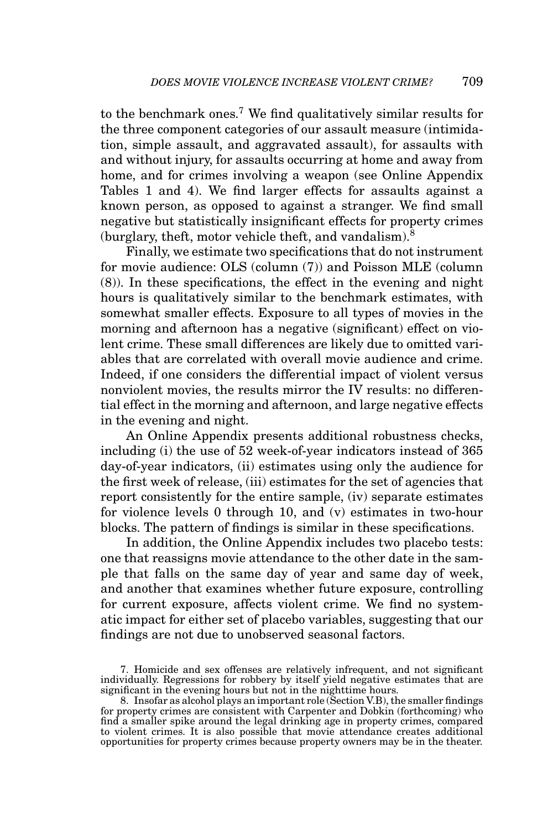to the benchmark ones.7 We find qualitatively similar results for the three component categories of our assault measure (intimidation, simple assault, and aggravated assault), for assaults with and without injury, for assaults occurring at home and away from home, and for crimes involving a weapon (see Online Appendix Tables 1 and 4). We find larger effects for assaults against a known person, as opposed to against a stranger. We find small negative but statistically insignificant effects for property crimes (burglary, theft, motor vehicle theft, and vandalism).8

Finally, we estimate two specifications that do not instrument for movie audience: OLS (column (7)) and Poisson MLE (column (8)). In these specifications, the effect in the evening and night hours is qualitatively similar to the benchmark estimates, with somewhat smaller effects. Exposure to all types of movies in the morning and afternoon has a negative (significant) effect on violent crime. These small differences are likely due to omitted variables that are correlated with overall movie audience and crime. Indeed, if one considers the differential impact of violent versus nonviolent movies, the results mirror the IV results: no differential effect in the morning and afternoon, and large negative effects in the evening and night.

An Online Appendix presents additional robustness checks, including (i) the use of 52 week-of-year indicators instead of 365 day-of-year indicators, (ii) estimates using only the audience for the first week of release, (iii) estimates for the set of agencies that report consistently for the entire sample, (iv) separate estimates for violence levels 0 through 10, and (v) estimates in two-hour blocks. The pattern of findings is similar in these specifications.

In addition, the Online Appendix includes two placebo tests: one that reassigns movie attendance to the other date in the sample that falls on the same day of year and same day of week, and another that examines whether future exposure, controlling for current exposure, affects violent crime. We find no systematic impact for either set of placebo variables, suggesting that our findings are not due to unobserved seasonal factors.

<sup>7.</sup> Homicide and sex offenses are relatively infrequent, and not significant individually. Regressions for robbery by itself yield negative estimates that are significant in the evening hours but not in the nighttime hours.

<sup>8.</sup> Insofar as alcohol plays an important role (Section V.B), the smaller findings for property crimes are consistent with Carpenter and Dobkin (forthcoming) who find a smaller spike around the legal drinking age in property crimes, compared to violent crimes. It is also possible that movie attendance creates additional opportunities for property crimes because property owners may be in the theater.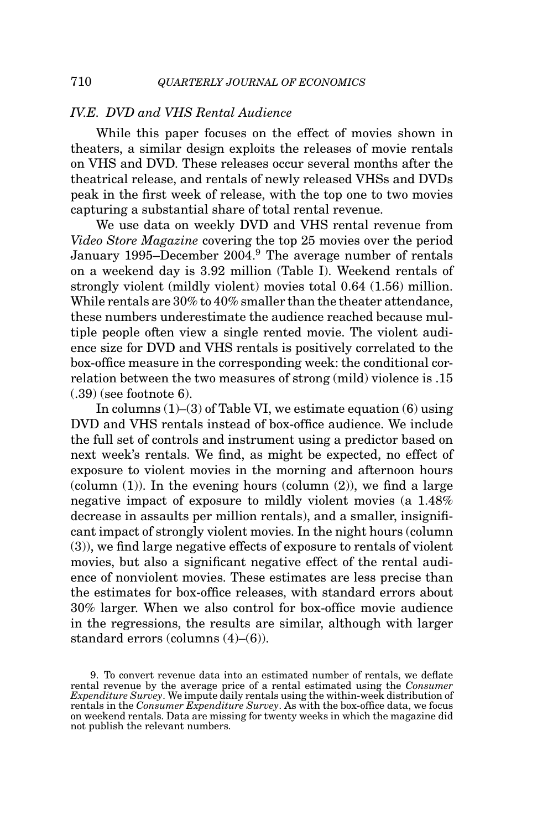### *IV.E. DVD and VHS Rental Audience*

While this paper focuses on the effect of movies shown in theaters, a similar design exploits the releases of movie rentals on VHS and DVD. These releases occur several months after the theatrical release, and rentals of newly released VHSs and DVDs peak in the first week of release, with the top one to two movies capturing a substantial share of total rental revenue.

We use data on weekly DVD and VHS rental revenue from *Video Store Magazine* covering the top 25 movies over the period January 1995–December 2004.9 The average number of rentals on a weekend day is 3.92 million (Table I). Weekend rentals of strongly violent (mildly violent) movies total 0.64 (1.56) million. While rentals are 30% to 40% smaller than the theater attendance, these numbers underestimate the audience reached because multiple people often view a single rented movie. The violent audience size for DVD and VHS rentals is positively correlated to the box-office measure in the corresponding week: the conditional correlation between the two measures of strong (mild) violence is .15 (.39) (see footnote 6).

In columns  $(1)$ – $(3)$  of Table VI, we estimate equation  $(6)$  using DVD and VHS rentals instead of box-office audience. We include the full set of controls and instrument using a predictor based on next week's rentals. We find, as might be expected, no effect of exposure to violent movies in the morning and afternoon hours (column  $(1)$ ). In the evening hours (column  $(2)$ ), we find a large negative impact of exposure to mildly violent movies (a 1.48% decrease in assaults per million rentals), and a smaller, insignificant impact of strongly violent movies. In the night hours (column (3)), we find large negative effects of exposure to rentals of violent movies, but also a significant negative effect of the rental audience of nonviolent movies. These estimates are less precise than the estimates for box-office releases, with standard errors about 30% larger. When we also control for box-office movie audience in the regressions, the results are similar, although with larger standard errors (columns (4)–(6)).

<sup>9.</sup> To convert revenue data into an estimated number of rentals, we deflate rental revenue by the average price of a rental estimated using the *Consumer Expenditure Survey*. We impute daily rentals using the within-week distribution of rentals in the *Consumer Expenditure Survey*. As with the box-office data, we focus on weekend rentals. Data are missing for twenty weeks in which the magazine did not publish the relevant numbers.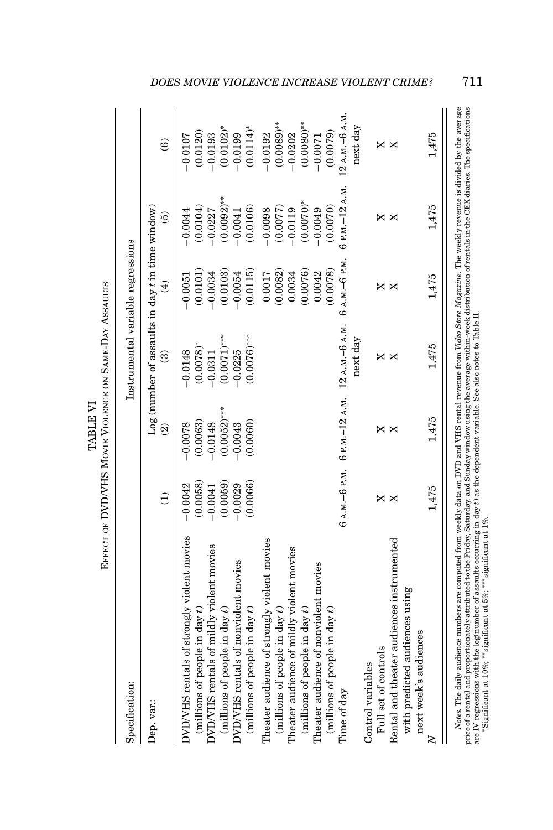| Specification:                                                                         |                       |                             | Instrumental variable regressions                                            |                         |                            |                            |
|----------------------------------------------------------------------------------------|-----------------------|-----------------------------|------------------------------------------------------------------------------|-------------------------|----------------------------|----------------------------|
| Dep. var.:                                                                             | $\widehat{\Xi}$       | $\widehat{S}$               | $Log (number of assumes in day t in time window)$<br>$\widehat{\mathcal{C}}$ | $\widehat{\mathcal{F}}$ | $\widehat{\mathbf{e}}$     | $\widehat{\mathbf{e}}$     |
| DVD/VHS rentals of strongly violent movies<br>$(\text{millions of people in day } t)$  | (0.0058)<br>$-0.0042$ | (0.0063)<br>$-0.0078$       | $(0.0078)$ *<br>$-0.0148$                                                    | 0.0101<br>$-0.0051$     | (0.0104)<br>$-0.0044$      | (0.0120)<br>$-0.0107$      |
| DVD/VHS rentals of mildly violent movies                                               | $-0.0041$             | $-0.0148$                   | $-0.0311$                                                                    | $-0.0034$               | $-0.0227$                  | $-0.0193$                  |
| DVD/VHS rentals of nonviolent movies<br>$(\text{millions of people in day } t)$        | (0.0059)<br>$-0.0029$ | $(0.0052)$ ***<br>$-0.0043$ | $(0.0071)$ ***<br>$-0.0225$                                                  | 0.0103<br>$-0.0054$     | $(0.0092)$ **<br>$-0.0041$ | $(0.0102)^*$<br>$-0.0199$  |
| $(\text{millions of people in day } t)$                                                | (0.0066)              | (0.0060)                    | $(0.0076)$ ***                                                               | (0.0115)                | (0.0106)                   | $(0.0114)^*$               |
| Theater audience of strongly violent movies<br>$(\text{millions of people in day } t)$ |                       |                             |                                                                              | (0.0082)<br>0.0017      | (0.0077)<br>$-0.0098$      | $(0.0089)$ **<br>$-0.0192$ |
| Theater audience of mildly violent movies                                              |                       |                             |                                                                              | 0.0034                  | $-0.0119$                  | $-0.0202$                  |
| (millions of people in day t)                                                          |                       |                             |                                                                              | (0.0076)                | $(0.0070)*$                | $(0.0080)$ **              |
| Theater audience of nonviolent movies                                                  |                       |                             |                                                                              | 0.0042                  | $-0.0049$                  | $-0.0071$                  |
| $(\text{millions of people in day } t)$                                                |                       |                             |                                                                              | (0.0078)                | (0.0070)                   | (0.0079)                   |
| Time of day                                                                            |                       |                             | 6 A.M.-6 P.M. 6 P.M.-12 A.M. 12 A.M.-6 A.M.<br>next day                      | 6 A.M.-6 P.M.           | 6 P.M. -12 A.M.            | 12 A.M.-6 A.M.<br>next day |
| Control variables                                                                      |                       |                             |                                                                              |                         |                            |                            |
| Full set of controls                                                                   | ×                     |                             |                                                                              |                         |                            | $\times$ $\times$          |
| Rental and theater audiences instrumented<br>with predicted audiences using            | Χ                     | $\times$                    | $\times$                                                                     | $\times$ $\times$       | $\times$                   |                            |
| next week's audiences                                                                  |                       |                             |                                                                              |                         |                            |                            |
| ζ                                                                                      | 1,475                 | 1,475                       | 1,475                                                                        | 1,475                   | 1,475                      | 1,475                      |

EFFECT OF DVD/VHS MOVE VIOLENCE ON SAME-DAY ASSAULTS VIOLENCE ON SAME-DAY TABLE VI TABLE VI EFFECT OF DVD/VHS MOVIE price of a rental and proportionately attributed to the Friday, Saturday, and Sunday window using the average within-week distribution of rentals in the CEX diaries. The specifications<br>are IV regressions with the log(numbe price of a rental and proportionately attributed to the Friday, Saturday, and Sunday window using the average within-week distribution of rentals in the CEX diaries. The specifications are IV regressions with the log(number of assaults occurring in day *t)* as the dependent variable. See also notes to Table II.<br>∗Significant at 10%; ∗∗significant at 5%; \*\*\*significant at 1%.

*DOES MOVIE VIOLENCE INCREASE VIOLENT CRIME?* 711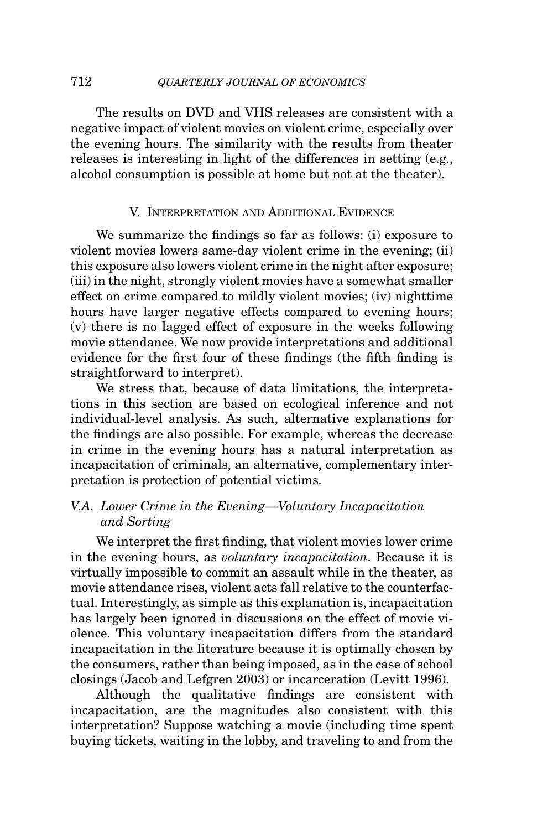The results on DVD and VHS releases are consistent with a negative impact of violent movies on violent crime, especially over the evening hours. The similarity with the results from theater releases is interesting in light of the differences in setting (e.g., alcohol consumption is possible at home but not at the theater).

### V. INTERPRETATION AND ADDITIONAL EVIDENCE

We summarize the findings so far as follows: (i) exposure to violent movies lowers same-day violent crime in the evening; (ii) this exposure also lowers violent crime in the night after exposure; (iii) in the night, strongly violent movies have a somewhat smaller effect on crime compared to mildly violent movies; (iv) nighttime hours have larger negative effects compared to evening hours; (v) there is no lagged effect of exposure in the weeks following movie attendance. We now provide interpretations and additional evidence for the first four of these findings (the fifth finding is straightforward to interpret).

We stress that, because of data limitations, the interpretations in this section are based on ecological inference and not individual-level analysis. As such, alternative explanations for the findings are also possible. For example, whereas the decrease in crime in the evening hours has a natural interpretation as incapacitation of criminals, an alternative, complementary interpretation is protection of potential victims.

## *V.A. Lower Crime in the Evening—Voluntary Incapacitation and Sorting*

We interpret the first finding, that violent movies lower crime in the evening hours, as *voluntary incapacitation*. Because it is virtually impossible to commit an assault while in the theater, as movie attendance rises, violent acts fall relative to the counterfactual. Interestingly, as simple as this explanation is, incapacitation has largely been ignored in discussions on the effect of movie violence. This voluntary incapacitation differs from the standard incapacitation in the literature because it is optimally chosen by the consumers, rather than being imposed, as in the case of school closings (Jacob and Lefgren 2003) or incarceration (Levitt 1996).

Although the qualitative findings are consistent with incapacitation, are the magnitudes also consistent with this interpretation? Suppose watching a movie (including time spent buying tickets, waiting in the lobby, and traveling to and from the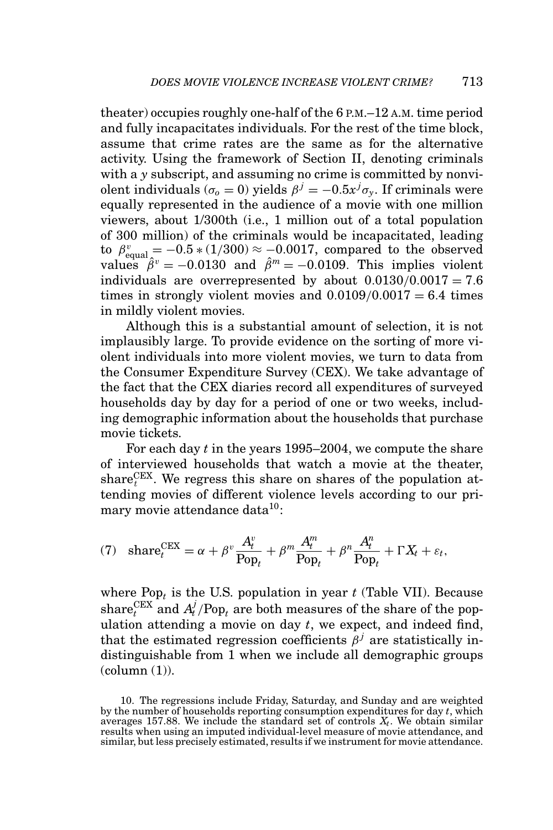theater) occupies roughly one-half of the 6 P.M.–12 A.M. time period and fully incapacitates individuals. For the rest of the time block, assume that crime rates are the same as for the alternative activity. Using the framework of Section II, denoting criminals with a *y* subscript, and assuming no crime is committed by nonviolent individuals ( $\sigma_o = 0$ ) yields  $\beta^j = -0.5x^j\sigma_y$ . If criminals were equally represented in the audience of a movie with one million viewers, about 1/300th (i.e., 1 million out of a total population of 300 million) of the criminals would be incapacitated, leading to  $\beta_{\text{equal}}^v = -0.5 * (1/300) \approx -0.0017$ , compared to the observed values  $\hat{\beta}^v = -0.0130$  and  $\hat{\beta}^m = -0.0109$ . This implies violent individuals are overrepresented by about  $0.0130/0.0017 = 7.6$ times in strongly violent movies and  $0.0109/0.0017 = 6.4$  times in mildly violent movies.

Although this is a substantial amount of selection, it is not implausibly large. To provide evidence on the sorting of more violent individuals into more violent movies, we turn to data from the Consumer Expenditure Survey (CEX). We take advantage of the fact that the CEX diaries record all expenditures of surveyed households day by day for a period of one or two weeks, including demographic information about the households that purchase movie tickets.

For each day *t* in the years 1995–2004, we compute the share of interviewed households that watch a movie at the theater,  $\text{share}_{t}^{\text{CEX}}$ . We regress this share on shares of the population attending movies of different violence levels according to our primary movie attendance data<sup>10</sup>:

(7) 
$$
\operatorname{share}_t^{\text{CEX}} = \alpha + \beta^v \frac{A_t^v}{\text{Pop}_t} + \beta^m \frac{A_t^m}{\text{Pop}_t} + \beta^n \frac{A_t^n}{\text{Pop}_t} + \Gamma X_t + \varepsilon_t,
$$

where  $Pop_t$  is the U.S. population in year  $t$  (Table VII). Because  $\text{share}_{t}^{\text{CEX}}$  and  $A_t^j/\text{Pop}_t$  are both measures of the share of the population attending a movie on day *t*, we expect, and indeed find, that the estimated regression coefficients  $\beta^{j}$  are statistically indistinguishable from 1 when we include all demographic groups (column (1)).

<sup>10.</sup> The regressions include Friday, Saturday, and Sunday and are weighted by the number of households reporting consumption expenditures for day *t*, which averages 157.88. We include the standard set of controls *Xt*. We obtain similar results when using an imputed individual-level measure of movie attendance, and similar, but less precisely estimated, results if we instrument for movie attendance.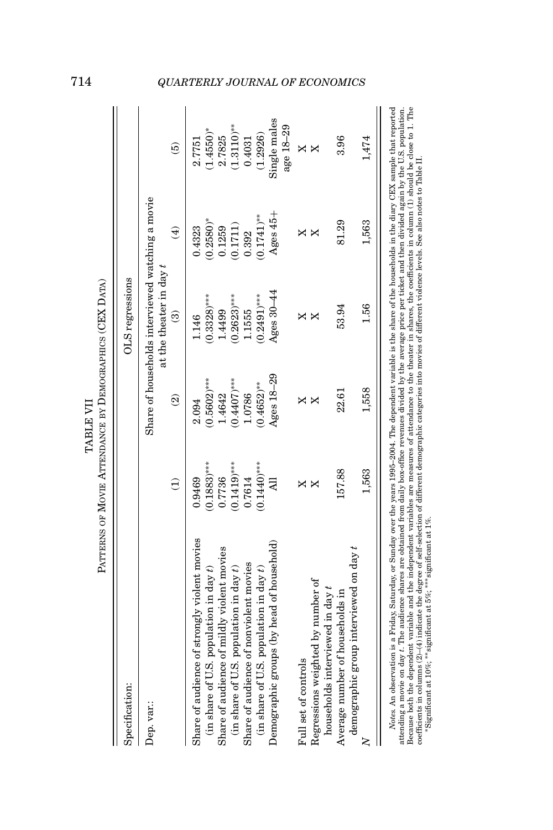| Specification:                                                                                                                                                                                                                                                                                                                                                                                                                                                                                                                                                                                                                                                                                                                                                                                                           |                  |                          | OLS regressions                                                             |               |               |
|--------------------------------------------------------------------------------------------------------------------------------------------------------------------------------------------------------------------------------------------------------------------------------------------------------------------------------------------------------------------------------------------------------------------------------------------------------------------------------------------------------------------------------------------------------------------------------------------------------------------------------------------------------------------------------------------------------------------------------------------------------------------------------------------------------------------------|------------------|--------------------------|-----------------------------------------------------------------------------|---------------|---------------|
| Dep. var.:                                                                                                                                                                                                                                                                                                                                                                                                                                                                                                                                                                                                                                                                                                                                                                                                               |                  |                          | Share of households interviewed watching a movie<br>at the theater in day t |               |               |
|                                                                                                                                                                                                                                                                                                                                                                                                                                                                                                                                                                                                                                                                                                                                                                                                                          | Э                | $\widehat{\mathfrak{D}}$ | $\widehat{\mathbf{e}}$                                                      | $\widehat{E}$ | ම             |
| Share of audience of strongly violent movies                                                                                                                                                                                                                                                                                                                                                                                                                                                                                                                                                                                                                                                                                                                                                                             | 0.9469           | 2.094                    | 1.146                                                                       | 1,4323        | 2.7751        |
| $(in share of U.S. population in day t)$                                                                                                                                                                                                                                                                                                                                                                                                                                                                                                                                                                                                                                                                                                                                                                                 | $(0.1883)$ ***   | $(0.5602)$ ***           | $(0.3328)$ ***                                                              | $(0.2580)^*$  | $(1.4550)*$   |
| Share of audience of mildly violent movies                                                                                                                                                                                                                                                                                                                                                                                                                                                                                                                                                                                                                                                                                                                                                                               | 0.7736           | 1.4642                   | 1.4499                                                                      | 0.1259        | 2.7825        |
| $(in share of U.S. population in day t)$                                                                                                                                                                                                                                                                                                                                                                                                                                                                                                                                                                                                                                                                                                                                                                                 | $(0.1419)$ ***   | $0.4407$ <sup>***</sup>  | $0.2623$ <sup>***</sup>                                                     | 0.1711        | $(1.3110)$ ** |
| Share of audience of nonviolent movies                                                                                                                                                                                                                                                                                                                                                                                                                                                                                                                                                                                                                                                                                                                                                                                   | 0.7614           | 1.0786                   | 1.1555                                                                      | 0.392         | 0.4031        |
| $(in share of U.S. population in day t)$                                                                                                                                                                                                                                                                                                                                                                                                                                                                                                                                                                                                                                                                                                                                                                                 | $(0.1440)^{***}$ | $0.4652$ <sup>**</sup>   | $0.2491$ <sup>***</sup>                                                     | $(0.1741)$ ** | (1.2926)      |
| Demographic groups (by head of household                                                                                                                                                                                                                                                                                                                                                                                                                                                                                                                                                                                                                                                                                                                                                                                 | $\overline{AB}$  | Ages 18-29               | Ages 30-44                                                                  | Ages 45+      | Single males  |
|                                                                                                                                                                                                                                                                                                                                                                                                                                                                                                                                                                                                                                                                                                                                                                                                                          |                  |                          |                                                                             |               | age 18-29     |
| Full set of controls                                                                                                                                                                                                                                                                                                                                                                                                                                                                                                                                                                                                                                                                                                                                                                                                     |                  | ×                        | ×                                                                           | ×             | ×             |
| Regressions weighted by number of                                                                                                                                                                                                                                                                                                                                                                                                                                                                                                                                                                                                                                                                                                                                                                                        | ×                | Χ                        | Χ                                                                           | Χ             | X             |
| households interviewed in day t                                                                                                                                                                                                                                                                                                                                                                                                                                                                                                                                                                                                                                                                                                                                                                                          |                  |                          |                                                                             |               |               |
| Average number of households in                                                                                                                                                                                                                                                                                                                                                                                                                                                                                                                                                                                                                                                                                                                                                                                          | 157.88           | 22.61                    | 53.94                                                                       | 81.29         | 3.96          |
| demographic group interviewed on day t                                                                                                                                                                                                                                                                                                                                                                                                                                                                                                                                                                                                                                                                                                                                                                                   |                  |                          |                                                                             |               |               |
|                                                                                                                                                                                                                                                                                                                                                                                                                                                                                                                                                                                                                                                                                                                                                                                                                          | 1,563            | 1,558                    | 1.56                                                                        | 1,563         | 1,474         |
| Because both the dependent variable and the independent variables are measures of attendance to the theater in shares, the coefficients in column (1) should be close to 1. The<br>Notes. An observation is a Friday, Saturday, or Sunday over the years 1995-2004. The dependent variable is the share of the households in the diary CEX sample that reported<br>attending a movie on day t. The audience shares are obtained from daily box-office revenues divided by the average price per ticket and then divided again by the U.S. population.<br>coefficients in columns (2)–(4) indicate the degree of self-selection of different demographic categories into movies of different violence levels. See also notes to Table II<br>'Significant at $10\%$ ; ** significant at $5\%$ ; *** significant at $1\%$ . |                  |                          |                                                                             |               |               |

PATTERNS OF MOVIE ATTENDANCE BY DEMOGRAPHICS (CEX DATA) DEMOGRAPHICS (CEX DATA) TABLE VII TABLE VII ATTENDANCE BY PATTERNS OF

# 714 *QUARTERLY JOURNAL OF ECONOMICS*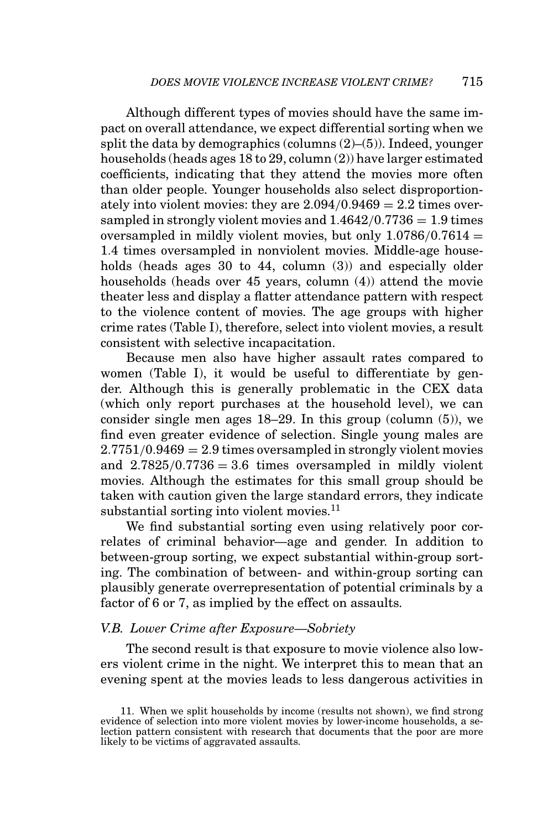Although different types of movies should have the same impact on overall attendance, we expect differential sorting when we split the data by demographics (columns  $(2)$ – $(5)$ ). Indeed, younger households (heads ages 18 to 29, column (2)) have larger estimated coefficients, indicating that they attend the movies more often than older people. Younger households also select disproportionately into violent movies: they are  $2.094/0.9469 = 2.2$  times oversampled in strongly violent movies and  $1.4642/0.7736 = 1.9$  times oversampled in mildly violent movies, but only  $1.0786/0.7614 =$ 1.4 times oversampled in nonviolent movies. Middle-age households (heads ages 30 to 44, column (3)) and especially older households (heads over 45 years, column (4)) attend the movie theater less and display a flatter attendance pattern with respect to the violence content of movies. The age groups with higher crime rates (Table I), therefore, select into violent movies, a result consistent with selective incapacitation.

Because men also have higher assault rates compared to women (Table I), it would be useful to differentiate by gender. Although this is generally problematic in the CEX data (which only report purchases at the household level), we can consider single men ages 18–29. In this group (column (5)), we find even greater evidence of selection. Single young males are  $2.7751/0.9469 = 2.9$  times oversampled in strongly violent movies and  $2.7825/0.7736 = 3.6$  times oversampled in mildly violent movies. Although the estimates for this small group should be taken with caution given the large standard errors, they indicate substantial sorting into violent movies.<sup>11</sup>

We find substantial sorting even using relatively poor correlates of criminal behavior—age and gender. In addition to between-group sorting, we expect substantial within-group sorting. The combination of between- and within-group sorting can plausibly generate overrepresentation of potential criminals by a factor of 6 or 7, as implied by the effect on assaults.

### *V.B. Lower Crime after Exposure—Sobriety*

The second result is that exposure to movie violence also lowers violent crime in the night. We interpret this to mean that an evening spent at the movies leads to less dangerous activities in

<sup>11.</sup> When we split households by income (results not shown), we find strong evidence of selection into more violent movies by lower-income households, a selection pattern consistent with research that documents that the poor are more likely to be victims of aggravated assaults.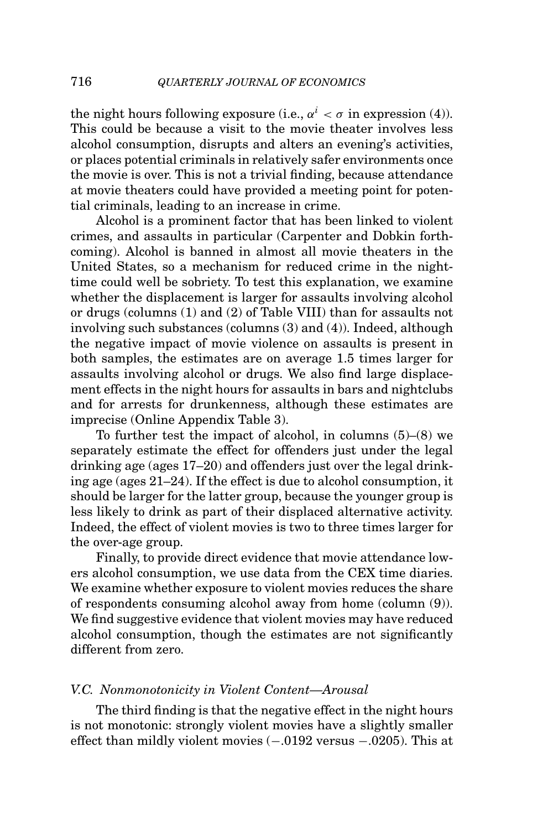the night hours following exposure (i.e.,  $\alpha^{i} < \sigma$  in expression (4)). This could be because a visit to the movie theater involves less alcohol consumption, disrupts and alters an evening's activities, or places potential criminals in relatively safer environments once the movie is over. This is not a trivial finding, because attendance at movie theaters could have provided a meeting point for potential criminals, leading to an increase in crime.

Alcohol is a prominent factor that has been linked to violent crimes, and assaults in particular (Carpenter and Dobkin forthcoming). Alcohol is banned in almost all movie theaters in the United States, so a mechanism for reduced crime in the nighttime could well be sobriety. To test this explanation, we examine whether the displacement is larger for assaults involving alcohol or drugs (columns (1) and (2) of Table VIII) than for assaults not involving such substances (columns (3) and (4)). Indeed, although the negative impact of movie violence on assaults is present in both samples, the estimates are on average 1.5 times larger for assaults involving alcohol or drugs. We also find large displacement effects in the night hours for assaults in bars and nightclubs and for arrests for drunkenness, although these estimates are imprecise (Online Appendix Table 3).

To further test the impact of alcohol, in columns (5)–(8) we separately estimate the effect for offenders just under the legal drinking age (ages 17–20) and offenders just over the legal drinking age (ages 21–24). If the effect is due to alcohol consumption, it should be larger for the latter group, because the younger group is less likely to drink as part of their displaced alternative activity. Indeed, the effect of violent movies is two to three times larger for the over-age group.

Finally, to provide direct evidence that movie attendance lowers alcohol consumption, we use data from the CEX time diaries. We examine whether exposure to violent movies reduces the share of respondents consuming alcohol away from home (column (9)). We find suggestive evidence that violent movies may have reduced alcohol consumption, though the estimates are not significantly different from zero.

### *V.C. Nonmonotonicity in Violent Content—Arousal*

The third finding is that the negative effect in the night hours is not monotonic: strongly violent movies have a slightly smaller effect than mildly violent movies (−.0192 versus −.0205). This at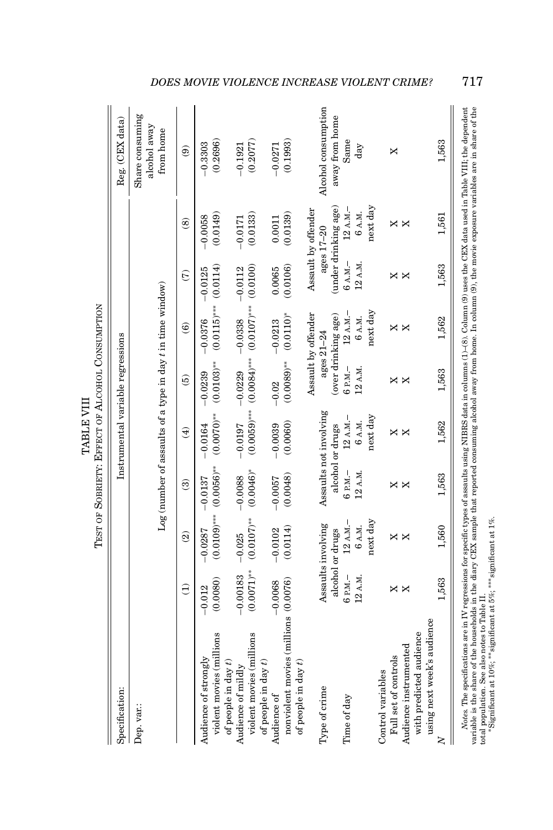|                                                                                                                                                                                    |                 |                          |                               | TEST OF SOBRIETY: EFFECT OF ALCOHOL CONSUMPTION                |                               |                           |                   |                      |                                              |
|------------------------------------------------------------------------------------------------------------------------------------------------------------------------------------|-----------------|--------------------------|-------------------------------|----------------------------------------------------------------|-------------------------------|---------------------------|-------------------|----------------------|----------------------------------------------|
| Specification:                                                                                                                                                                     |                 |                          |                               | Instrumental variable regressions                              |                               |                           |                   |                      | Reg. (CEX data)                              |
| Jep. var.:                                                                                                                                                                         |                 |                          |                               |                                                                |                               |                           |                   |                      | Share consuming<br>alcohol away<br>from home |
|                                                                                                                                                                                    |                 |                          |                               | $Log$ (number of assaults of a type in day $t$ in time window) |                               |                           |                   |                      |                                              |
|                                                                                                                                                                                    | $\widehat{\Xi}$ | $\widehat{\mathfrak{D}}$ | $\widehat{\mathbf{e}}$        | $\bigoplus$                                                    | $\widehat{6}$                 | $\widehat{\mathbf{e}}$    | $\widehat{c}$     | $\circledS$          | $\widehat{\mathbf{e}}$                       |
| Audience of strongly                                                                                                                                                               | $-0.012$        | $-0.0287$                | $-0.0137$                     | $-0.0164$                                                      | $-0.0239$                     | $-0.0376$                 | $-0.0125$         | $-0.0058$            | $-0.3303$                                    |
| violent movies (millions<br>of people in day $t$ )                                                                                                                                 | (0.0080)        |                          | $(0.0109)$ *** $(0.0056)$ *** | $(0.0070)$ **                                                  | $(0.0103)$ **                 | $(0.0115)$ *** $(0.0114)$ |                   | (0.0149)             | (0.2696)                                     |
| Audience of mildly                                                                                                                                                                 | $-0.00183$      | $-0.025$                 | $-0.0088$                     | $-0.0197$                                                      | $-0.0229$                     | $-0.0338$                 | $-0.0112$         | $-0.0171$            | $-0.1921$                                    |
| violent movies (millions<br>of people in day $t$ )                                                                                                                                 | $(0.0071)$ **   | $(0.0107)$ **            | $(0.0046)*$                   |                                                                | $(0.0059)$ *** $(0.0064)$ *** | $(0.0107)$ *** $(0.0100)$ |                   | (0.0133)             | (0.2077)                                     |
| Audience of                                                                                                                                                                        | $-0.0068$       | $-0.0102$                | $-0.0057$                     | $-0.0039$                                                      | $-0.02$                       | $-0.0213$                 | 0.0065            | 0.0011               | $-0.0271$                                    |
| nonviolent movies (millions (0.0076)<br>of people in day $t$ )                                                                                                                     |                 | (0.0114)                 | (0.0048)                      | (0.0060)                                                       | $(0.0089)$ **                 | $(0.0110)*$               | (0.0106)          | (0.0139)             | (0.1993)                                     |
|                                                                                                                                                                                    |                 |                          |                               |                                                                |                               | Assault by offender       |                   | Assault by offender  |                                              |
| Type of crime                                                                                                                                                                      |                 | Assaults involving       |                               | Assaults not involving                                         |                               | ages 21-24                |                   | ages $17-20$         | Alcohol consumption                          |
|                                                                                                                                                                                    |                 | alcohol or drugs         |                               | alcohol or drugs                                               |                               | (over drinking age)       |                   | (under drinking age) | away from home                               |
| Time of day                                                                                                                                                                        | 6 P.M.-         | 12 A.M.                  | 6 P.M.-                       | 12A.M.                                                         | 6 P.M.-                       | 12 A.M.-                  | 6 A.M.-           | 12 A.M.-             | Same                                         |
|                                                                                                                                                                                    | 12 A.M.         | 6 A.M.                   | 12 A.M.                       | 6 A.M.                                                         | 12 A.M.                       | 6 A.M.                    | 12 A.M.           | 6 A.M.               | day                                          |
|                                                                                                                                                                                    |                 | next day                 |                               | next day                                                       |                               | next day                  |                   | next day             |                                              |
| Control variables                                                                                                                                                                  |                 |                          |                               |                                                                |                               |                           |                   |                      |                                              |
| Full set of controls                                                                                                                                                               | ×               | $\times$ $\times$        | ××                            | $\times$ $\times$                                              | × ×                           | × ×                       | $\times$ $\times$ | $\times$ $\times$    | ×                                            |
| Audience instrumented                                                                                                                                                              | X               |                          |                               |                                                                |                               |                           |                   |                      |                                              |
| with predicted audience                                                                                                                                                            |                 |                          |                               |                                                                |                               |                           |                   |                      |                                              |
| using next week's audience                                                                                                                                                         |                 |                          |                               |                                                                |                               |                           |                   |                      |                                              |
|                                                                                                                                                                                    | 1,563           | 1,560                    | 1,563                         | 1,562                                                          | 1,563                         | 1,562                     | 1,563             | 1,561                | 1,563                                        |
| Notes. The specifications are in IV regressions for specific types of assaults using NIBRS data in columns (1)–(8). Column (9) uses the CEX data used in Table VIII; the dependent |                 |                          |                               |                                                                |                               |                           |                   |                      |                                              |

ć  $\begin{array}{c}\n\text{TABLE VIII} \\
\hline\n\end{array}$ TABLE VIII ć variable is the share of the homeoholds in the client of PSX sample that reported consuming alcohol away from home. In column (9), the movie exposure variables are in share of the homeoholds in the diary CEX sample that r variable is the share of the households in the diary CEX sample that reported consuming alcohol away from home. In column (9), the movie exposure variables are in share of the

*DOES MOVIE VIOLENCE INCREASE VIOLENT CRIME?* 717

total population. See also notes to Table II.<br>\* Significant at 10%; \*\* significant at 5%; \*\*\* significant at 1%.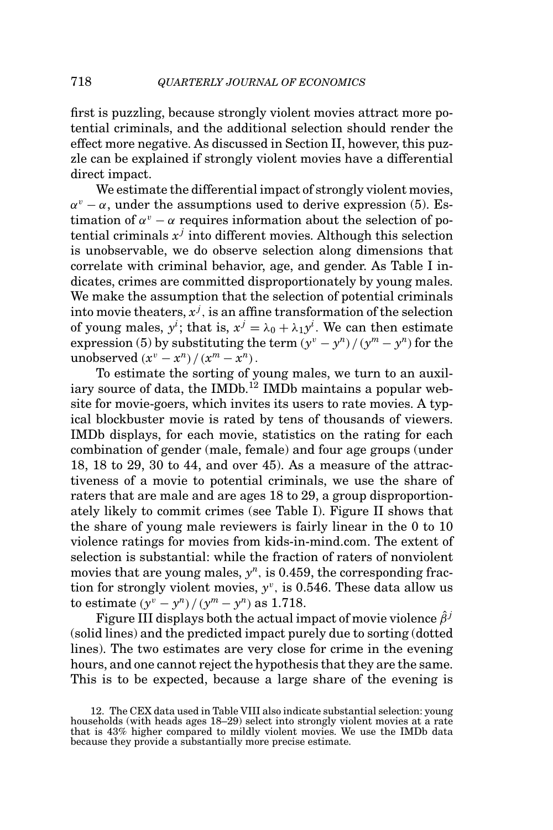first is puzzling, because strongly violent movies attract more potential criminals, and the additional selection should render the effect more negative. As discussed in Section II, however, this puzzle can be explained if strongly violent movies have a differential direct impact.

We estimate the differential impact of strongly violent movies,  $\alpha^v - \alpha$ , under the assumptions used to derive expression (5). Estimation of  $\alpha^v - \alpha$  requires information about the selection of potential criminals  $x^j$  into different movies. Although this selection is unobservable, we do observe selection along dimensions that correlate with criminal behavior, age, and gender. As Table I indicates, crimes are committed disproportionately by young males. We make the assumption that the selection of potential criminals into movie theaters,  $x^j$ , is an affine transformation of the selection of young males,  $y^i$ ; that is,  $x^j = \lambda_0 + \lambda_1 y^i$ . We can then estimate expression (5) by substituting the term  $(y^v - y^n)/(y^m - y^n)$  for the unobserved  $(x^v - x^n)/(x^m - x^n)$ .

To estimate the sorting of young males, we turn to an auxiliary source of data, the  $\text{IMDb.}^{12}$  IMD<sub>b</sub> maintains a popular website for movie-goers, which invites its users to rate movies. A typical blockbuster movie is rated by tens of thousands of viewers. IMDb displays, for each movie, statistics on the rating for each combination of gender (male, female) and four age groups (under 18, 18 to 29, 30 to 44, and over 45). As a measure of the attractiveness of a movie to potential criminals, we use the share of raters that are male and are ages 18 to 29, a group disproportionately likely to commit crimes (see Table I). Figure II shows that the share of young male reviewers is fairly linear in the 0 to 10 violence ratings for movies from kids-in-mind.com. The extent of selection is substantial: while the fraction of raters of nonviolent movies that are young males,  $y^n$ , is 0.459, the corresponding fraction for strongly violent movies,  $y^v$ , is 0.546. These data allow us to estimate  $(y^v - y^n)/(y^m - y^n)$  as 1.718.

Figure III displays both the actual impact of movie violence  $\hat{\beta}^j$ (solid lines) and the predicted impact purely due to sorting (dotted lines). The two estimates are very close for crime in the evening hours, and one cannot reject the hypothesis that they are the same. This is to be expected, because a large share of the evening is

<sup>12.</sup> The CEX data used in Table VIII also indicate substantial selection: young households (with heads ages 18–29) select into strongly violent movies at a rate that is 43% higher compared to mildly violent movies. We use the IMDb data because they provide a substantially more precise estimate.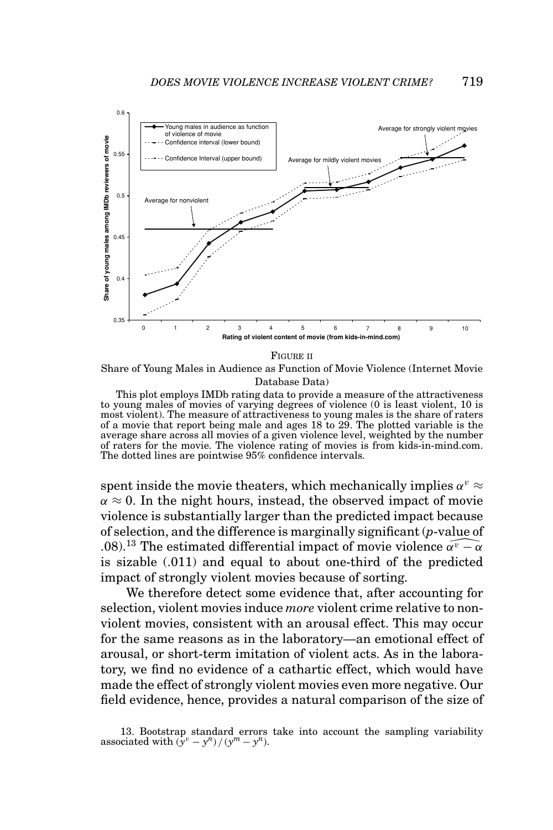

Share of Young Males in Audience as Function of Movie Violence (Internet Movie Database Data)

This plot employs IMDb rating data to provide a measure of the attractiveness to young males of movies of varying degrees of violence (0 is least violent, 10 is most violent). The measure of attractiveness to young males is the share of raters of a movie that report being male and ages 18 to 29. The plotted variable is the average share across all movies of a given violence level, weighted by the number of raters for the movie. The violence rating of movies is from kids-in-mind.com. The dotted lines are pointwise 95% confidence intervals.

spent inside the movie theaters, which mechanically implies  $\alpha^v \approx$  $\alpha \approx 0$ . In the night hours, instead, the observed impact of movie violence is substantially larger than the predicted impact because of selection, and the difference is marginally significant (*p*-value of .08).<sup>13</sup> The estimated differential impact of movie violence  $\widehat{\alpha^v - \alpha}$ is sizable (.011) and equal to about one-third of the predicted impact of strongly violent movies because of sorting.

We therefore detect some evidence that, after accounting for selection, violent movies induce *more* violent crime relative to nonviolent movies, consistent with an arousal effect. This may occur for the same reasons as in the laboratory—an emotional effect of arousal, or short-term imitation of violent acts. As in the laboratory, we find no evidence of a cathartic effect, which would have made the effect of strongly violent movies even more negative. Our field evidence, hence, provides a natural comparison of the size of

13. Bootstrap standard errors take into account the sampling variability associated with  $(\hat{y}^v - y^n) / (y^m - y^n)$ .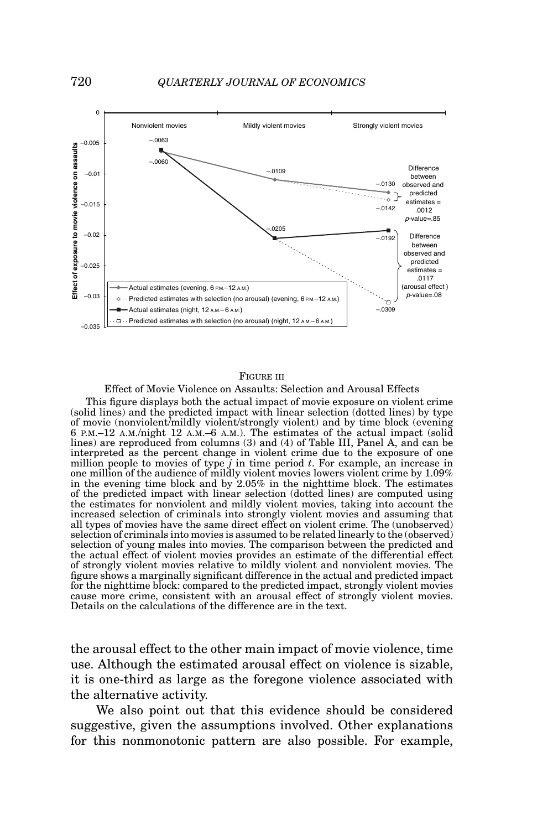

#### FIGURE III

Effect of Movie Violence on Assaults: Selection and Arousal Effects

This figure displays both the actual impact of movie exposure on violent crime (solid lines) and the predicted impact with linear selection (dotted lines) by type of movie (nonviolent/mildly violent/strongly violent) and by time block (evening 6 P.M.–12 A.M./night 12 A.M.–6 A.M.). The estimates of the actual impact (solid lines) are reproduced from columns (3) and (4) of Table III, Panel A, and can be interpreted as the percent change in violent crime due to the exposure of one million people to movies of type *j* in time period *t*. For example, an increase in one million of the audience of mildly violent movies lowers violent crime by 1.09% in the evening time block and by 2.05% in the nighttime block. The estimates of the predicted impact with linear selection (dotted lines) are computed using the estimates for nonviolent and mildly violent movies, taking into account the increased selection of criminals into strongly violent movies and assuming that all types of movies have the same direct effect on violent crime. The (unobserved) selection of criminals into movies is assumed to be related linearly to the (observed) selection of young males into movies. The comparison between the predicted and the actual effect of violent movies provides an estimate of the differential effect of strongly violent movies relative to mildly violent and nonviolent movies. The figure shows a marginally significant difference in the actual and predicted impact for the nighttime block: compared to the predicted impact, strongly violent movies cause more crime, consistent with an arousal effect of strongly violent movies. Details on the calculations of the difference are in the text.

the arousal effect to the other main impact of movie violence, time use. Although the estimated arousal effect on violence is sizable, it is one-third as large as the foregone violence associated with the alternative activity.

We also point out that this evidence should be considered suggestive, given the assumptions involved. Other explanations for this nonmonotonic pattern are also possible. For example,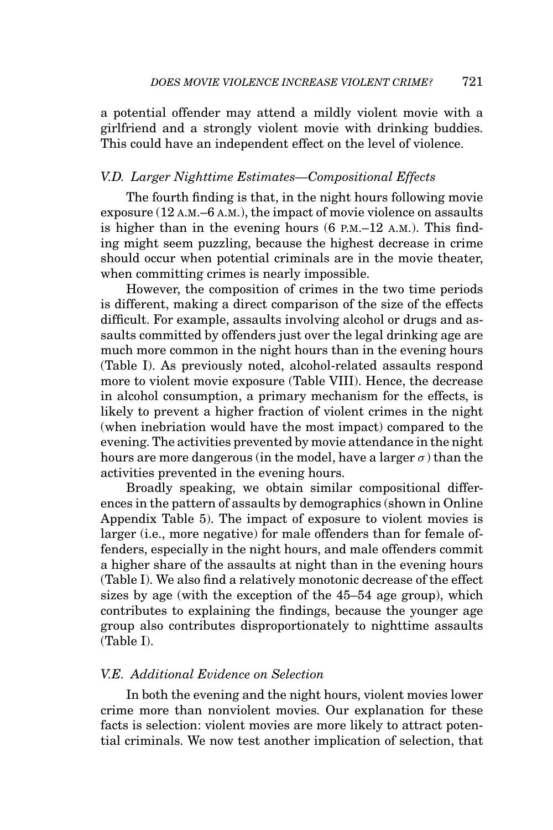a potential offender may attend a mildly violent movie with a girlfriend and a strongly violent movie with drinking buddies. This could have an independent effect on the level of violence.

### *V.D. Larger Nighttime Estimates—Compositional Effects*

The fourth finding is that, in the night hours following movie exposure (12 A.M.–6 A.M.), the impact of movie violence on assaults is higher than in the evening hours (6 P.M.–12 A.M.). This finding might seem puzzling, because the highest decrease in crime should occur when potential criminals are in the movie theater, when committing crimes is nearly impossible.

However, the composition of crimes in the two time periods is different, making a direct comparison of the size of the effects difficult. For example, assaults involving alcohol or drugs and assaults committed by offenders just over the legal drinking age are much more common in the night hours than in the evening hours (Table I). As previously noted, alcohol-related assaults respond more to violent movie exposure (Table VIII). Hence, the decrease in alcohol consumption, a primary mechanism for the effects, is likely to prevent a higher fraction of violent crimes in the night (when inebriation would have the most impact) compared to the evening. The activities prevented by movie attendance in the night hours are more dangerous (in the model, have a larger  $\sigma$ ) than the activities prevented in the evening hours.

Broadly speaking, we obtain similar compositional differences in the pattern of assaults by demographics (shown in Online Appendix Table 5). The impact of exposure to violent movies is larger (i.e., more negative) for male offenders than for female offenders, especially in the night hours, and male offenders commit a higher share of the assaults at night than in the evening hours (Table I). We also find a relatively monotonic decrease of the effect sizes by age (with the exception of the 45–54 age group), which contributes to explaining the findings, because the younger age group also contributes disproportionately to nighttime assaults (Table I).

## *V.E. Additional Evidence on Selection*

In both the evening and the night hours, violent movies lower crime more than nonviolent movies. Our explanation for these facts is selection: violent movies are more likely to attract potential criminals. We now test another implication of selection, that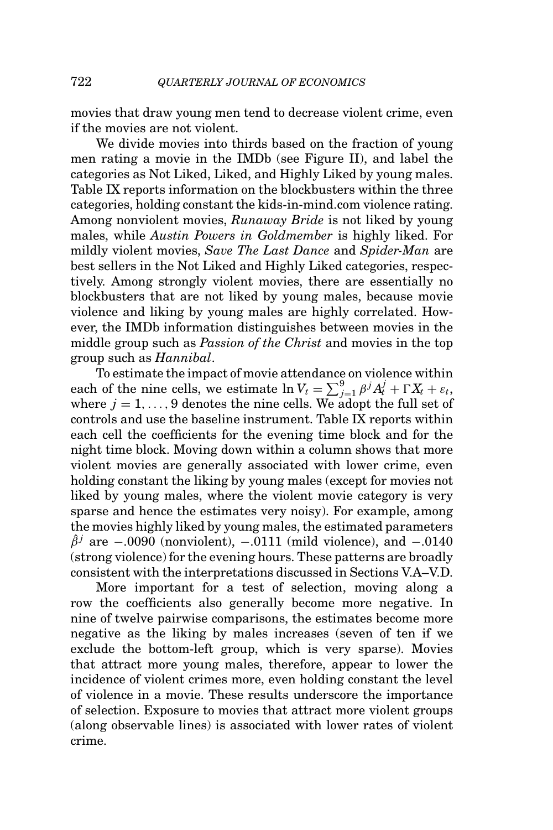movies that draw young men tend to decrease violent crime, even if the movies are not violent.

We divide movies into thirds based on the fraction of young men rating a movie in the IMDb (see Figure II), and label the categories as Not Liked, Liked, and Highly Liked by young males. Table IX reports information on the blockbusters within the three categories, holding constant the kids-in-mind.com violence rating. Among nonviolent movies, *Runaway Bride* is not liked by young males, while *Austin Powers in Goldmember* is highly liked. For mildly violent movies, *Save The Last Dance* and *Spider-Man* are best sellers in the Not Liked and Highly Liked categories, respectively. Among strongly violent movies, there are essentially no blockbusters that are not liked by young males, because movie violence and liking by young males are highly correlated. However, the IMDb information distinguishes between movies in the middle group such as *Passion of the Christ* and movies in the top group such as *Hannibal*.

To estimate the impact of movie attendance on violence within each of the nine cells, we estimate  $\ln V_t = \sum_{j=1}^9 \beta^j A_t^j + \Gamma X_t + \varepsilon_t$ , where  $j = 1, \ldots, 9$  denotes the nine cells. We adopt the full set of controls and use the baseline instrument. Table IX reports within each cell the coefficients for the evening time block and for the night time block. Moving down within a column shows that more violent movies are generally associated with lower crime, even holding constant the liking by young males (except for movies not liked by young males, where the violent movie category is very sparse and hence the estimates very noisy). For example, among the movies highly liked by young males, the estimated parameters  $\hat{\beta}$ <sup>*j*</sup> are -.0090 (nonviolent), -.0111 (mild violence), and -.0140 (strong violence) for the evening hours. These patterns are broadly consistent with the interpretations discussed in Sections V.A–V.D.

More important for a test of selection, moving along a row the coefficients also generally become more negative. In nine of twelve pairwise comparisons, the estimates become more negative as the liking by males increases (seven of ten if we exclude the bottom-left group, which is very sparse). Movies that attract more young males, therefore, appear to lower the incidence of violent crimes more, even holding constant the level of violence in a movie. These results underscore the importance of selection. Exposure to movies that attract more violent groups (along observable lines) is associated with lower rates of violent crime.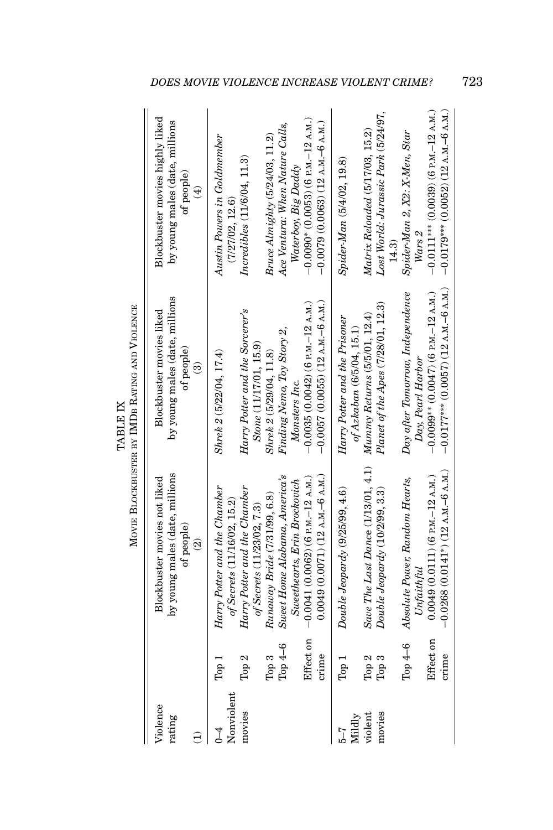| MOVIE BLOCKBUSTER BY IMDB RATING AND VIOLENCE | Blockbuster movies highly liked<br>by young males (date, millions<br>of people)<br>$\widehat{E}$<br>by young males (date, millions<br>Blockbuster movies liked<br>of people)<br>$\widehat{\mathbf{c}}$ | $-0.0090^*$ (0.0053) (6 P.M. $-12$ A.M.)<br>$-0.0079(0.0063)(12 A.M.-6 A.M.)$<br>Ace Ventura: When Nature Calls,<br>Bruce Almighty (5/24/03, 11.2)<br>Austin Powers in Goldmember<br>$\emph{Incredibles}$ $(11/6/04, 11.3)$<br>Waterboy, Big Daddy<br>(7/27/02, 12.6)<br>$-0.0057(0.0055)(12 A.M.-6 A.M.)$<br>$-0.0035(0.0042)(6 P.M.-12 A.M.)$<br>Harry Potter and the Sorcerer's<br>Finding Nemo, Toy Story 2,<br>Stone (11/17/01, 15.9)<br>Shrek 2 (5/29/04, 11.8)<br>Shrek 2 (5/22/04, 17.4)<br>Monsters Inc. | $-0.0111***(0.0039)(6 P.M.-12 A.M.)$<br>$-0.0179***$ (0.0052) (12 A.M.-6 A.M.)<br>Lost World: Jurassic Park (5/24/97,<br>Matrix Reloaded (5/17/03, 15.2)<br>Spider-Man 2, X2: X-Men, Star<br>Spider-Man (5/4/02, 19.8)<br>Wars 2<br>14.3<br>$-0.0177***$ (0.0057) (12 A.M. -6 A.M.)<br>$-0.0099**$ (0.0047) (6 P.M. $-12$ A.M.)<br>Day after Tomorrow, Independence<br>$Planet$ of the Apes $(7/28/01, 12.3)$<br>Mummy Returns (5/5/01, 12.4)<br>Harry Potter and the Prisoner<br>of Azkaban (6/5/04, 15.1)<br>Day, Pearl Harbor |
|-----------------------------------------------|--------------------------------------------------------------------------------------------------------------------------------------------------------------------------------------------------------|-------------------------------------------------------------------------------------------------------------------------------------------------------------------------------------------------------------------------------------------------------------------------------------------------------------------------------------------------------------------------------------------------------------------------------------------------------------------------------------------------------------------|----------------------------------------------------------------------------------------------------------------------------------------------------------------------------------------------------------------------------------------------------------------------------------------------------------------------------------------------------------------------------------------------------------------------------------------------------------------------------------------------------------------------------------|
|                                               | by young males (date, millions<br>Blockbuster movies not liked<br>of people)<br>$\widehat{\mathfrak{D}}$                                                                                               | Sweet Home Alabama, America's<br>$0.0049(0.0071)(12 A.M.-6 A.M.)$<br>$-0.0041(0.0062)(6 P.M.-12 A.M.)$<br>Sweethearts, Erin Brockovich<br>Harry Potter and the Chamber<br>Harry Potter and the Chamber<br>Runaway Bride (7/31/99, 6.8)<br>of Secrets $(11/16/02, 15.2)$<br>of Secrets $(11/23/02, 7.3)$                                                                                                                                                                                                           | Save The Last Dance $(1/13/01, 4.1)$<br>$-0.0268(0.0141^*)$ (12 A.M. -6 A.M.)<br>$0.0049(0.0111)(6 P.M.-12 A.M.)$<br>Absolute Power, Random Hearts,<br>Double Jeopardy (9/25/99, 4.6)<br>Double Jeopardy (10/2/99, 3.3)<br>$\it Unfaithtu$                                                                                                                                                                                                                                                                                       |
|                                               |                                                                                                                                                                                                        | Effect on<br>$Top 4-6$<br>crime<br>Top <sub>2</sub><br>Top 3<br>Top <sub>1</sub>                                                                                                                                                                                                                                                                                                                                                                                                                                  | Effect on<br>Top 4–6<br>Top $2$<br>crime<br>Top 3<br>Top <sub>1</sub>                                                                                                                                                                                                                                                                                                                                                                                                                                                            |
|                                               | Violence<br>rating<br>$\widehat{\Xi}$                                                                                                                                                                  | Nonviolent<br>movies<br>$\overline{C}$                                                                                                                                                                                                                                                                                                                                                                                                                                                                            | movies<br>violent<br>Mildly<br>5-7                                                                                                                                                                                                                                                                                                                                                                                                                                                                                               |

t BLOCKBUSTER BY IMDB RATING AND  $\begin{array}{c}\text{TABLE IX}\ \text{for}\ \text{IMDP}\ \text{for}\ \text{In}\ \text{In}\ \end{array}$ TABLE IX ŕ

*DOES MOVIE VIOLENCE INCREASE VIOLENT CRIME?* 723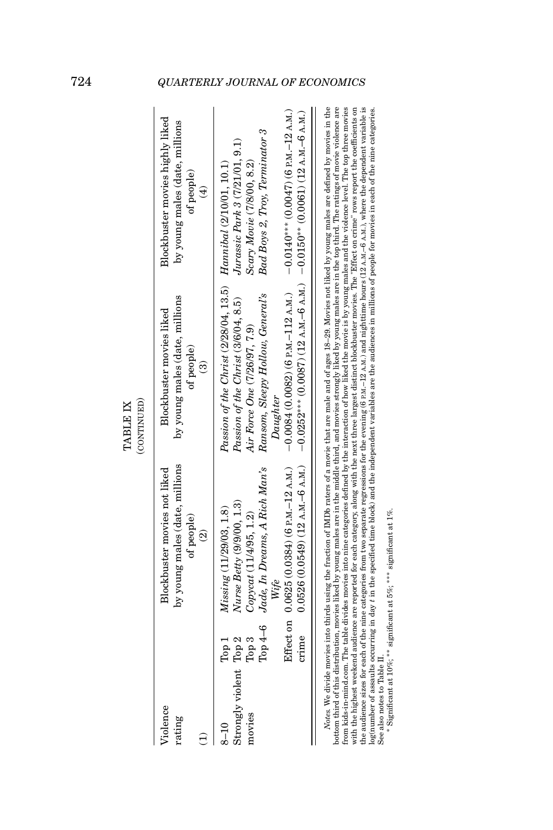|                                              |                                                     |                                                                                                                                                                                                                            | (CONTINUED)<br>TABLE IX                                                                                                                                                                                                                                                                                                                                                                                                                                                                                                                                                                                                                                                                                                                          |                                                                                                  |
|----------------------------------------------|-----------------------------------------------------|----------------------------------------------------------------------------------------------------------------------------------------------------------------------------------------------------------------------------|--------------------------------------------------------------------------------------------------------------------------------------------------------------------------------------------------------------------------------------------------------------------------------------------------------------------------------------------------------------------------------------------------------------------------------------------------------------------------------------------------------------------------------------------------------------------------------------------------------------------------------------------------------------------------------------------------------------------------------------------------|--------------------------------------------------------------------------------------------------|
| Violence<br>rating                           |                                                     | by young males (date, millions<br>Blockbuster movies not liked<br>of people)<br>$\widehat{\mathfrak{D}}$                                                                                                                   | by young males (date, millions<br>Blockbuster movies liked<br>of people)<br>ම                                                                                                                                                                                                                                                                                                                                                                                                                                                                                                                                                                                                                                                                    | Blockbuster movies highly liked<br>by young males (date, millions<br>of people)<br>$\widehat{E}$ |
| Strongly violent Top 2<br>movies<br>$8 - 10$ | Top 4–6<br>crime<br>Top 3<br>$\operatorname{Top} 1$ | $0.0526(0.0549)(12 A.M.-6 A.M.)$<br>Effect on $0.0625(0.0384)(6 \text{ P.M.} - 12 \text{ A.M.})$<br>Jade, In Dreams, A Rich Man's<br>Nurse Betty (9/9/00, 1.3)<br>Missing (11/29/03, 1.8)<br>Convcat(11/4/95, 1.2)<br>Nite | $-0.0084(0.0082)(6$ P.M. $-112$ A.M.) $-0.0140***(0.0047)(6$ P.M. $-12$ A.M.)<br>$-0.0252***(0.0087)(12 A.M.-6 A.M.) -0.0150**(0.0061)(12 A.M.-6 A.M.)$<br>Passion of the Christ (2/28/04, 13.5) Hannibal (2/10/01, 10.1)<br>Ransom, Sleepy Hollow, General's<br>Passion of the $Christ~(3/6/04, 8.5)$<br>Air Force One $(7/26/97, 7.9)$<br>Daughter                                                                                                                                                                                                                                                                                                                                                                                             | Bad Boys 2, Troy, Terminator 3<br>$Jurasic$ $Park 3 (7/21/01, 9.1)$<br>Scary Movie (7/8/00, 8.2) |
|                                              |                                                     |                                                                                                                                                                                                                            | Notes. We divide movies into thirds using the fraction of IMDb raters of a movie that are male and of ages 18-29. Movies not liked by young males are defined by movies in the<br>with the bigheet weekend andience are removed for each category along any three three thirds blocking blockhugter movies. The "Rffect on crime" vanyt the coefficients on<br>bottom third of this distribution, movies liked by young males are in the middle third, and movies strongly liked by young males are in the top third. The ratings of movie violence are<br>from kids-in-mind.com. The table divides movies into nine categories defined by the interaction of how liked the movie is by young males and the violence level. The top three movies |                                                                                                  |

win ine ingress weekena adulence are reported or eacn category, aung win ine new uree argest custom. Docoulser moves. Ine Linet on crime rows report incomention on the commuters of a starting in the specified time block) with the highest weekend audience are reported for each category, along with the next three largest distinct blockbuster movies. The "Effect on crime" rows report the coefficients on the audience sizes for each of the nine categories from two separate regressions for the evening (6 P.M.–12 A.M.) and nighttime hours (12 A.M.–6 A.M.), where the dependent variable is log(number of assaults occurring in day *t* in the specified time block) and the independent variables are the audiences in millions of people for movies in each of the nine categories. See also notes to Table II.<br>\* Significant at 10%; \*\* significant at 5%; \*\*\* significant at 1%

# 724 *QUARTERLY JOURNAL OF ECONOMICS*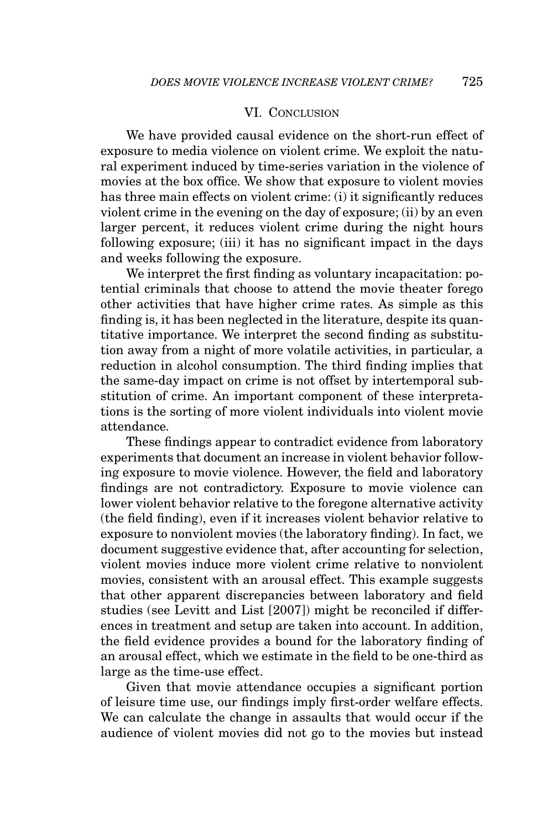### VI. CONCLUSION

We have provided causal evidence on the short-run effect of exposure to media violence on violent crime. We exploit the natural experiment induced by time-series variation in the violence of movies at the box office. We show that exposure to violent movies has three main effects on violent crime: (i) it significantly reduces violent crime in the evening on the day of exposure; (ii) by an even larger percent, it reduces violent crime during the night hours following exposure; (iii) it has no significant impact in the days and weeks following the exposure.

We interpret the first finding as voluntary incapacitation: potential criminals that choose to attend the movie theater forego other activities that have higher crime rates. As simple as this finding is, it has been neglected in the literature, despite its quantitative importance. We interpret the second finding as substitution away from a night of more volatile activities, in particular, a reduction in alcohol consumption. The third finding implies that the same-day impact on crime is not offset by intertemporal substitution of crime. An important component of these interpretations is the sorting of more violent individuals into violent movie attendance.

These findings appear to contradict evidence from laboratory experiments that document an increase in violent behavior following exposure to movie violence. However, the field and laboratory findings are not contradictory. Exposure to movie violence can lower violent behavior relative to the foregone alternative activity (the field finding), even if it increases violent behavior relative to exposure to nonviolent movies (the laboratory finding). In fact, we document suggestive evidence that, after accounting for selection, violent movies induce more violent crime relative to nonviolent movies, consistent with an arousal effect. This example suggests that other apparent discrepancies between laboratory and field studies (see Levitt and List [2007]) might be reconciled if differences in treatment and setup are taken into account. In addition, the field evidence provides a bound for the laboratory finding of an arousal effect, which we estimate in the field to be one-third as large as the time-use effect.

Given that movie attendance occupies a significant portion of leisure time use, our findings imply first-order welfare effects. We can calculate the change in assaults that would occur if the audience of violent movies did not go to the movies but instead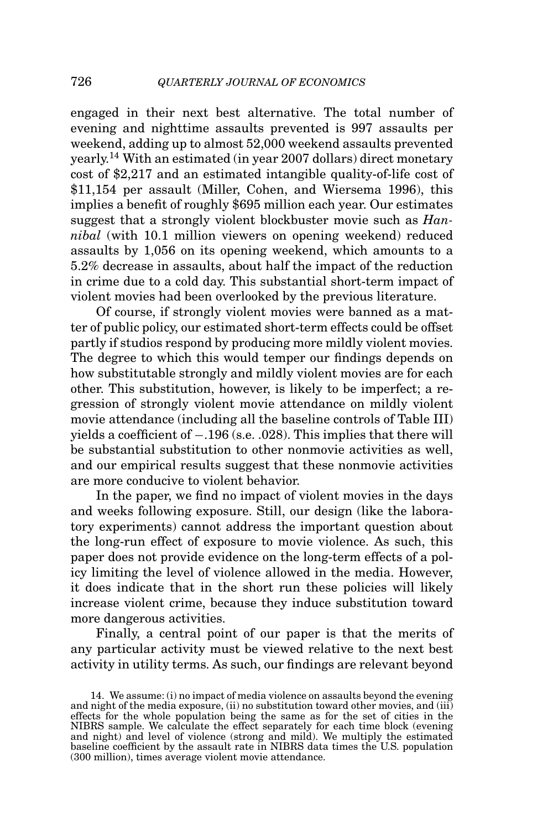engaged in their next best alternative. The total number of evening and nighttime assaults prevented is 997 assaults per weekend, adding up to almost 52,000 weekend assaults prevented yearly.<sup>14</sup> With an estimated (in year 2007 dollars) direct monetary cost of \$2,217 and an estimated intangible quality-of-life cost of \$11,154 per assault (Miller, Cohen, and Wiersema 1996), this implies a benefit of roughly \$695 million each year. Our estimates suggest that a strongly violent blockbuster movie such as *Hannibal* (with 10.1 million viewers on opening weekend) reduced assaults by 1,056 on its opening weekend, which amounts to a 5.2% decrease in assaults, about half the impact of the reduction in crime due to a cold day. This substantial short-term impact of violent movies had been overlooked by the previous literature.

Of course, if strongly violent movies were banned as a matter of public policy, our estimated short-term effects could be offset partly if studios respond by producing more mildly violent movies. The degree to which this would temper our findings depends on how substitutable strongly and mildly violent movies are for each other. This substitution, however, is likely to be imperfect; a regression of strongly violent movie attendance on mildly violent movie attendance (including all the baseline controls of Table III) yields a coefficient of −.196 (s.e. .028). This implies that there will be substantial substitution to other nonmovie activities as well, and our empirical results suggest that these nonmovie activities are more conducive to violent behavior.

In the paper, we find no impact of violent movies in the days and weeks following exposure. Still, our design (like the laboratory experiments) cannot address the important question about the long-run effect of exposure to movie violence. As such, this paper does not provide evidence on the long-term effects of a policy limiting the level of violence allowed in the media. However, it does indicate that in the short run these policies will likely increase violent crime, because they induce substitution toward more dangerous activities.

Finally, a central point of our paper is that the merits of any particular activity must be viewed relative to the next best activity in utility terms. As such, our findings are relevant beyond

<sup>14.</sup> We assume: (i) no impact of media violence on assaults beyond the evening and night of the media exposure, (ii) no substitution toward other movies, and (iii) effects for the whole population being the same as for the set of cities in the NIBRS sample. We calculate the effect separately for each time block (evening<br>and night) and level of violence (strong and mild). We multiply the estimated<br>baseline coefficient by the assault rate in NIBRS data times the U (300 million), times average violent movie attendance.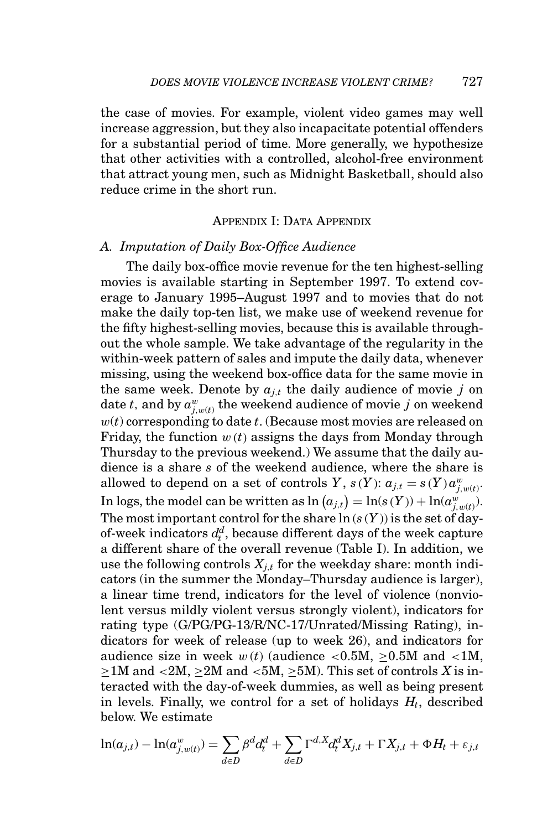the case of movies. For example, violent video games may well increase aggression, but they also incapacitate potential offenders for a substantial period of time. More generally, we hypothesize that other activities with a controlled, alcohol-free environment that attract young men, such as Midnight Basketball, should also reduce crime in the short run.

## APPENDIX I: DATA APPENDIX

#### *A. Imputation of Daily Box-Office Audience*

The daily box-office movie revenue for the ten highest-selling movies is available starting in September 1997. To extend coverage to January 1995–August 1997 and to movies that do not make the daily top-ten list, we make use of weekend revenue for the fifty highest-selling movies, because this is available throughout the whole sample. We take advantage of the regularity in the within-week pattern of sales and impute the daily data, whenever missing, using the weekend box-office data for the same movie in the same week. Denote by  $a_{j,t}$  the daily audience of movie  $j$  on  $\det t$ , and by  $a_{j, w(t)}^w$  the weekend audience of movie  $j$  on weekend w(*t*) corresponding to date *t*. (Because most movies are released on Friday, the function  $w(t)$  assigns the days from Monday through Thursday to the previous weekend.) We assume that the daily audience is a share *s* of the weekend audience, where the share is allowed to depend on a set of controls  $Y$ ,  $s(Y)$ :  $a_{j,t} = s(Y) a_{j,w(t)}^w$ . In logs, the model can be written as  $\ln (a_{j,t}) = \ln(s(Y)) + \ln(a_{j,w(t)}^w)$ . The most important control for the share  $\ln(s(Y))$  is the set of dayof-week indicators  $d_{t}^{d}$ , because different days of the week capture a different share of the overall revenue (Table I). In addition, we use the following controls  $X_{i,t}$  for the weekday share: month indicators (in the summer the Monday–Thursday audience is larger), a linear time trend, indicators for the level of violence (nonviolent versus mildly violent versus strongly violent), indicators for rating type (G/PG/PG-13/R/NC-17/Unrated/Missing Rating), indicators for week of release (up to week 26), and indicators for audience size in week  $w(t)$  (audience <0.5M,  $\geq 0.5$ M and <1M, ≥1M and <2M, ≥2M and <5M, ≥5M). This set of controls *X* is interacted with the day-of-week dummies, as well as being present in levels. Finally, we control for a set of holidays  $H_t$ , described below. We estimate

$$
\ln(a_{j,t}) - \ln(a_{j,w(t)}^w) = \sum_{d \in D} \beta^d a_t^d + \sum_{d \in D} \Gamma^{d,X} a_t^d X_{j,t} + \Gamma X_{j,t} + \Phi H_t + \varepsilon_{j,t}
$$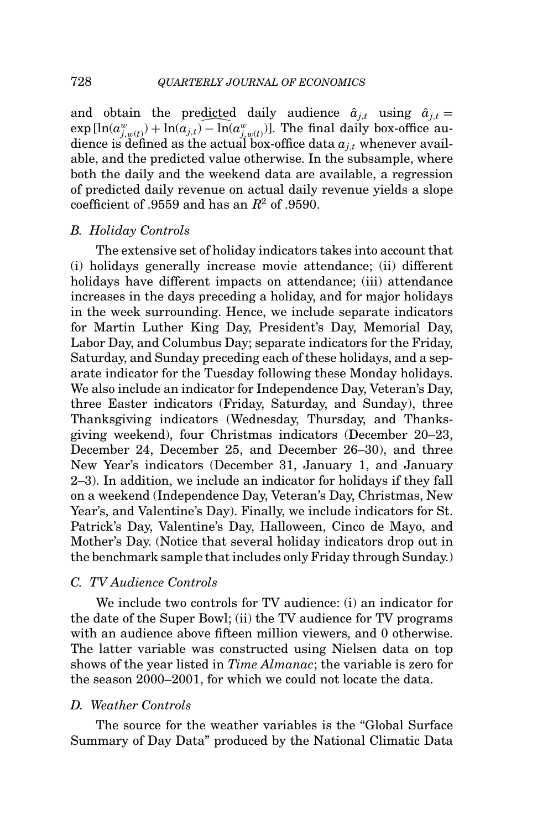and obtain the predicted daily audience  $\hat{a}_{j,t}$  using  $\hat{a}_{j,t}$  $\exp[\ln(a_{j,w(t)}^w) + \ln(a_{j,t}) - \ln(a_{j,w(t)}^w)]$ . The final daily box-office audience is defined as the actual box-office data  $a_{i,t}$  whenever available, and the predicted value otherwise. In the subsample, where both the daily and the weekend data are available, a regression of predicted daily revenue on actual daily revenue yields a slope coefficient of .9559 and has an *R*<sup>2</sup> of .9590.

### *B. Holiday Controls*

The extensive set of holiday indicators takes into account that (i) holidays generally increase movie attendance; (ii) different holidays have different impacts on attendance; (iii) attendance increases in the days preceding a holiday, and for major holidays in the week surrounding. Hence, we include separate indicators for Martin Luther King Day, President's Day, Memorial Day, Labor Day, and Columbus Day; separate indicators for the Friday, Saturday, and Sunday preceding each of these holidays, and a separate indicator for the Tuesday following these Monday holidays. We also include an indicator for Independence Day, Veteran's Day, three Easter indicators (Friday, Saturday, and Sunday), three Thanksgiving indicators (Wednesday, Thursday, and Thanksgiving weekend), four Christmas indicators (December 20–23, December 24, December 25, and December 26–30), and three New Year's indicators (December 31, January 1, and January 2–3). In addition, we include an indicator for holidays if they fall on a weekend (Independence Day, Veteran's Day, Christmas, New Year's, and Valentine's Day). Finally, we include indicators for St. Patrick's Day, Valentine's Day, Halloween, Cinco de Mayo, and Mother's Day. (Notice that several holiday indicators drop out in the benchmark sample that includes only Friday through Sunday.)

#### *C. TV Audience Controls*

We include two controls for TV audience: (i) an indicator for the date of the Super Bowl; (ii) the TV audience for TV programs with an audience above fifteen million viewers, and 0 otherwise. The latter variable was constructed using Nielsen data on top shows of the year listed in *Time Almanac*; the variable is zero for the season 2000–2001, for which we could not locate the data.

#### *D. Weather Controls*

The source for the weather variables is the "Global Surface Summary of Day Data" produced by the National Climatic Data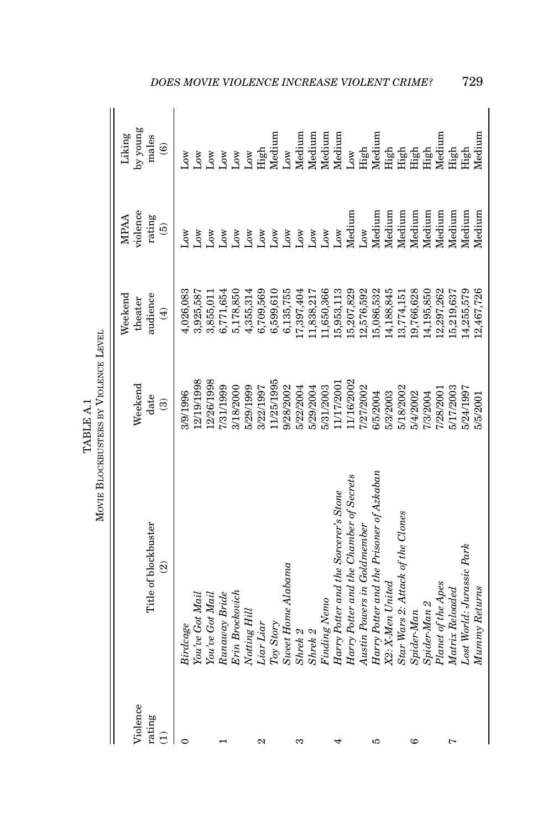|                        |                                          |                         | Weekend     | <b>MPAA</b>     | Liking                 |
|------------------------|------------------------------------------|-------------------------|-------------|-----------------|------------------------|
| Violence               |                                          | Weekend                 | theater     | violence        | py young               |
| rating                 | Title of blockbuster                     | date                    | audience    | rating          | males                  |
|                        | $\widehat{\mathfrak{A}}$                 | $\widehat{\mathcal{E}}$ | $\bigoplus$ | $\widehat{e}$   | $\widehat{\mathbf{e}}$ |
|                        | Birdcage                                 | 3/9/1996                | 4,026,083   | Low             | <b>NOT</b>             |
|                        | You've Got Mail                          | 12/19/1998              | 3,925,587   | woz             | ΜOΠ                    |
|                        | You've Got Mail                          | 2/26/1998               | 3,855,011   | woJ             | ΜOΠ                    |
|                        | Runaway Bride                            | /31/1999                | 6,771,654   | ΚΟJ             | <b>Nor</b>             |
|                        | Erin Brockovich                          | 3/18/2000               | 5,178,850   | Δow             | MOT                    |
|                        | Notting Hill                             | 5/29/1999               | 4,355,314   | χος             | MOV                    |
| $\mathbf{\mathcal{L}}$ | Liar Liar                                | 1/22/1997               | 6,709,569   | Δow             | High                   |
|                        | Toy Story                                | 1/25/1995               | 6,599,610   | χος             | Medium                 |
|                        | Sweet Home Alabama                       | 9/28/2002               | 6,135,755   | ΝΟL             | $_{\text{Low}}$        |
| S                      | Shrek 2                                  | 5/22/2004               | 17,397,404  | Δw              | Medium                 |
|                        | Shrek <sub>2</sub>                       | 5/29/2004               | 11,838,217  | Low             | Medium                 |
|                        | Finding Nemo                             | 5/31/2003               | 1,650,366   | Δw              | Medium                 |
|                        | Harry Potter and the Sorcerer's Stone    | 1/17/2001               | 5,953,113   | Low             | Medium                 |
|                        | Harry Potter and the Chamber of Secrets  | 1/16/2002               | 15,207,829  | Medium          | Ιoν                    |
|                        | Austin Powers in Goldmember              | /27/2002                | 2,576,592   | $_{\text{low}}$ | High                   |
| ю                      | Harry Potter and the Prisoner of Azkaban | 15/2004                 | 5,086,532   | Medium          | Medium                 |
|                        | X2: X-Men United                         | 5/3/2003                | 14,188,845  | Medium          | High                   |
|                        | Star Wars 2: Attack of the Clones        | 5/18/2002               | 13,774,151  | Medium          | High                   |
| co                     | Spider-Man                               | 5/4/2002                | 9,766,628   | Medium          | High                   |
|                        | Spider-Man 2                             | 1/3/2004                | 14,195,850  | Medium          | High                   |
|                        | Planet of the Apes                       | /28/2001                | 12,297,262  | Medium          | Medium                 |
| L                      | Matrix Reloaded                          | 5/17/2003               | 15,219,637  | Medium          | High                   |
|                        | Lost World: Jurassic Park                | 5/24/1997               | 14,255,579  | Medium          | High                   |
|                        | Mummy Returns                            | 5/5/2001                | 12,467,726  | Medium          | Medium                 |

TABLE A.1 BLOCKBUSTERS BY VIOLENCE

LEVEL

MOVIE

*DOES MOVIE VIOLENCE INCREASE VIOLENT CRIME?* 729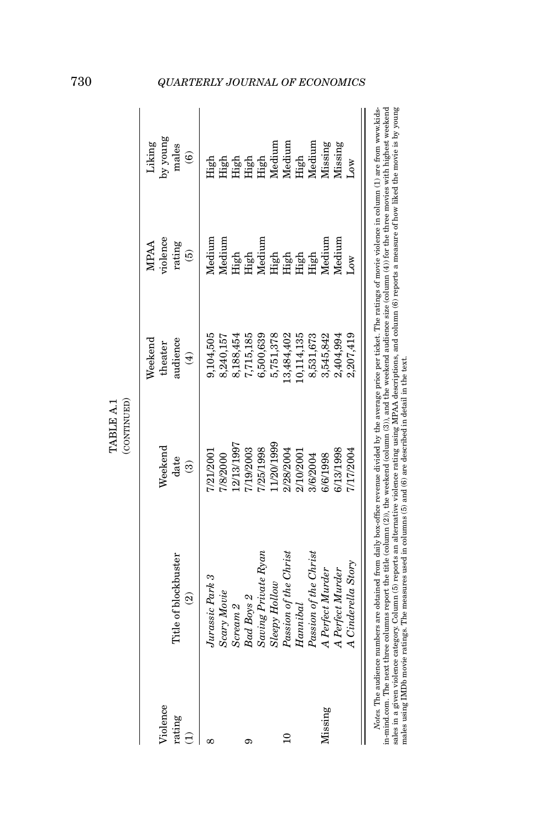|          |                       |                         | Weekend     | AAA           | Liking                 |
|----------|-----------------------|-------------------------|-------------|---------------|------------------------|
| Violence |                       | Weekend                 | theater     | violence      | py young               |
| rating   | Title of blockbuster  | date                    | audience    | rating        | males                  |
|          | $\widehat{S}$         | $\widehat{\mathcal{E}}$ | $\bigoplus$ | $\widehat{e}$ | $\widehat{\mathbf{e}}$ |
| $\infty$ | Jurassic Park 3       | 1/21/2001               | 9,104,505   | Medium        | High                   |
|          | Scary Movie           | 78/2000                 | 8,240,157   | Medium        |                        |
|          | Scream <sub>2</sub>   | 2/13/1997               | 8,188,454   | iigh          |                        |
| Φ        | Bad Boys 2            | 719/2003                | 7,715,185   | High          | 문<br>민준은<br>민준이        |
|          | Saving Private Ryan   | /25/1998                | 6,500,639   | Medium        |                        |
|          | <b>Sleepy Hollow</b>  | 1/20/1999               | 5,751,378   | High          | Medium                 |
|          | Passion of the Christ | 2/28/2004               | 13,484,402  | High          | Medium                 |
|          | Hannibal              | 2/10/2001               | 0,114,135   |               | High                   |
|          | Passion of the Christ | 3/6/2004                | 8,531,673   | Engel<br>High | Medium                 |
| Missing  | A Perfect Murder      | 6/6/1998                | 3,545,842   | Aedium        | dissing                |
|          | A Perfect Murder      | 6/13/1998               | 2,404,994   | Medium        | Missing                |
|          | A Cinderella Story    | 7/17/2004               | 2,207,419   | <b>MOr</b>    | MOV                    |

TABLE A.1 (CONTINUED) (CONTINUED) TABLE A.1

730 *QUARTERLY JOURNAL OF ECONOMICS*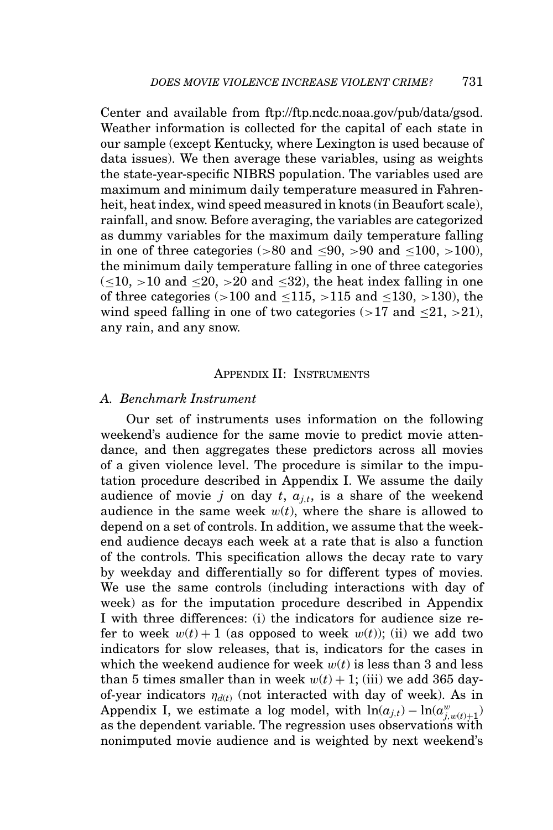Center and available from ftp://ftp.ncdc.noaa.gov/pub/data/gsod. Weather information is collected for the capital of each state in our sample (except Kentucky, where Lexington is used because of data issues). We then average these variables, using as weights the state-year-specific NIBRS population. The variables used are maximum and minimum daily temperature measured in Fahrenheit, heat index, wind speed measured in knots (in Beaufort scale), rainfall, and snow. Before averaging, the variables are categorized as dummy variables for the maximum daily temperature falling in one of three categories (>80 and  $\leq 90$ , >90 and  $\leq 100$ , >100), the minimum daily temperature falling in one of three categories  $(\leq 10, >10$  and  $\leq 20, >20$  and  $\leq 32$ ), the heat index falling in one of three categories  $(>100$  and  $\leq 115$ ,  $>115$  and  $\leq 130$ ,  $>130$ ), the wind speed falling in one of two categories  $(>17$  and  $<21, >21$ ), any rain, and any snow.

### APPENDIX II: INSTRUMENTS

### *A. Benchmark Instrument*

Our set of instruments uses information on the following weekend's audience for the same movie to predict movie attendance, and then aggregates these predictors across all movies of a given violence level. The procedure is similar to the imputation procedure described in Appendix I. We assume the daily audience of movie *j* on day  $t$ ,  $a_{j,t}$ , is a share of the weekend audience in the same week  $w(t)$ , where the share is allowed to depend on a set of controls. In addition, we assume that the weekend audience decays each week at a rate that is also a function of the controls. This specification allows the decay rate to vary by weekday and differentially so for different types of movies. We use the same controls (including interactions with day of week) as for the imputation procedure described in Appendix I with three differences: (i) the indicators for audience size refer to week  $w(t) + 1$  (as opposed to week  $w(t)$ ); (ii) we add two indicators for slow releases, that is, indicators for the cases in which the weekend audience for week  $w(t)$  is less than 3 and less than 5 times smaller than in week  $w(t) + 1$ ; (iii) we add 365 dayof-year indicators  $\eta_{d(t)}$  (not interacted with day of week). As in Appendix I, we estimate a log model, with  $\ln(a_{j,t}) - \ln(a_{j,w(t)+1}^w)$ as the dependent variable. The regression uses observations with nonimputed movie audience and is weighted by next weekend's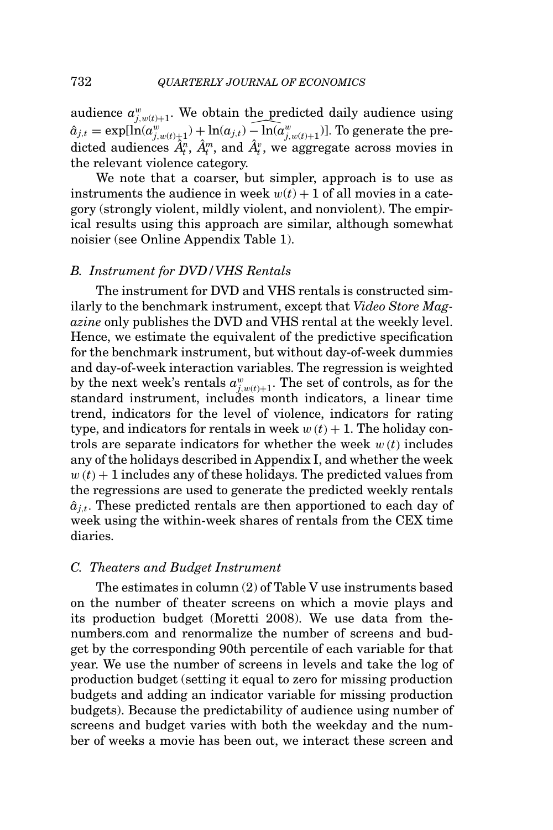audience  $a_{j,w(t)+1}^w$ . We obtain the predicted daily audience using  $\hat{a}_{j,t} = \exp[\ln(a_{j,w(t)+1}^{y,w(t)+1}) + \ln(a_{j,t}) - \ln(a_{j,w(t)+1}^{y})]$ . To generate the predicted audiences  $\hat{A}^n_t$ ,  $\hat{A}^m_t$ , and  $\hat{A}^v_t$ , we aggregate across movies in the relevant violence category.

We note that a coarser, but simpler, approach is to use as instruments the audience in week  $w(t) + 1$  of all movies in a category (strongly violent, mildly violent, and nonviolent). The empirical results using this approach are similar, although somewhat noisier (see Online Appendix Table 1).

### *B. Instrument for DVD/VHS Rentals*

The instrument for DVD and VHS rentals is constructed similarly to the benchmark instrument, except that *Video Store Magazine* only publishes the DVD and VHS rental at the weekly level. Hence, we estimate the equivalent of the predictive specification for the benchmark instrument, but without day-of-week dummies and day-of-week interaction variables. The regression is weighted by the next week's rentals  $a_{j,w(t)+1}^w$ . The set of controls, as for the standard instrument, includes month indicators, a linear time trend, indicators for the level of violence, indicators for rating type, and indicators for rentals in week  $w(t) + 1$ . The holiday controls are separate indicators for whether the week  $w(t)$  includes any of the holidays described in Appendix I, and whether the week  $w(t) + 1$  includes any of these holidays. The predicted values from the regressions are used to generate the predicted weekly rentals  $\hat{a}_{j,t}$ . These predicted rentals are then apportioned to each day of week using the within-week shares of rentals from the CEX time diaries.

#### *C. Theaters and Budget Instrument*

The estimates in column (2) of Table V use instruments based on the number of theater screens on which a movie plays and its production budget (Moretti 2008). We use data from thenumbers.com and renormalize the number of screens and budget by the corresponding 90th percentile of each variable for that year. We use the number of screens in levels and take the log of production budget (setting it equal to zero for missing production budgets and adding an indicator variable for missing production budgets). Because the predictability of audience using number of screens and budget varies with both the weekday and the number of weeks a movie has been out, we interact these screen and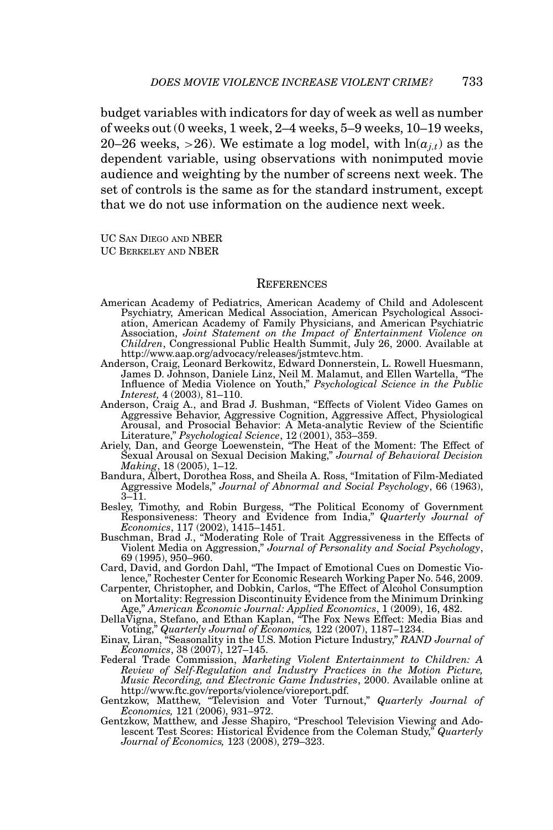budget variables with indicators for day of week as well as number of weeks out (0 weeks, 1 week, 2–4 weeks, 5–9 weeks, 10–19 weeks, 20–26 weeks,  $>$ 26). We estimate a log model, with  $ln(a_{it})$  as the dependent variable, using observations with nonimputed movie audience and weighting by the number of screens next week. The set of controls is the same as for the standard instrument, except that we do not use information on the audience next week.

UC SAN DIEGO AND NBER UC BERKELEY AND NBER

#### **REFERENCES**

- American Academy of Pediatrics, American Academy of Child and Adolescent Psychiatry, American Medical Association, American Psychological Association, American Academy of Family Physicians, and American Psychiatric Association, *Joint Statement on the Impact of Entertainment Violence on Children*, Congressional Public Health Summit, July 26, 2000. Available at http://www.aap.org/advocacy/releases/jstmtevc.htm.
- Anderson, Craig, Leonard Berkowitz, Edward Donnerstein, L. Rowell Huesmann, James D. Johnson, Daniele Linz, Neil M. Malamut, and Ellen Wartella, "The Influence of Media Violence on Youth," *Psychological Science in the Public Interest,* 4 (2003), 81–110.
- Anderson, Craig A., and Brad J. Bushman, "Effects of Violent Video Games on Aggressive Behavior, Aggressive Cognition, Aggressive Affect, Physiological Arousal, and Prosocial Behavior: A Meta-analytic Review of the Scientific
- Literature," *Psychological Science*, 12 (2001), 353–359. Ariely, Dan, and George Loewenstein, "The Heat of the Moment: The Effect of Sexual Arousal on Sexual Decision Making," *Journal of Behavioral Decision Making*, 18 (2005), 1–12.
- Bandura, Albert, Dorothea Ross, and Sheila A. Ross, "Imitation of Film-Mediated Aggressive Models," *Journal of Abnormal and Social Psychology*, 66 (1963), 3–11.
- Besley, Timothy, and Robin Burgess, "The Political Economy of Government Responsiveness: Theory and Evidence from India," *Quarterly Journal of Economics*, 117 (2002), 1415–1451.
- Buschman, Brad J., "Moderating Role of Trait Aggressiveness in the Effects of Violent Media on Aggression," *Journal of Personality and Social Psychology*, 69 (1995), 950–960.
- Card, David, and Gordon Dahl, "The Impact of Emotional Cues on Domestic Violence," Rochester Center for Economic Research Working Paper No. 546, 2009.
- Carpenter, Christopher, and Dobkin, Carlos, "The Effect of Alcohol Consumption on Mortality: Regression Discontinuity Evidence from the Minimum Drinking<br>Age," A*merican Economic Journal: Applied Economics*, 1 (2009), 16, 482.<br>DellaVigna, Stefano, and Ethan Kaplan, "The Fox News Effect: Media Bias and
- 
- Voting," *Quarterly Journal of Economics,* 122 (2007), 1187–1234. Einav, Liran, "Seasonality in the U.S. Motion Picture Industry," *RAND Journal of Economics*, 38 (2007), 127–145.
- Federal Trade Commission, *Marketing Violent Entertainment to Children: A Review of Self-Regulation and Industry Practices in the Motion Picture, Music Recording, and Electronic Game Industries*, 2000. Available online at http://www.ftc.gov/reports/violence/vioreport.pdf. Gentzkow, Matthew, "Television and Voter Turnout," *Quarterly Journal of*
- *Economics,* 121 (2006), 931–972.
- Gentzkow, Matthew, and Jesse Shapiro, "Preschool Television Viewing and Adolescent Test Scores: Historical Evidence from the Coleman Study," *Quarterly Journal of Economics,* 123 (2008), 279–323.